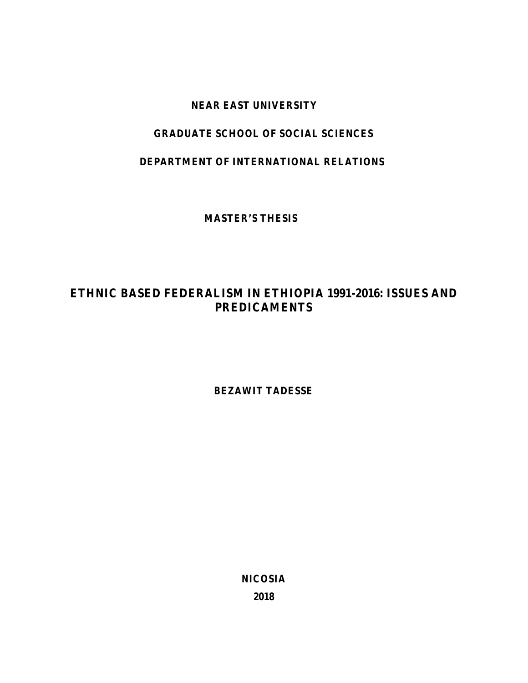### **NEAR EAST UNIVERSITY**

### **GRADUATE SCHOOL OF SOCIAL SCIENCES**

### **DEPARTMENT OF INTERNATIONAL RELATIONS**

**MASTER'S THESIS**

# **ETHNIC BASED FEDERALISM IN ETHIOPIA 1991-2016: ISSUES AND PREDICAMENTS**

**BEZAWIT TADESSE**

**NICOSIA 2018**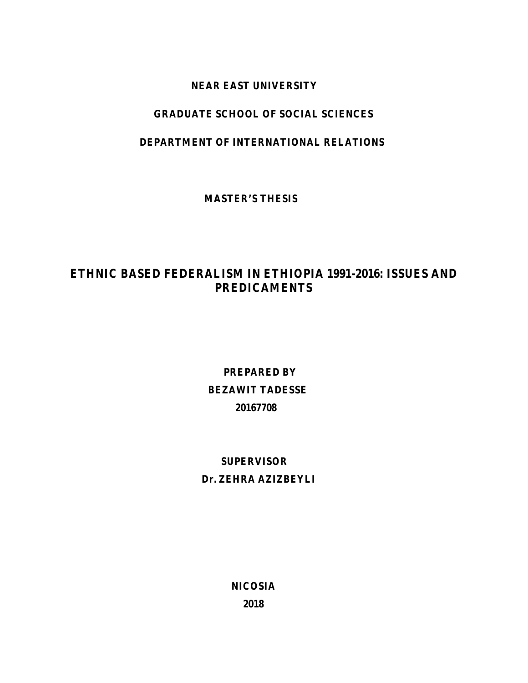### **NEAR EAST UNIVERSITY**

### **GRADUATE SCHOOL OF SOCIAL SCIENCES**

### **DEPARTMENT OF INTERNATIONAL RELATIONS**

**MASTER'S THESIS**

# **ETHNIC BASED FEDERALISM IN ETHIOPIA 1991-2016: ISSUES AND PREDICAMENTS**

**PREPARED BY BEZAWIT TADESSE 20167708**

# **SUPERVISOR**

### **Dr. ZEHRA AZIZBEYLI**

**NICOSIA**

**2018**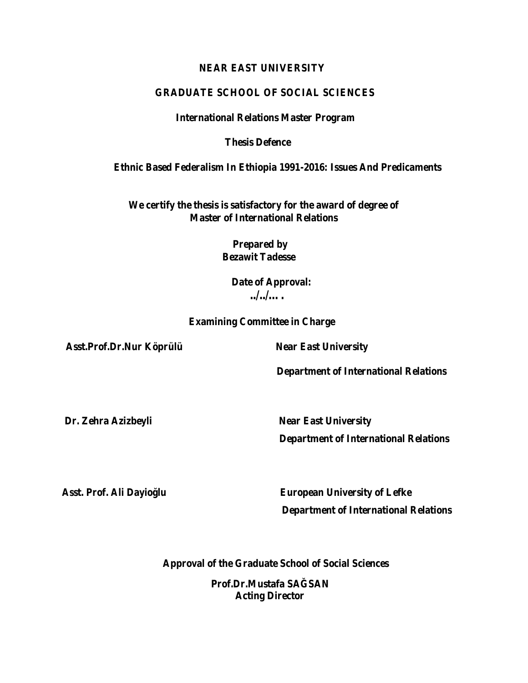### **NEAR EAST UNIVERSITY**

### **GRADUATE SCHOOL OF SOCIAL SCIENCES**

#### **International Relations Master Program**

**Thesis Defence**

**Ethnic Based Federalism In Ethiopia 1991-2016: Issues And Predicaments**

**We certify the thesis is satisfactory for the award of degree of Master of International Relations**

> **Prepared by Bezawit Tadesse**

> > **Date of Approval: ../../….**

**Examining Committee in Charge**

**Asst.Prof.Dr.Nur Köprülü Near East University**

**Department of International Relations**

**Dr. Zehra Azizbeyli Near East University Department of International Relations**

Asst. Prof. Ali Dayio lu **European University of Lefke Department of International Relations**

**Approval of the Graduate School of Social Sciences**

**Prof.Dr.Mustafa SA SAN Acting Director**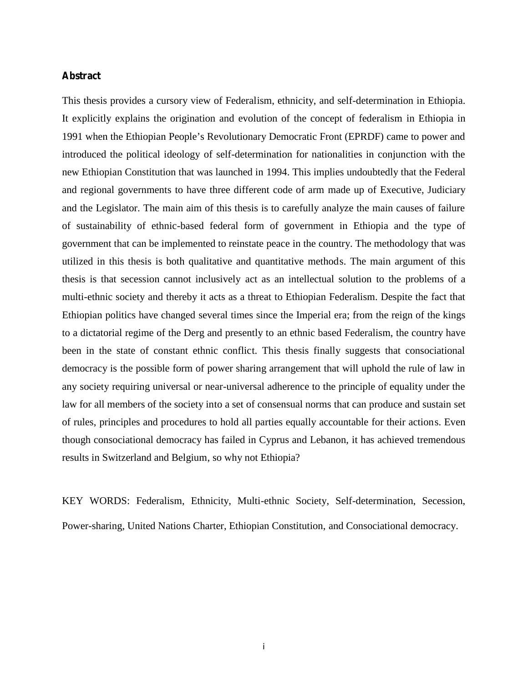### **Abstract**

This thesis provides a cursory view of Federalism, ethnicity, and self-determination in Ethiopia. It explicitly explains the origination and evolution of the concept of federalism in Ethiopia in 1991 when the Ethiopian People's Revolutionary Democratic Front (EPRDF) came to power and introduced the political ideology of self-determination for nationalities in conjunction with the new Ethiopian Constitution that was launched in 1994. This implies undoubtedly that the Federal and regional governments to have three different code of arm made up of Executive, Judiciary and the Legislator. The main aim of this thesis is to carefully analyze the main causes of failure of sustainability of ethnic-based federal form of government in Ethiopia and the type of government that can be implemented to reinstate peace in the country. The methodology that was utilized in this thesis is both qualitative and quantitative methods. The main argument of this thesis is that secession cannot inclusively act as an intellectual solution to the problems of a multi-ethnic society and thereby it acts as a threat to Ethiopian Federalism. Despite the fact that Ethiopian politics have changed several times since the Imperial era; from the reign of the kings to a dictatorial regime of the Derg and presently to an ethnic based Federalism, the country have been in the state of constant ethnic conflict. This thesis finally suggests that consociational democracy is the possible form of power sharing arrangement that will uphold the rule of law in any society requiring universal or near-universal adherence to the principle of equality under the law for all members of the society into a set of consensual norms that can produce and sustain set of rules, principles and procedures to hold all parties equally accountable for their actions. Even though consociational democracy has failed in Cyprus and Lebanon, it has achieved tremendous results in Switzerland and Belgium, so why not Ethiopia?

KEY WORDS: Federalism, Ethnicity, Multi-ethnic Society, Self-determination, Secession, Power-sharing, United Nations Charter, Ethiopian Constitution, and Consociational democracy.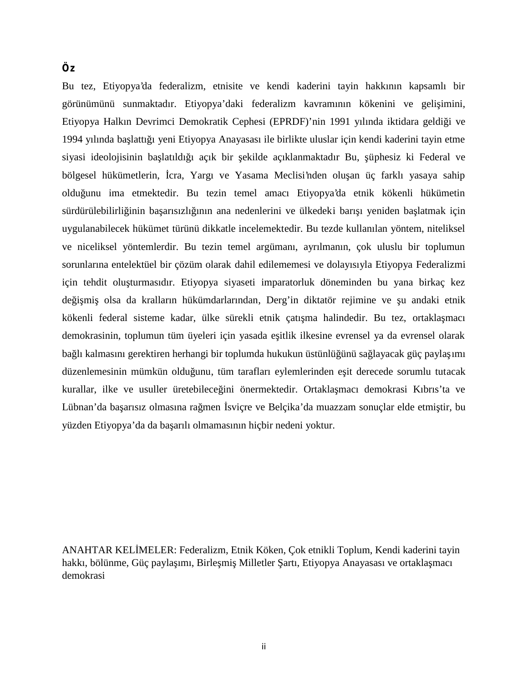### **Öz**

Bu tez, Etiyopya'da federalizm, etnisite ve kendi kaderini tayin hakkının kapsamlı bir görünümünü sunmaktadır. Etiyopya'daki federalizm kavramının kökenini ve geli imini, Etiyopya Halkın Devrimci Demokratik Cephesi (EPRDF)'nin 1991 yılında iktidara geldiği ve 1994 yılında ba lattı 1 yeni Etiyopya Anayasası ile birlikte uluslar için kendi kaderini tayin etme siyasi ideolojisinin ba latıldı 1 açık bir ekilde açıklanmaktadır Bu, üphesiz ki Federal ve bölgesel hükümetlerin, cra, Yargı ve Yasama Meclisi'nden olu an üç farklı yasaya sahip olduğunu ima etmektedir. Bu tezin temel amacı Etiyopya'da etnik kökenli hükümetin sürdürülebilirli inin ba arısızlı ının ana nedenlerini ve ülkedeki barı ı yeniden ba latmak için uygulanabilecek hükümet türünü dikkatle incelemektedir. Bu tezde kullanılan yöntem, niteliksel ve niceliksel yöntemlerdir. Bu tezin temel argümanı, ayrılmanın, çok uluslu bir toplumun sorunlarına entelektüel bir çözüm olarak dahil edilememesi ve dolayısıyla Etiyopya Federalizmi için tehdit olu turmasıdır. Etiyopya siyaseti imparatorluk döneminden bu yana birkaç kez de i mi olsa da kralların hükümdarlarından, Derg'in diktatör rejimine ve u andaki etnik kökenli federal sisteme kadar, ülke sürekli etnik çatı ma halindedir. Bu tez, ortakla macı demokrasinin, toplumun tüm üyeleri için yasada e itlik ilkesine evrensel ya da evrensel olarak ba lı kalmasını gerektiren herhangi bir toplumda hukukun üstünlü ünü sa layacak güç payla 1m1 düzenlemesinin mümkün oldu unu, tüm tarafları eylemlerinden e it derecede sorumlu tutacak kurallar, ilke ve usuller üretebilece ini önermektedir. Ortakla macı demokrasi Kıbrıs'ta ve Lübnan'da ba arısız olmasına ra men sviçre ve Belçika'da muazzam sonuçlar elde etmi tir, bu yüzden Etiyopya'da da başarılı olmamasının hiçbir nedeni yoktur.

ANAHTAR KEL MELER: Federalizm, Etnik Köken, Çok etnikli Toplum, Kendi kaderini tayin hakkı, bölünme, Güç payla ımı, Birle mi Milletler artı, Etiyopya Anayasası ve ortakla macı demokrasi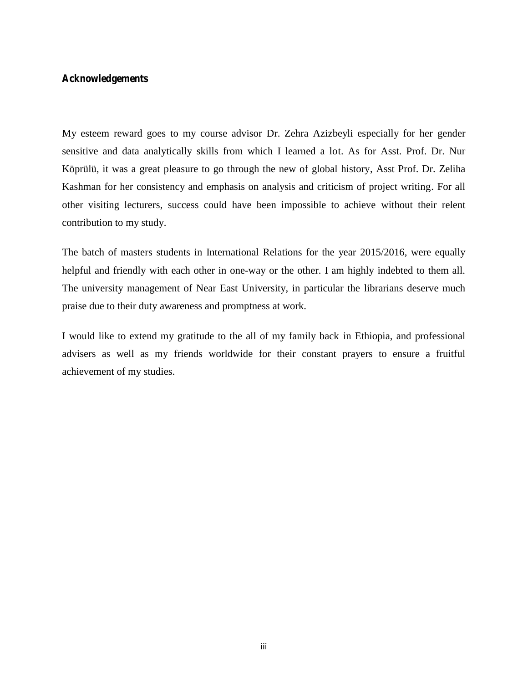### **Acknowledgements**

My esteem reward goes to my course advisor Dr. Zehra Azizbeyli especially for her gender sensitive and data analytically skills from which I learned a lot. As for Asst. Prof. Dr. Nur Köprülü, it was a great pleasure to go through the new of global history, Asst Prof. Dr. Zeliha Kashman for her consistency and emphasis on analysis and criticism of project writing. For all other visiting lecturers, success could have been impossible to achieve without their relent contribution to my study.

The batch of masters students in International Relations for the year 2015/2016, were equally helpful and friendly with each other in one-way or the other. I am highly indebted to them all. The university management of Near East University, in particular the librarians deserve much praise due to their duty awareness and promptness at work.

I would like to extend my gratitude to the all of my family back in Ethiopia, and professional advisers as well as my friends worldwide for their constant prayers to ensure a fruitful achievement of my studies.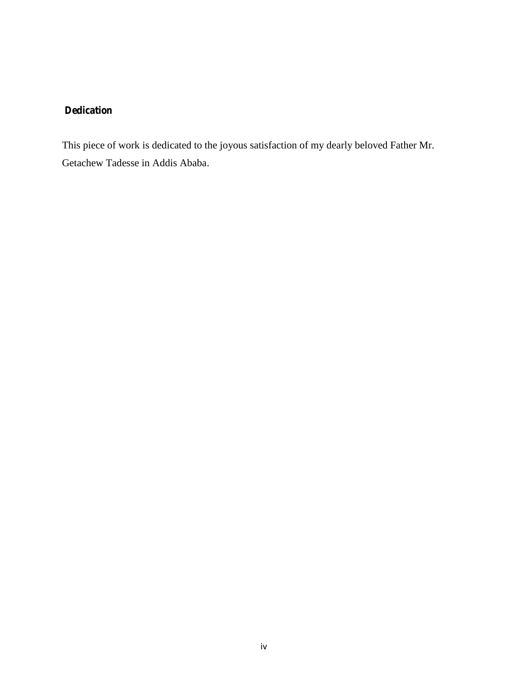### **Dedication**

This piece of work is dedicated to the joyous satisfaction of my dearly beloved Father Mr. Getachew Tadesse in Addis Ababa.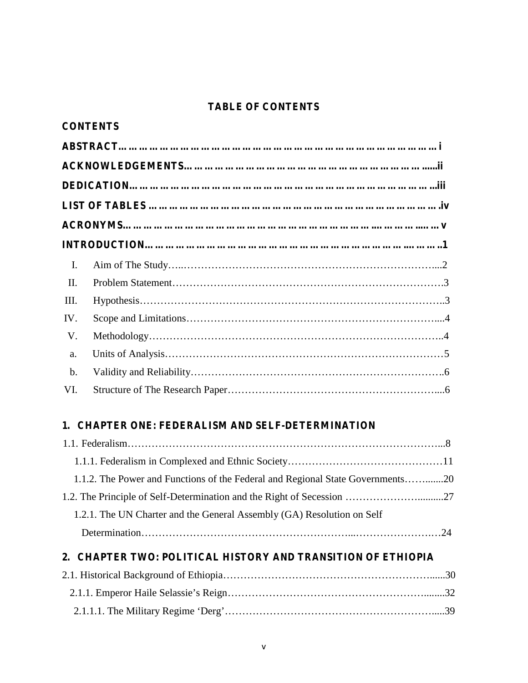### **TABLE OF CONTENTS**

|               | <b>CONTENTS</b> |  |
|---------------|-----------------|--|
|               |                 |  |
|               |                 |  |
|               |                 |  |
|               |                 |  |
|               |                 |  |
|               |                 |  |
| Ι.            |                 |  |
| II.           |                 |  |
| Ш.            |                 |  |
| IV.           |                 |  |
| V.            |                 |  |
| a.            |                 |  |
| $\mathbf b$ . |                 |  |
| VI.           |                 |  |

### **1. CHAPTER ONE: FEDERALISM AND SELF-DETERMINATION**

| 1.1.2. The Power and Functions of the Federal and Regional State Governments20 |  |
|--------------------------------------------------------------------------------|--|
|                                                                                |  |
| 1.2.1. The UN Charter and the General Assembly (GA) Resolution on Self         |  |
|                                                                                |  |
|                                                                                |  |

## **2. CHAPTER TWO: POLITICAL HISTORY AND TRANSITION OF ETHIOPIA**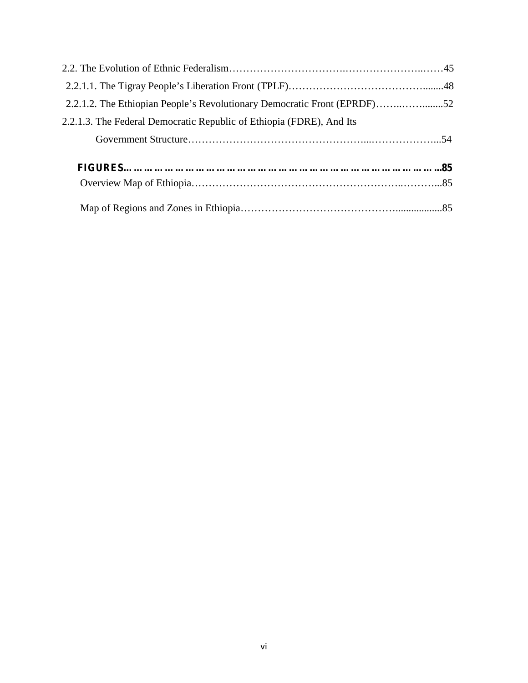| 2.2.1.2. The Ethiopian People's Revolutionary Democratic Front (EPRDF)52 |  |
|--------------------------------------------------------------------------|--|
| 2.2.1.3. The Federal Democratic Republic of Ethiopia (FDRE), And Its     |  |
|                                                                          |  |
|                                                                          |  |
|                                                                          |  |
|                                                                          |  |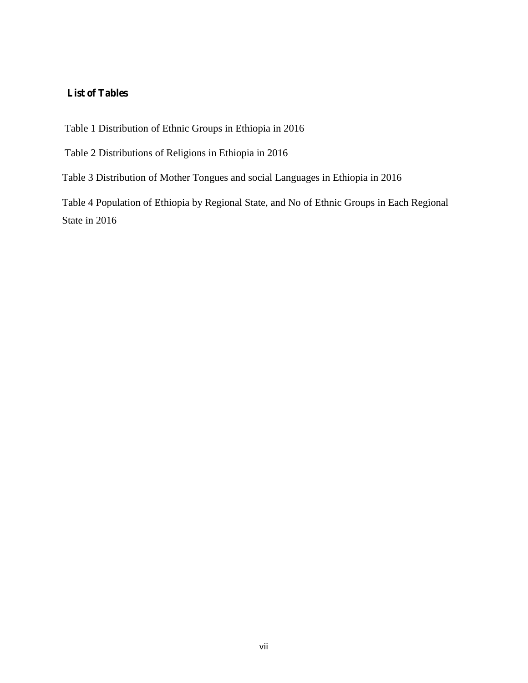### **List of Tables**

Table 1 Distribution of Ethnic Groups in Ethiopia in 2016

Table 2 Distributions of Religions in Ethiopia in 2016

Table 3 Distribution of Mother Tongues and social Languages in Ethiopia in 2016

Table 4 Population of Ethiopia by Regional State, and No of Ethnic Groups in Each Regional State in 2016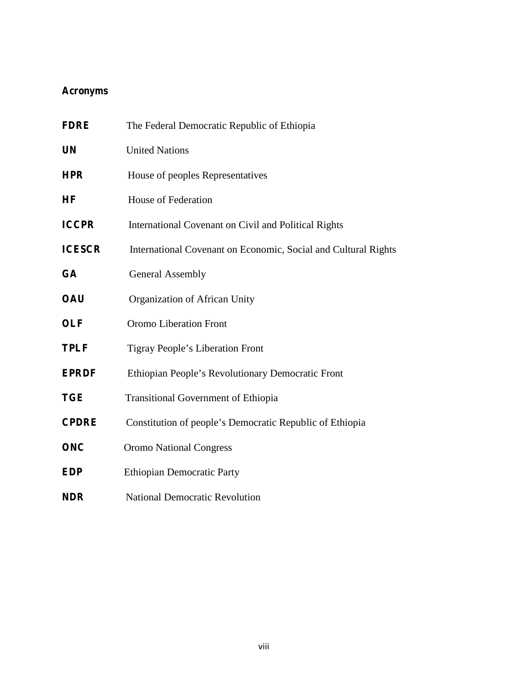### **Acronyms**

| <b>FDRE</b>   | The Federal Democratic Republic of Ethiopia                    |
|---------------|----------------------------------------------------------------|
| <b>UN</b>     | <b>United Nations</b>                                          |
| <b>HPR</b>    | House of peoples Representatives                               |
| HF            | House of Federation                                            |
| <b>ICCPR</b>  | International Covenant on Civil and Political Rights           |
| <b>ICESCR</b> | International Covenant on Economic, Social and Cultural Rights |
| <b>GA</b>     | <b>General Assembly</b>                                        |
| <b>OAU</b>    | Organization of African Unity                                  |
| <b>OLF</b>    | Oromo Liberation Front                                         |
| <b>TPLF</b>   | Tigray People's Liberation Front                               |
| <b>EPRDF</b>  | Ethiopian People's Revolutionary Democratic Front              |
| <b>TGE</b>    | <b>Transitional Government of Ethiopia</b>                     |
| <b>CPDRE</b>  | Constitution of people's Democratic Republic of Ethiopia       |
| <b>ONC</b>    | <b>Oromo National Congress</b>                                 |
| <b>EDP</b>    | <b>Ethiopian Democratic Party</b>                              |
| <b>NDR</b>    | <b>National Democratic Revolution</b>                          |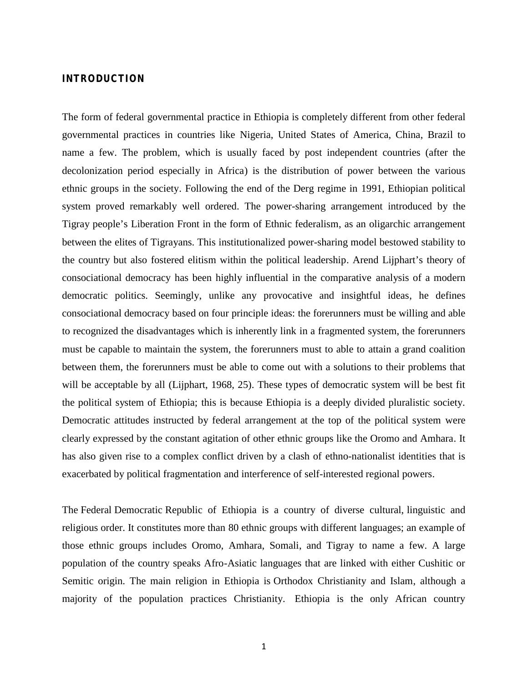### **INTRODUCTION**

The form of federal governmental practice in Ethiopia is completely different from other federal governmental practices in countries like Nigeria, United States of America, China, Brazil to name a few. The problem, which is usually faced by post independent countries (after the decolonization period especially in Africa) is the distribution of power between the various ethnic groups in the society. Following the end of the Derg regime in 1991, Ethiopian political system proved remarkably well ordered. The power-sharing arrangement introduced by the Tigray people's Liberation Front in the form of Ethnic federalism, as an oligarchic arrangement between the elites of Tigrayans. This institutionalized power-sharing model bestowed stability to the country but also fostered elitism within the political leadership. Arend Lijphart's theory of consociational democracy has been highly influential in the comparative analysis of a modern democratic politics. Seemingly, unlike any provocative and insightful ideas, he defines consociational democracy based on four principle ideas: the forerunners must be willing and able to recognized the disadvantages which is inherently link in a fragmented system, the forerunners must be capable to maintain the system, the forerunners must to able to attain a grand coalition between them, the forerunners must be able to come out with a solutions to their problems that will be acceptable by all (Lijphart, 1968, 25). These types of democratic system will be best fit the political system of Ethiopia; this is because Ethiopia is a deeply divided pluralistic society. Democratic attitudes instructed by federal arrangement at the top of the political system were clearly expressed by the constant agitation of other ethnic groups like the Oromo and Amhara. It has also given rise to a complex conflict driven by a clash of ethno-nationalist identities that is exacerbated by political fragmentation and interference of self-interested regional powers.

The Federal Democratic Republic of Ethiopia is a country of diverse cultural, linguistic and religious order. It constitutes more than 80 ethnic groups with different languages; an example of those ethnic groups includes Oromo, Amhara, Somali, and Tigray to name a few. A large population of the country speaks Afro-Asiatic languages that are linked with either Cushitic or Semitic origin. The main religion in Ethiopia is Orthodox Christianity and Islam, although a majority of the population practices Christianity. Ethiopia is the only African country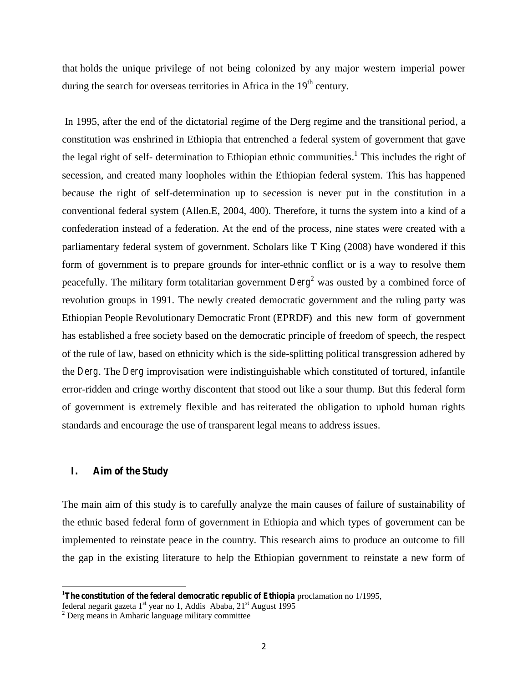that holds the unique privilege of not being colonized by any major western imperial power during the search for overseas territories in Africa in the  $19<sup>th</sup>$  century.

In 1995, after the end of the dictatorial regime of the Derg regime and the transitional period, a constitution was enshrined in Ethiopia that entrenched a federal system of government that gave the legal right of self- determination to Ethiopian ethnic communities.<sup>1</sup> This includes the right of secession, and created many loopholes within the Ethiopian federal system. This has happened because the right of self-determination up to secession is never put in the constitution in a conventional federal system (Allen.E, 2004, 400). Therefore, it turns the system into a kind of a confederation instead of a federation. At the end of the process, nine states were created with a parliamentary federal system of government. Scholars like T King (2008) have wondered if this form of government is to prepare grounds for inter-ethnic conflict or is a way to resolve them peacefully. The military form totalitarian government *Derg<sup>2</sup>* was ousted by a combined force of revolution groups in 1991. The newly created democratic government and the ruling party was Ethiopian People Revolutionary Democratic Front (EPRDF) and this new form of government has established a free society based on the democratic principle of freedom of speech, the respect of the rule of law, based on ethnicity which is the side-splitting political transgression adhered by the *Derg*. The *Derg* improvisation were indistinguishable which constituted of tortured, infantile error-ridden and cringe worthy discontent that stood out like a sour thump. But this federal form of government is extremely flexible and has reiterated the obligation to uphold human rights standards and encourage the use of transparent legal means to address issues.

#### **I. Aim of the Study**

The main aim of this study is to carefully analyze the main causes of failure of sustainability of the ethnic based federal form of government in Ethiopia and which types of government can be implemented to reinstate peace in the country. This research aims to produce an outcome to fill the gap in the existing literature to help the Ethiopian government to reinstate a new form of

<sup>&</sup>lt;sup>1</sup>The constitution of the federal democratic republic of Ethiopia proclamation no 1/1995,

federal negarit gazeta 1<sup>st</sup> year no 1, Addis Ababa, 21<sup>st</sup> August 1995

<sup>2</sup> Derg means in Amharic language military committee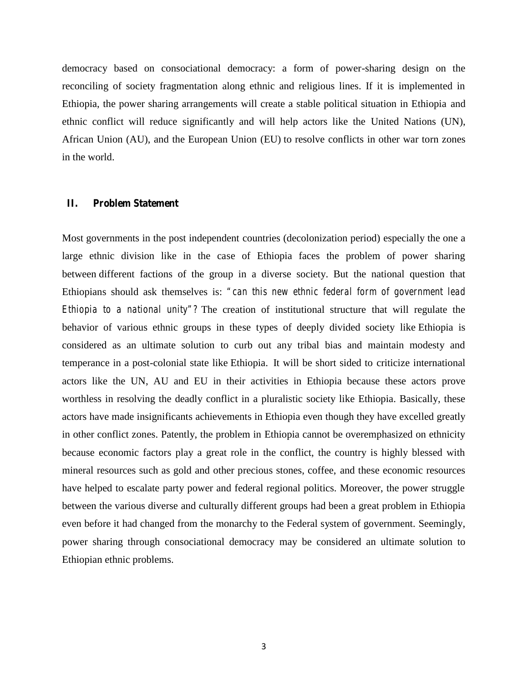democracy based on consociational democracy: a form of power-sharing design on the reconciling of society fragmentation along ethnic and religious lines. If it is implemented in Ethiopia, the power sharing arrangements will create a stable political situation in Ethiopia and ethnic conflict will reduce significantly and will help actors like the United Nations (UN), African Union (AU), and the European Union (EU) to resolve conflicts in other war torn zones in the world.

#### **II. Problem Statement**

Most governments in the post independent countries (decolonization period) especially the one a large ethnic division like in the case of Ethiopia faces the problem of power sharing between different factions of the group in a diverse society. But the national question that Ethiopians should ask themselves is: *"can this new ethnic federal form of government lead Ethiopia to a national unity"?* The creation of institutional structure that will regulate the behavior of various ethnic groups in these types of deeply divided society like Ethiopia is considered as an ultimate solution to curb out any tribal bias and maintain modesty and temperance in a post-colonial state like Ethiopia. It will be short sided to criticize international actors like the UN, AU and EU in their activities in Ethiopia because these actors prove worthless in resolving the deadly conflict in a pluralistic society like Ethiopia. Basically, these actors have made insignificants achievements in Ethiopia even though they have excelled greatly in other conflict zones. Patently, the problem in Ethiopia cannot be overemphasized on ethnicity because economic factors play a great role in the conflict, the country is highly blessed with mineral resources such as gold and other precious stones, coffee, and these economic resources have helped to escalate party power and federal regional politics. Moreover, the power struggle between the various diverse and culturally different groups had been a great problem in Ethiopia even before it had changed from the monarchy to the Federal system of government. Seemingly, power sharing through consociational democracy may be considered an ultimate solution to Ethiopian ethnic problems.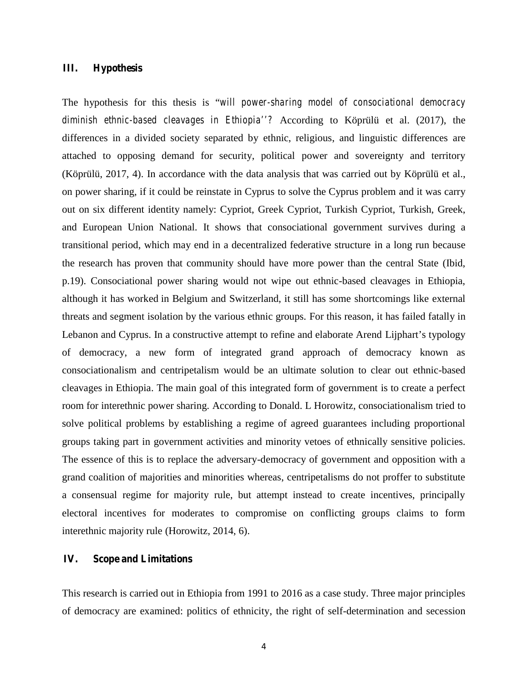### **III. Hypothesis**

The hypothesis for this thesis is "*will power-sharing model of consociational democracy diminish ethnic-based cleavages in Ethiopia''?* According to Köprülü et al. (2017), the differences in a divided society separated by ethnic, religious, and linguistic differences are attached to opposing demand for security, political power and sovereignty and territory (Köprülü, 2017, 4). In accordance with the data analysis that was carried out by Köprülü et al., on power sharing, if it could be reinstate in Cyprus to solve the Cyprus problem and it was carry out on six different identity namely: Cypriot, Greek Cypriot, Turkish Cypriot, Turkish, Greek, and European Union National. It shows that consociational government survives during a transitional period, which may end in a decentralized federative structure in a long run because the research has proven that community should have more power than the central State (Ibid, p.19). Consociational power sharing would not wipe out ethnic-based cleavages in Ethiopia, although it has worked in Belgium and Switzerland, it still has some shortcomings like external threats and segment isolation by the various ethnic groups. For this reason, it has failed fatally in Lebanon and Cyprus. In a constructive attempt to refine and elaborate Arend Lijphart's typology of democracy, a new form of integrated grand approach of democracy known as consociationalism and centripetalism would be an ultimate solution to clear out ethnic-based cleavages in Ethiopia. The main goal of this integrated form of government is to create a perfect room for interethnic power sharing. According to Donald. L Horowitz, consociationalism tried to solve political problems by establishing a regime of agreed guarantees including proportional groups taking part in government activities and minority vetoes of ethnically sensitive policies. The essence of this is to replace the adversary-democracy of government and opposition with a grand coalition of majorities and minorities whereas, centripetalisms do not proffer to substitute a consensual regime for majority rule, but attempt instead to create incentives, principally electoral incentives for moderates to compromise on conflicting groups claims to form interethnic majority rule (Horowitz, 2014, 6).

### **IV. Scope and Limitations**

This research is carried out in Ethiopia from 1991 to 2016 as a case study. Three major principles of democracy are examined: politics of ethnicity, the right of self-determination and secession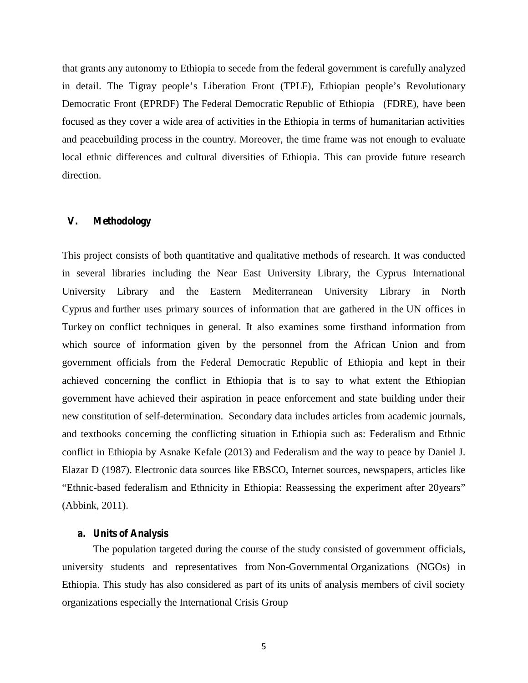that grants any autonomy to Ethiopia to secede from the federal government is carefully analyzed in detail. The Tigray people's Liberation Front (TPLF), Ethiopian people's Revolutionary Democratic Front (EPRDF) The Federal Democratic Republic of Ethiopia (FDRE), have been focused as they cover a wide area of activities in the Ethiopia in terms of humanitarian activities and peacebuilding process in the country. Moreover, the time frame was not enough to evaluate local ethnic differences and cultural diversities of Ethiopia. This can provide future research direction.

#### **V. Methodology**

This project consists of both quantitative and qualitative methods of research. It was conducted in several libraries including the Near East University Library, the Cyprus International University Library and the Eastern Mediterranean University Library in North Cyprus and further uses primary sources of information that are gathered in the UN offices in Turkey on conflict techniques in general. It also examines some firsthand information from which source of information given by the personnel from the African Union and from government officials from the Federal Democratic Republic of Ethiopia and kept in their achieved concerning the conflict in Ethiopia that is to say to what extent the Ethiopian government have achieved their aspiration in peace enforcement and state building under their new constitution of self-determination. Secondary data includes articles from academic journals, and textbooks concerning the conflicting situation in Ethiopia such as: Federalism and Ethnic conflict in Ethiopia by Asnake Kefale (2013) and Federalism and the way to peace by Daniel J. Elazar D (1987). Electronic data sources like EBSCO, Internet sources, newspapers, articles like "Ethnic-based federalism and Ethnicity in Ethiopia: Reassessing the experiment after 20years" (Abbink, 2011).

#### **a. Units of Analysis**

The population targeted during the course of the study consisted of government officials, university students and representatives from Non-Governmental Organizations (NGOs) in Ethiopia. This study has also considered as part of its units of analysis members of civil society organizations especially the International Crisis Group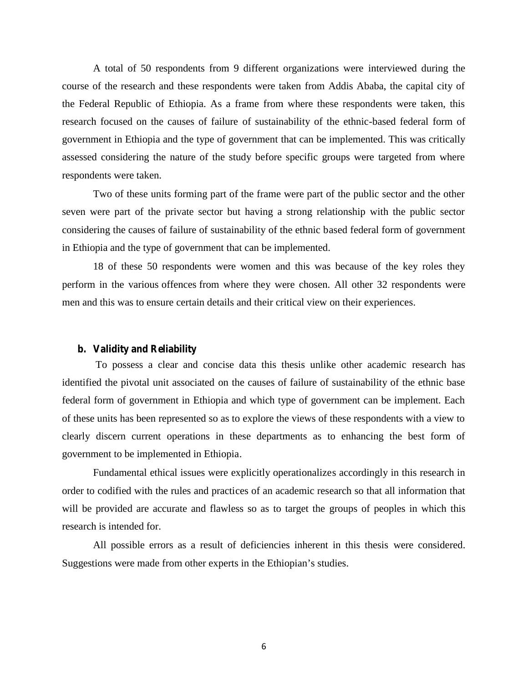A total of 50 respondents from 9 different organizations were interviewed during the course of the research and these respondents were taken from Addis Ababa, the capital city of the Federal Republic of Ethiopia. As a frame from where these respondents were taken, this research focused on the causes of failure of sustainability of the ethnic-based federal form of government in Ethiopia and the type of government that can be implemented. This was critically assessed considering the nature of the study before specific groups were targeted from where respondents were taken.

Two of these units forming part of the frame were part of the public sector and the other seven were part of the private sector but having a strong relationship with the public sector considering the causes of failure of sustainability of the ethnic based federal form of government in Ethiopia and the type of government that can be implemented.

18 of these 50 respondents were women and this was because of the key roles they perform in the various offences from where they were chosen. All other 32 respondents were men and this was to ensure certain details and their critical view on their experiences.

#### **b. Validity and Reliability**

To possess a clear and concise data this thesis unlike other academic research has identified the pivotal unit associated on the causes of failure of sustainability of the ethnic base federal form of government in Ethiopia and which type of government can be implement. Each of these units has been represented so as to explore the views of these respondents with a view to clearly discern current operations in these departments as to enhancing the best form of government to be implemented in Ethiopia.

Fundamental ethical issues were explicitly operationalizes accordingly in this research in order to codified with the rules and practices of an academic research so that all information that will be provided are accurate and flawless so as to target the groups of peoples in which this research is intended for.

All possible errors as a result of deficiencies inherent in this thesis were considered. Suggestions were made from other experts in the Ethiopian's studies.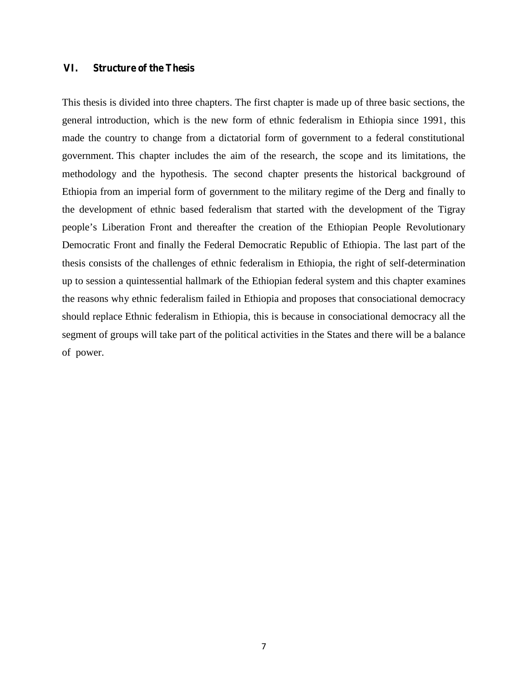#### **VI. Structure of the Thesis**

This thesis is divided into three chapters. The first chapter is made up of three basic sections, the general introduction, which is the new form of ethnic federalism in Ethiopia since 1991, this made the country to change from a dictatorial form of government to a federal constitutional government. This chapter includes the aim of the research, the scope and its limitations, the methodology and the hypothesis. The second chapter presents the historical background of Ethiopia from an imperial form of government to the military regime of the Derg and finally to the development of ethnic based federalism that started with the development of the Tigray people's Liberation Front and thereafter the creation of the Ethiopian People Revolutionary Democratic Front and finally the Federal Democratic Republic of Ethiopia. The last part of the thesis consists of the challenges of ethnic federalism in Ethiopia, the right of self-determination up to session a quintessential hallmark of the Ethiopian federal system and this chapter examines the reasons why ethnic federalism failed in Ethiopia and proposes that consociational democracy should replace Ethnic federalism in Ethiopia, this is because in consociational democracy all the segment of groups will take part of the political activities in the States and there will be a balance of power.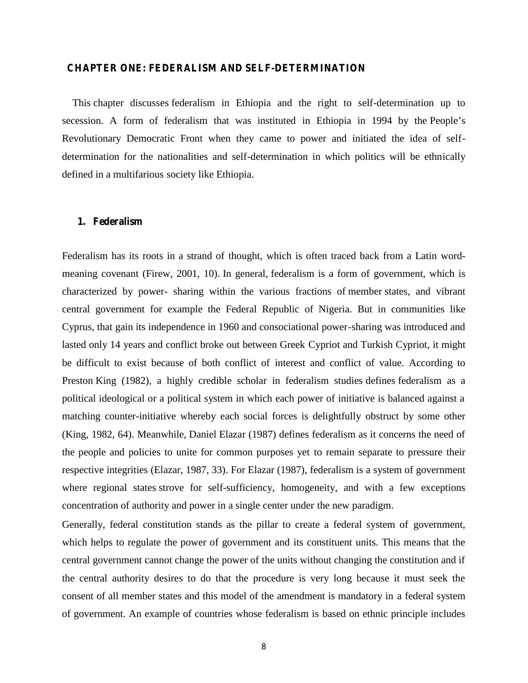#### **CHAPTER ONE: FEDERALISM AND SELF-DETERMINATION**

This chapter discusses federalism in Ethiopia and the right to self-determination up to secession. A form of federalism that was instituted in Ethiopia in 1994 by the People's Revolutionary Democratic Front when they came to power and initiated the idea of self determination for the nationalities and self-determination in which politics will be ethnically defined in a multifarious society like Ethiopia.

#### **1. Federalism**

Federalism has its roots in a strand of thought, which is often traced back from a Latin word meaning covenant (Firew, 2001, 10). In general, federalism is a form of government, which is characterized by power- sharing within the various fractions of member states, and vibrant central government for example the Federal Republic of Nigeria. But in communities like Cyprus, that gain its independence in 1960 and consociational power-sharing was introduced and lasted only 14 years and conflict broke out between Greek Cypriot and Turkish Cypriot, it might be difficult to exist because of both conflict of interest and conflict of value. According to Preston King (1982), a highly credible scholar in federalism studies defines federalism as a political ideological or a political system in which each power of initiative is balanced against a matching counter-initiative whereby each social forces is delightfully obstruct by some other (King, 1982, 64). Meanwhile, Daniel Elazar (1987) defines federalism as it concerns the need of the people and policies to unite for common purposes yet to remain separate to pressure their respective integrities (Elazar, 1987, 33). For Elazar (1987), federalism is a system of government where regional states strove for self-sufficiency, homogeneity, and with a few exceptions concentration of authority and power in a single center under the new paradigm.

Generally, federal constitution stands as the pillar to create a federal system of government, which helps to regulate the power of government and its constituent units. This means that the central government cannot change the power of the units without changing the constitution and if the central authority desires to do that the procedure is very long because it must seek the consent of all member states and this model of the amendment is mandatory in a federal system of government. An example of countries whose federalism is based on ethnic principle includes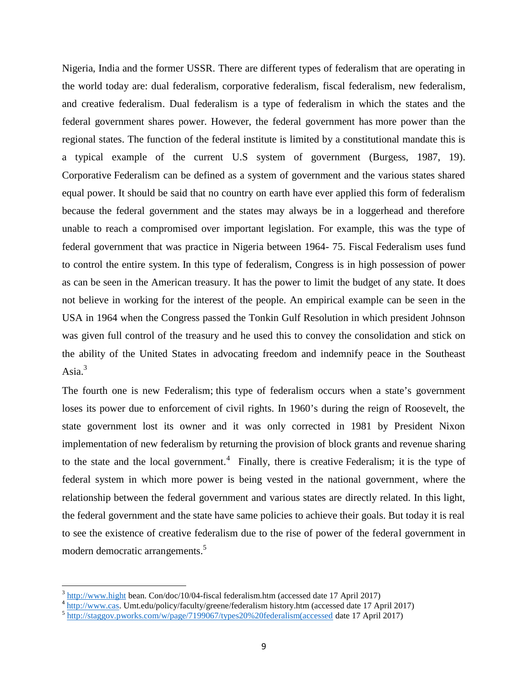Nigeria, India and the former USSR. There are different types of federalism that are operating in the world today are: dual federalism, corporative federalism, fiscal federalism, new federalism, and creative federalism. Dual federalism is a type of federalism in which the states and the federal government shares power. However, the federal government has more power than the regional states. The function of the federal institute is limited by a constitutional mandate this is a typical example of the current U.S system of government (Burgess, 1987, 19). Corporative Federalism can be defined as a system of government and the various states shared equal power. It should be said that no country on earth have ever applied this form of federalism because the federal government and the states may always be in a loggerhead and therefore unable to reach a compromised over important legislation. For example, this was the type of federal government that was practice in Nigeria between 1964- 75. Fiscal Federalism uses fund to control the entire system. In this type of federalism, Congress is in high possession of power as can be seen in the American treasury. It has the power to limit the budget of any state. It does not believe in working for the interest of the people. An empirical example can be seen in the USA in 1964 when the Congress passed the Tonkin Gulf Resolution in which president Johnson was given full control of the treasury and he used this to convey the consolidation and stick on the ability of the United States in advocating freedom and indemnify peace in the Southeast Asia. $3$ 

The fourth one is new Federalism; this type of federalism occurs when a state's government loses its power due to enforcement of civil rights. In 1960's during the reign of Roosevelt, the state government lost its owner and it was only corrected in 1981 by President Nixon implementation of new federalism by returning the provision of block grants and revenue sharing to the state and the local government.<sup>4</sup> Finally, there is creative Federalism; it is the type of federal system in which more power is being vested in the national government, where the relationship between the federal government and various states are directly related. In this light, the federal government and the state have same policies to achieve their goals. But today it is real to see the existence of creative federalism due to the rise of power of the federal government in modern democratic arrangements.<sup>5</sup>

 $3 \text{ http://www.hight bean. Condoc/10/04-fixed federalism.htm (accessed date 17 April 2017)}$ 

<sup>&</sup>lt;sup>4</sup> http://www.cas. Umt.edu/policy/faculty/greene/federalism history.htm (accessed date 17 April 2017)

<sup>5</sup> http://staggov.pworks.com/w/page/7199067/types20%20federalism(accessed date 17 April 2017)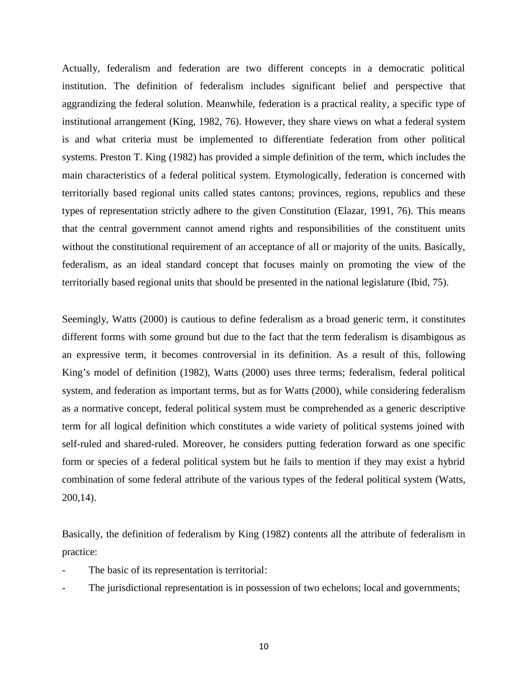Actually, federalism and federation are two different concepts in a democratic political institution. The definition of federalism includes significant belief and perspective that aggrandizing the federal solution. Meanwhile, federation is a practical reality, a specific type of institutional arrangement (King, 1982, 76). However, they share views on what a federal system is and what criteria must be implemented to differentiate federation from other political systems. Preston T. King (1982) has provided a simple definition of the term, which includes the main characteristics of a federal political system. Etymologically, federation is concerned with territorially based regional units called states cantons; provinces, regions, republics and these types of representation strictly adhere to the given Constitution (Elazar, 1991, 76). This means that the central government cannot amend rights and responsibilities of the constituent units without the constitutional requirement of an acceptance of all or majority of the units. Basically, federalism, as an ideal standard concept that focuses mainly on promoting the view of the territorially based regional units that should be presented in the national legislature (Ibid, 75).

Seemingly, Watts (2000) is cautious to define federalism as a broad generic term, it constitutes different forms with some ground but due to the fact that the term federalism is disambigous as an expressive term, it becomes controversial in its definition. As a result of this, following King's model of definition (1982), Watts (2000) uses three terms; federalism, federal political system, and federation as important terms, but as for Watts (2000), while considering federalism as a normative concept, federal political system must be comprehended as a generic descriptive term for all logical definition which constitutes a wide variety of political systems joined with self-ruled and shared-ruled. Moreover, he considers putting federation forward as one specific form or species of a federal political system but he fails to mention if they may exist a hybrid combination of some federal attribute of the various types of the federal political system (Watts, 200,14).

Basically, the definition of federalism by King (1982) contents all the attribute of federalism in practice:

- The basic of its representation is territorial:
- The jurisdictional representation is in possession of two echelons; local and governments;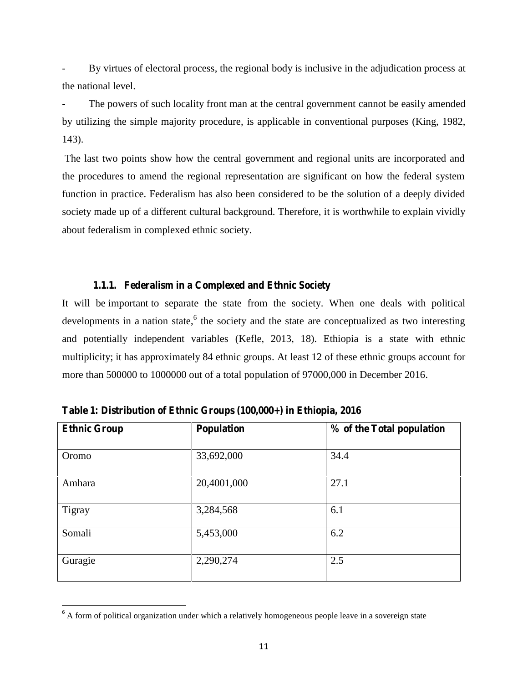By virtues of electoral process, the regional body is inclusive in the adjudication process at the national level.

The powers of such locality front man at the central government cannot be easily amended by utilizing the simple majority procedure, is applicable in conventional purposes (King, 1982, 143).

The last two points show how the central government and regional units are incorporated and the procedures to amend the regional representation are significant on how the federal system function in practice. Federalism has also been considered to be the solution of a deeply divided society made up of a different cultural background. Therefore, it is worthwhile to explain vividly about federalism in complexed ethnic society.

### **1.1.1. Federalism in a Complexed and Ethnic Society**

It will be important to separate the state from the society. When one deals with political developments in a nation state, <sup>6</sup> the society and the state are conceptualized as two interesting and potentially independent variables (Kefle, 2013, 18). Ethiopia is a state with ethnic multiplicity; it has approximately 84 ethnic groups. At least 12 of these ethnic groups account for more than 500000 to 1000000 out of a total population of 97000,000 in December 2016.

| <b>Ethnic Group</b> | <b>Population</b> | % of the Total population |  |
|---------------------|-------------------|---------------------------|--|
| Oromo               | 33,692,000        | 34.4                      |  |
| Amhara              | 20,4001,000       | 27.1                      |  |
| Tigray              | 3,284,568         | 6.1                       |  |
| Somali              | 5,453,000         | 6.2                       |  |
| Guragie             | 2,290,274         | 2.5                       |  |

**Table 1: Distribution of Ethnic Groups (100,000+) in Ethiopia, 2016**

<sup>&</sup>lt;sup>6</sup> A form of political organization under which a relatively homogeneous people leave in a sovereign state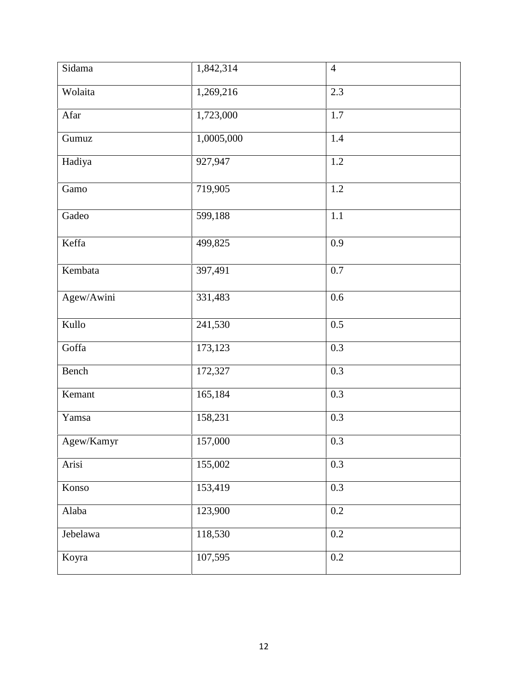| Sidama     | 1,842,314  | $\overline{4}$ |
|------------|------------|----------------|
| Wolaita    | 1,269,216  | 2.3            |
| Afar       | 1,723,000  | 1.7            |
| Gumuz      | 1,0005,000 | $1.4\,$        |
| Hadiya     | 927,947    | $1.2\,$        |
| Gamo       | 719,905    | $1.2\,$        |
| Gadeo      | 599,188    | $1.1\,$        |
| Keffa      | 499,825    | 0.9            |
| Kembata    | 397,491    | 0.7            |
| Agew/Awini | 331,483    | 0.6            |
| Kullo      | 241,530    | 0.5            |
| Goffa      | 173,123    | 0.3            |
| Bench      | 172,327    | 0.3            |
| Kemant     | 165,184    | 0.3            |
| Yamsa      | 158,231    | 0.3            |
| Agew/Kamyr | 157,000    | 0.3            |
| Arisi      | 155,002    | 0.3            |
| Konso      | 153,419    | 0.3            |
| Alaba      | 123,900    | $0.2\,$        |
| Jebelawa   | 118,530    | $0.2\,$        |
| Koyra      | 107,595    | $0.2\,$        |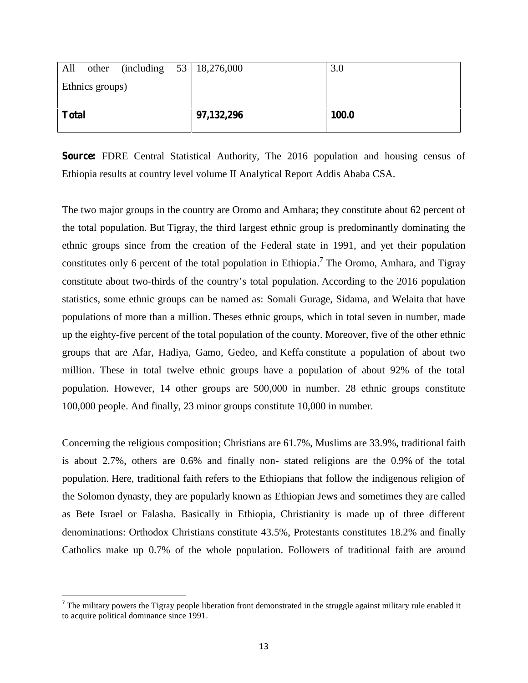| All          |                 |              | other (including $53 \mid 18,276,000$ | 3.0 |
|--------------|-----------------|--------------|---------------------------------------|-----|
|              | Ethnics groups) |              |                                       |     |
|              |                 |              |                                       |     |
| <b>Total</b> |                 | 97, 132, 296 | 100.0                                 |     |
|              |                 |              |                                       |     |

**Source:** FDRE Central Statistical Authority, The 2016 population and housing census of Ethiopia results at country level volume II Analytical Report Addis Ababa CSA.

The two major groups in the country are Oromo and Amhara; they constitute about 62 percent of the total population. But Tigray, the third largest ethnic group is predominantly dominating the ethnic groups since from the creation of the Federal state in 1991, and yet their population constitutes only 6 percent of the total population in Ethiopia.<sup>7</sup> The Oromo, Amhara, and Tigray constitute about two-thirds of the country's total population. According to the 2016 population statistics, some ethnic groups can be named as: Somali Gurage, Sidama, and Welaita that have populations of more than a million. Theses ethnic groups, which in total seven in number, made up the eighty-five percent of the total population of the county. Moreover, five of the other ethnic groups that are Afar, Hadiya, Gamo, Gedeo, and Keffa constitute a population of about two million. These in total twelve ethnic groups have a population of about 92% of the total population. However, 14 other groups are 500,000 in number. 28 ethnic groups constitute 100,000 people. And finally, 23 minor groups constitute 10,000 in number.

Concerning the religious composition; Christians are 61.7%, Muslims are 33.9%, traditional faith is about 2.7%, others are 0.6% and finally non- stated religions are the 0.9% of the total population. Here, traditional faith refers to the Ethiopians that follow the indigenous religion of the Solomon dynasty, they are popularly known as Ethiopian Jews and sometimes they are called as Bete Israel or Falasha. Basically in Ethiopia, Christianity is made up of three different denominations: Orthodox Christians constitute 43.5%, Protestants constitutes 18.2% and finally Catholics make up 0.7% of the whole population. Followers of traditional faith are around

 $<sup>7</sup>$  The military powers the Tigray people liberation front demonstrated in the struggle against military rule enabled it</sup> to acquire political dominance since 1991.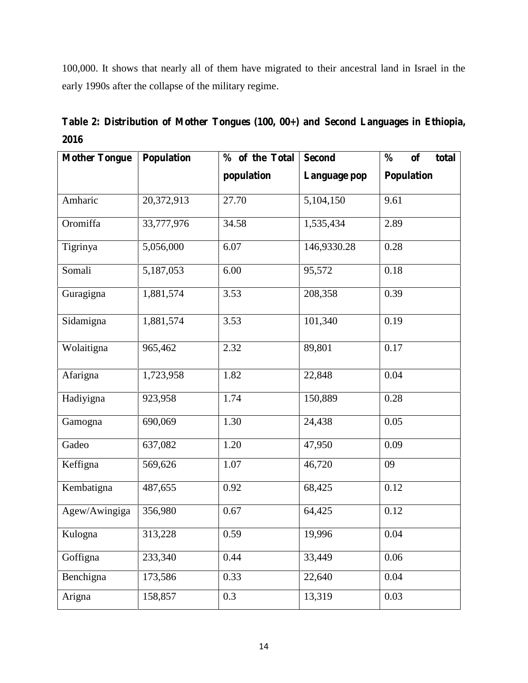100,000. It shows that nearly all of them have migrated to their ancestral land in Israel in the early 1990s after the collapse of the military regime.

| <b>Mother Tongue</b> | Population | % of the Total | <b>Second</b> | $\frac{0}{0}$<br>of<br>total |
|----------------------|------------|----------------|---------------|------------------------------|
|                      |            | population     | Language pop  | <b>Population</b>            |
| Amharic              | 20,372,913 | 27.70          | 5,104,150     | 9.61                         |
| Oromiffa             | 33,777,976 | 34.58          | 1,535,434     | 2.89                         |
| Tigrinya             | 5,056,000  | 6.07           | 146,9330.28   | 0.28                         |
| Somali               | 5,187,053  | 6.00           | 95,572        | 0.18                         |
| Guragigna            | 1,881,574  | 3.53           | 208,358       | 0.39                         |
| Sidamigna            | 1,881,574  | 3.53           | 101,340       | 0.19                         |
| Wolaitigna           | 965,462    | 2.32           | 89,801        | 0.17                         |
| Afarigna             | 1,723,958  | 1.82           | 22,848        | 0.04                         |
| Hadiyigna            | 923,958    | 1.74           | 150,889       | 0.28                         |
| Gamogna              | 690,069    | 1.30           | 24,438        | 0.05                         |
| Gadeo                | 637,082    | 1.20           | 47,950        | 0.09                         |
| Keffigna             | 569,626    | 1.07           | 46,720        | 09                           |
| Kembatigna           | 487,655    | 0.92           | 68,425        | 0.12                         |
| Agew/Awingiga        | 356,980    | 0.67           | 64,425        | 0.12                         |
| Kulogna              | 313,228    | 0.59           | 19,996        | $0.04\,$                     |
| Goffigna             | 233,340    | 0.44           | 33,449        | 0.06                         |
| Benchigna            | 173,586    | 0.33           | 22,640        | 0.04                         |
| Arigna               | 158,857    | 0.3            | 13,319        | 0.03                         |

**Table 2: Distribution of Mother Tongues (100, 00+) and Second Languages in Ethiopia, 2016**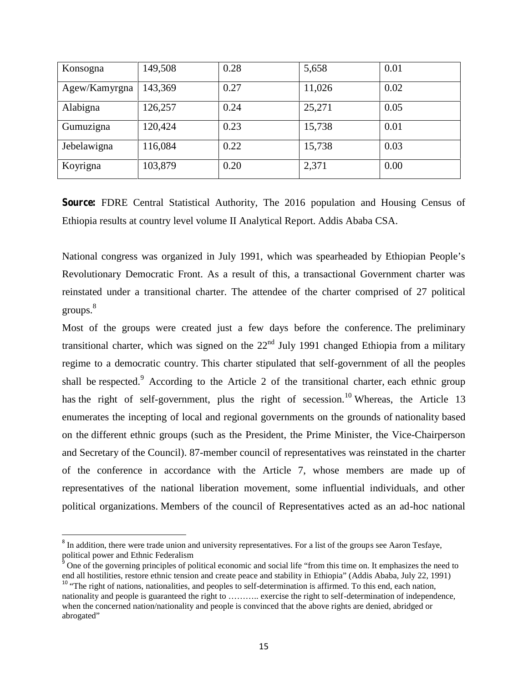| Konsogna      | 149,508 | 0.28 | 5,658  | 0.01 |
|---------------|---------|------|--------|------|
| Agew/Kamyrgna | 143,369 | 0.27 | 11,026 | 0.02 |
| Alabigna      | 126,257 | 0.24 | 25,271 | 0.05 |
| Gumuzigna     | 120,424 | 0.23 | 15,738 | 0.01 |
| Jebelawigna   | 116,084 | 0.22 | 15,738 | 0.03 |
| Koyrigna      | 103,879 | 0.20 | 2,371  | 0.00 |

**Source:** FDRE Central Statistical Authority, The 2016 population and Housing Census of Ethiopia results at country level volume II Analytical Report. Addis Ababa CSA.

National congress was organized in July 1991, which was spearheaded by Ethiopian People's Revolutionary Democratic Front. As a result of this, a transactional Government charter was reinstated under a transitional charter. The attendee of the charter comprised of 27 political groups.<sup>8</sup>

Most of the groups were created just a few days before the conference. The preliminary transitional charter, which was signed on the  $22<sup>nd</sup>$  July 1991 changed Ethiopia from a military regime to a democratic country. This charter stipulated that self-government of all the peoples shall be respected.<sup>9</sup> According to the Article 2 of the transitional charter, each ethnic group has the right of self-government, plus the right of secession.<sup>10</sup> Whereas, the Article 13 enumerates the incepting of local and regional governments on the grounds of nationality based on the different ethnic groups (such as the President, the Prime Minister, the Vice-Chairperson and Secretary of the Council). 87-member council of representatives was reinstated in the charter of the conference in accordance with the Article 7, whose members are made up of representatives of the national liberation movement, some influential individuals, and other political organizations. Members of the council of Representatives acted as an ad-hoc national

 $8$  In addition, there were trade union and university representatives. For a list of the groups see Aaron Tesfaye, political power and Ethnic Federalism

<sup>9</sup> One of the governing principles of political economic and social life "from this time on. It emphasizes the need to end all hostilities, restore ethnic tension and create peace and stability in Ethiopia" (Addis Ababa, July 22, 1991)  $10$  "The right of nations, nationalities, and peoples to self-determination is affirmed. To this end, each nation, nationality and people is guaranteed the right to ……….. exercise the right to self-determination of independence, when the concerned nation/nationality and people is convinced that the above rights are denied, abridged or abrogated"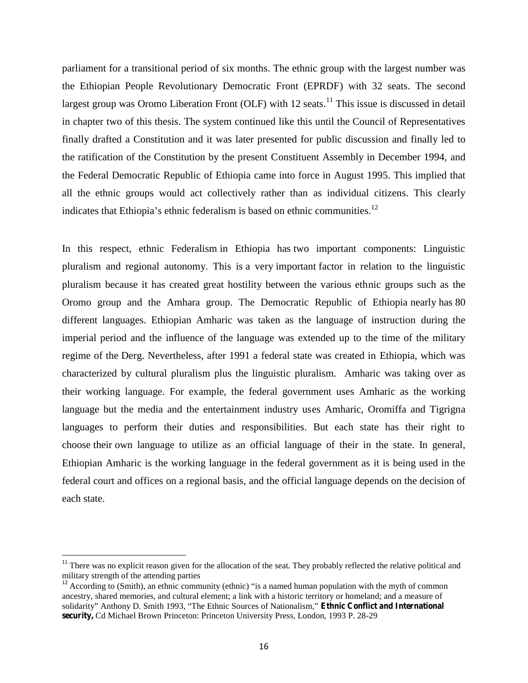parliament for a transitional period of six months. The ethnic group with the largest number was the Ethiopian People Revolutionary Democratic Front (EPRDF) with 32 seats. The second largest group was Oromo Liberation Front (OLF) with 12 seats.<sup>11</sup> This issue is discussed in detail in chapter two of this thesis. The system continued like this until the Council of Representatives finally drafted a Constitution and it was later presented for public discussion and finally led to the ratification of the Constitution by the present Constituent Assembly in December 1994, and the Federal Democratic Republic of Ethiopia came into force in August 1995. This implied that all the ethnic groups would act collectively rather than as individual citizens. This clearly indicates that Ethiopia's ethnic federalism is based on ethnic communities.<sup>12</sup>

In this respect, ethnic Federalism in Ethiopia has two important components: Linguistic pluralism and regional autonomy. This is a very important factor in relation to the linguistic pluralism because it has created great hostility between the various ethnic groups such as the Oromo group and the Amhara group. The Democratic Republic of Ethiopia nearly has 80 different languages. Ethiopian Amharic was taken as the language of instruction during the imperial period and the influence of the language was extended up to the time of the military regime of the Derg. Nevertheless, after 1991 a federal state was created in Ethiopia, which was characterized by cultural pluralism plus the linguistic pluralism. Amharic was taking over as their working language. For example, the federal government uses Amharic as the working language but the media and the entertainment industry uses Amharic, Oromiffa and Tigrigna languages to perform their duties and responsibilities. But each state has their right to choose their own language to utilize as an official language of their in the state. In general, Ethiopian Amharic is the working language in the federal government as it is being used in the federal court and offices on a regional basis, and the official language depends on the decision of each state.

<sup>&</sup>lt;sup>11</sup> There was no explicit reason given for the allocation of the seat. They probably reflected the relative political and military strength of the attending parties

<sup>&</sup>lt;sup>12</sup> According to (Smith), an ethnic community (ethnic) "is a named human population with the myth of common ancestry, shared memories, and cultural element; a link with a historic territory or homeland; and a measure of solidarity" Anthony D. Smith 1993, "The Ethnic Sources of Nationalism," **Ethnic Conflict and International security,** Cd Michael Brown Princeton: Princeton University Press, London, 1993 P. 28-29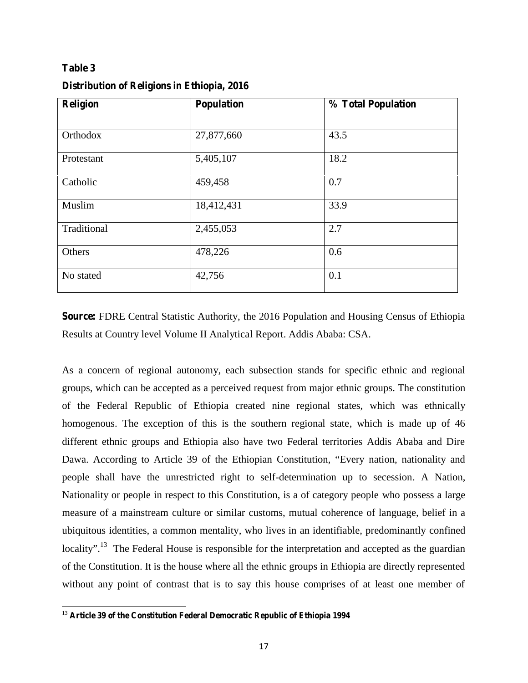### **Table 3**

| <b>Religion</b> | <b>Population</b> | % Total Population |  |
|-----------------|-------------------|--------------------|--|
|                 |                   |                    |  |
| Orthodox        | 27,877,660        | 43.5               |  |
| Protestant      | 5,405,107         | 18.2               |  |
| Catholic        | 459,458           | 0.7                |  |
| Muslim          | 18,412,431        | 33.9               |  |
| Traditional     | 2,455,053         | 2.7                |  |
| Others          | 478,226           | 0.6                |  |
| No stated       | 42,756            | 0.1                |  |

#### **Distribution of Religions in Ethiopia, 2016**

**Source:** FDRE Central Statistic Authority, the 2016 Population and Housing Census of Ethiopia Results at Country level Volume II Analytical Report. Addis Ababa: CSA.

As a concern of regional autonomy, each subsection stands for specific ethnic and regional groups, which can be accepted as a perceived request from major ethnic groups. The constitution of the Federal Republic of Ethiopia created nine regional states, which was ethnically homogenous. The exception of this is the southern regional state, which is made up of 46 different ethnic groups and Ethiopia also have two Federal territories Addis Ababa and Dire Dawa. According to Article 39 of the Ethiopian Constitution, "Every nation, nationality and people shall have the unrestricted right to self-determination up to secession. A Nation, Nationality or people in respect to this Constitution, is a of category people who possess a large measure of a mainstream culture or similar customs, mutual coherence of language, belief in a ubiquitous identities, a common mentality, who lives in an identifiable, predominantly confined locality".<sup>13</sup> The Federal House is responsible for the interpretation and accepted as the guardian of the Constitution. It is the house where all the ethnic groups in Ethiopia are directly represented without any point of contrast that is to say this house comprises of at least one member of

<sup>13</sup> **Article 39 of the Constitution Federal Democratic Republic of Ethiopia 1994**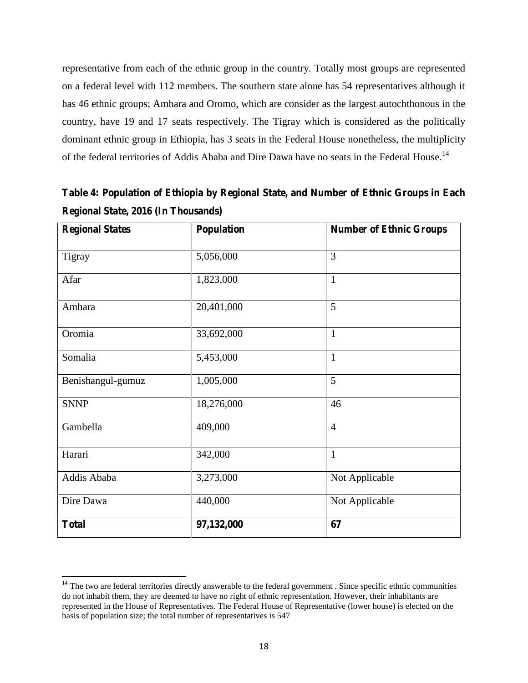representative from each of the ethnic group in the country. Totally most groups are represented on a federal level with 112 members. The southern state alone has 54 representatives although it has 46 ethnic groups; Amhara and Oromo, which are consider as the largest autochthonous in the country, have 19 and 17 seats respectively. The Tigray which is considered as the politically dominant ethnic group in Ethiopia, has 3 seats in the Federal House nonetheless, the multiplicity of the federal territories of Addis Ababa and Dire Dawa have no seats in the Federal House.<sup>14</sup>

| <b>Regional States</b> | <b>Population</b> | <b>Number of Ethnic Groups</b> |
|------------------------|-------------------|--------------------------------|
| Tigray                 | 5,056,000         | 3                              |
| Afar                   | 1,823,000         | $\mathbf{1}$                   |
| Amhara                 | 20,401,000        | 5                              |
| Oromia                 | 33,692,000        | $\mathbf{1}$                   |
| Somalia                | 5,453,000         | $\mathbf{1}$                   |
| Benishangul-gumuz      | 1,005,000         | 5                              |
| <b>SNNP</b>            | 18,276,000        | 46                             |
| Gambella               | 409,000           | $\overline{4}$                 |
| Harari                 | 342,000           | $\mathbf{1}$                   |
| Addis Ababa            | 3,273,000         | Not Applicable                 |
| Dire Dawa              | 440,000           | Not Applicable                 |
| <b>Total</b>           | 97,132,000        | 67                             |

**Table 4: Population of Ethiopia by Regional State, and Number of Ethnic Groups in Each Regional State, 2016 (In Thousands)**

 $14$  The two are federal territories directly answerable to the federal government. Since specific ethnic communities do not inhabit them, they are deemed to have no right of ethnic representation. However, their inhabitants are represented in the House of Representatives. The Federal House of Representative (lower house) is elected on the basis of population size; the total number of representatives is 547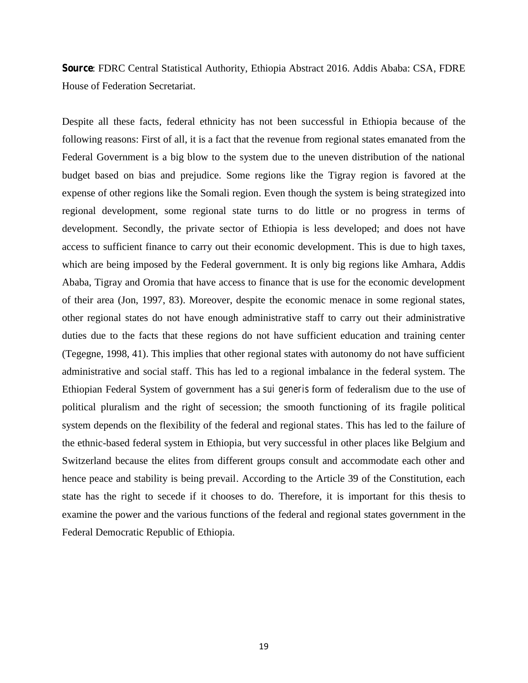**Source**: FDRC Central Statistical Authority, Ethiopia Abstract 2016. Addis Ababa: CSA, FDRE House of Federation Secretariat.

Despite all these facts, federal ethnicity has not been successful in Ethiopia because of the following reasons: First of all, it is a fact that the revenue from regional states emanated from the Federal Government is a big blow to the system due to the uneven distribution of the national budget based on bias and prejudice. Some regions like the Tigray region is favored at the expense of other regions like the Somali region. Even though the system is being strategized into regional development, some regional state turns to do little or no progress in terms of development. Secondly, the private sector of Ethiopia is less developed; and does not have access to sufficient finance to carry out their economic development. This is due to high taxes, which are being imposed by the Federal government. It is only big regions like Amhara, Addis Ababa, Tigray and Oromia that have access to finance that is use for the economic development of their area (Jon, 1997, 83). Moreover, despite the economic menace in some regional states, other regional states do not have enough administrative staff to carry out their administrative duties due to the facts that these regions do not have sufficient education and training center (Tegegne, 1998, 41). This implies that other regional states with autonomy do not have sufficient administrative and social staff. This has led to a regional imbalance in the federal system. The Ethiopian Federal System of government has a *sui generis* form of federalism due to the use of political pluralism and the right of secession; the smooth functioning of its fragile political system depends on the flexibility of the federal and regional states. This has led to the failure of the ethnic-based federal system in Ethiopia, but very successful in other places like Belgium and Switzerland because the elites from different groups consult and accommodate each other and hence peace and stability is being prevail. According to the Article 39 of the Constitution, each state has the right to secede if it chooses to do. Therefore, it is important for this thesis to examine the power and the various functions of the federal and regional states government in the Federal Democratic Republic of Ethiopia.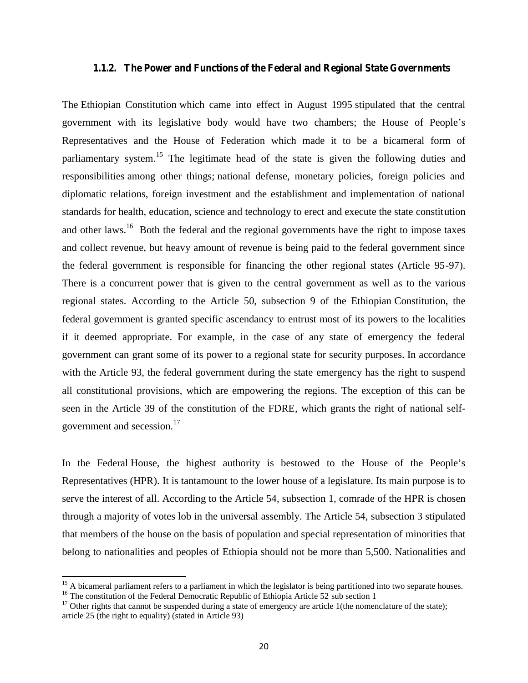#### **1.1.2. The Power and Functions of the Federal and Regional State Governments**

The Ethiopian Constitution which came into effect in August 1995 stipulated that the central government with its legislative body would have two chambers; the House of People's Representatives and the House of Federation which made it to be a bicameral form of parliamentary system.<sup>15</sup> The legitimate head of the state is given the following duties and responsibilities among other things; national defense, monetary policies, foreign policies and diplomatic relations, foreign investment and the establishment and implementation of national standards for health, education, science and technology to erect and execute the state constitution and other laws.<sup>16</sup> Both the federal and the regional governments have the right to impose taxes and collect revenue, but heavy amount of revenue is being paid to the federal government since the federal government is responsible for financing the other regional states (Article 95-97). There is a concurrent power that is given to the central government as well as to the various regional states. According to the Article 50, subsection 9 of the Ethiopian Constitution, the federal government is granted specific ascendancy to entrust most of its powers to the localities if it deemed appropriate. For example, in the case of any state of emergency the federal government can grant some of its power to a regional state for security purposes. In accordance with the Article 93, the federal government during the state emergency has the right to suspend all constitutional provisions, which are empowering the regions. The exception of this can be seen in the Article 39 of the constitution of the FDRE, which grants the right of national self government and secession.<sup>17</sup>

In the Federal House, the highest authority is bestowed to the House of the People's Representatives (HPR). It is tantamount to the lower house of a legislature. Its main purpose is to serve the interest of all. According to the Article 54, subsection 1, comrade of the HPR is chosen through a majority of votes lob in the universal assembly. The Article 54, subsection 3 stipulated that members of the house on the basis of population and special representation of minorities that belong to nationalities and peoples of Ethiopia should not be more than 5,500. Nationalities and

<sup>&</sup>lt;sup>15</sup> A bicameral parliament refers to a parliament in which the legislator is being partitioned into two separate houses.  $16$  The constitution of the Federal Democratic Republic of Ethiopia Article 52 sub section 1

<sup>&</sup>lt;sup>17</sup> Other rights that cannot be suspended during a state of emergency are article 1(the nomenclature of the state); article 25 (the right to equality) (stated in Article 93)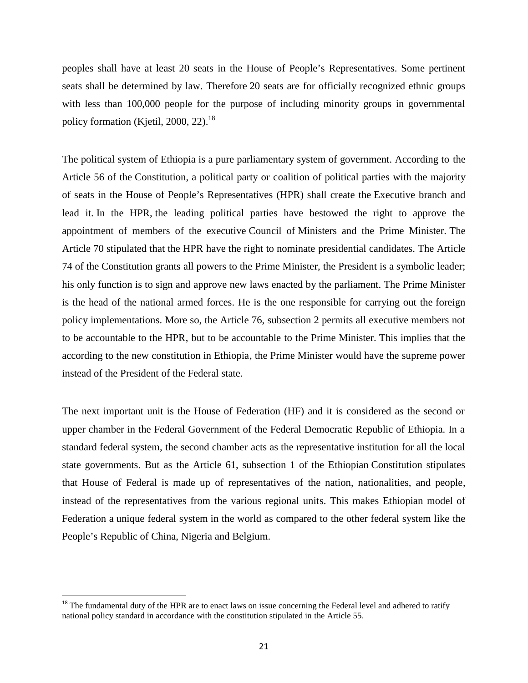peoples shall have at least 20 seats in the House of People's Representatives. Some pertinent seats shall be determined by law. Therefore 20 seats are for officially recognized ethnic groups with less than 100,000 people for the purpose of including minority groups in governmental policy formation (Kietil, 2000, 22).<sup>18</sup>

The political system of Ethiopia is a pure parliamentary system of government. According to the Article 56 of the Constitution, a political party or coalition of political parties with the majority of seats in the House of People's Representatives (HPR) shall create the Executive branch and lead it. In the HPR, the leading political parties have bestowed the right to approve the appointment of members of the executive Council of Ministers and the Prime Minister. The Article 70 stipulated that the HPR have the right to nominate presidential candidates. The Article 74 of the Constitution grants all powers to the Prime Minister, the President is a symbolic leader; his only function is to sign and approve new laws enacted by the parliament. The Prime Minister is the head of the national armed forces. He is the one responsible for carrying out the foreign policy implementations. More so, the Article 76, subsection 2 permits all executive members not to be accountable to the HPR, but to be accountable to the Prime Minister. This implies that the according to the new constitution in Ethiopia, the Prime Minister would have the supreme power instead of the President of the Federal state.

The next important unit is the House of Federation (HF) and it is considered as the second or upper chamber in the Federal Government of the Federal Democratic Republic of Ethiopia. In a standard federal system, the second chamber acts as the representative institution for all the local state governments. But as the Article 61, subsection 1 of the Ethiopian Constitution stipulates that House of Federal is made up of representatives of the nation, nationalities, and people, instead of the representatives from the various regional units. This makes Ethiopian model of Federation a unique federal system in the world as compared to the other federal system like the People's Republic of China, Nigeria and Belgium.

<sup>&</sup>lt;sup>18</sup> The fundamental duty of the HPR are to enact laws on issue concerning the Federal level and adhered to ratify national policy standard in accordance with the constitution stipulated in the Article 55.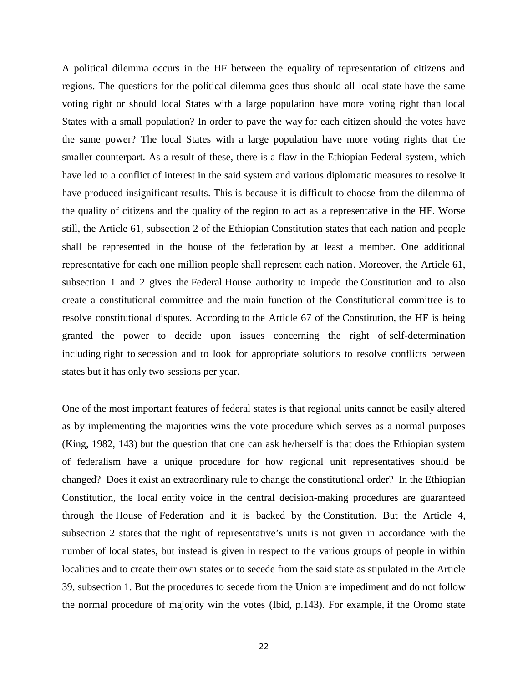A political dilemma occurs in the HF between the equality of representation of citizens and regions. The questions for the political dilemma goes thus should all local state have the same voting right or should local States with a large population have more voting right than local States with a small population? In order to pave the way for each citizen should the votes have the same power? The local States with a large population have more voting rights that the smaller counterpart. As a result of these, there is a flaw in the Ethiopian Federal system, which have led to a conflict of interest in the said system and various diplomatic measures to resolve it have produced insignificant results. This is because it is difficult to choose from the dilemma of the quality of citizens and the quality of the region to act as a representative in the HF. Worse still, the Article 61, subsection 2 of the Ethiopian Constitution states that each nation and people shall be represented in the house of the federation by at least a member. One additional representative for each one million people shall represent each nation. Moreover, the Article 61, subsection 1 and 2 gives the Federal House authority to impede the Constitution and to also create a constitutional committee and the main function of the Constitutional committee is to resolve constitutional disputes. According to the Article 67 of the Constitution, the HF is being granted the power to decide upon issues concerning the right of self-determination including right to secession and to look for appropriate solutions to resolve conflicts between states but it has only two sessions per year.

One of the most important features of federal states is that regional units cannot be easily altered as by implementing the majorities wins the vote procedure which serves as a normal purposes (King, 1982, 143) but the question that one can ask he/herself is that does the Ethiopian system of federalism have a unique procedure for how regional unit representatives should be changed? Does it exist an extraordinary rule to change the constitutional order? In the Ethiopian Constitution, the local entity voice in the central decision-making procedures are guaranteed through the House of Federation and it is backed by the Constitution. But the Article 4, subsection 2 states that the right of representative's units is not given in accordance with the number of local states, but instead is given in respect to the various groups of people in within localities and to create their own states or to secede from the said state as stipulated in the Article 39, subsection 1. But the procedures to secede from the Union are impediment and do not follow the normal procedure of majority win the votes (Ibid, p.143). For example, if the Oromo state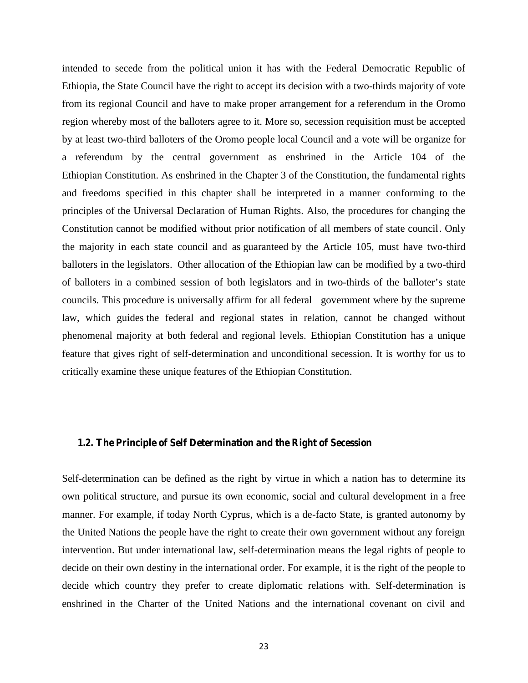intended to secede from the political union it has with the Federal Democratic Republic of Ethiopia, the State Council have the right to accept its decision with a two-thirds majority of vote from its regional Council and have to make proper arrangement for a referendum in the Oromo region whereby most of the balloters agree to it. More so, secession requisition must be accepted by at least two-third balloters of the Oromo people local Council and a vote will be organize for a referendum by the central government as enshrined in the Article 104 of the Ethiopian Constitution. As enshrined in the Chapter 3 of the Constitution, the fundamental rights and freedoms specified in this chapter shall be interpreted in a manner conforming to the principles of the Universal Declaration of Human Rights. Also, the procedures for changing the Constitution cannot be modified without prior notification of all members of state council. Only the majority in each state council and as guaranteed by the Article 105, must have two-third balloters in the legislators. Other allocation of the Ethiopian law can be modified by a two-third of balloters in a combined session of both legislators and in two-thirds of the balloter's state councils. This procedure is universally affirm for all federal government where by the supreme law, which guides the federal and regional states in relation, cannot be changed without phenomenal majority at both federal and regional levels. Ethiopian Constitution has a unique feature that gives right of self-determination and unconditional secession. It is worthy for us to critically examine these unique features of the Ethiopian Constitution.

### **1.2. The Principle of Self Determination and the Right of Secession**

Self-determination can be defined as the right by virtue in which a nation has to determine its own political structure, and pursue its own economic, social and cultural development in a free manner. For example, if today North Cyprus, which is a de-facto State, is granted autonomy by the United Nations the people have the right to create their own government without any foreign intervention. But under international law, self-determination means the legal rights of people to decide on their own destiny in the international order. For example, it is the right of the people to decide which country they prefer to create diplomatic relations with. Self-determination is enshrined in the Charter of the United Nations and the international covenant on civil and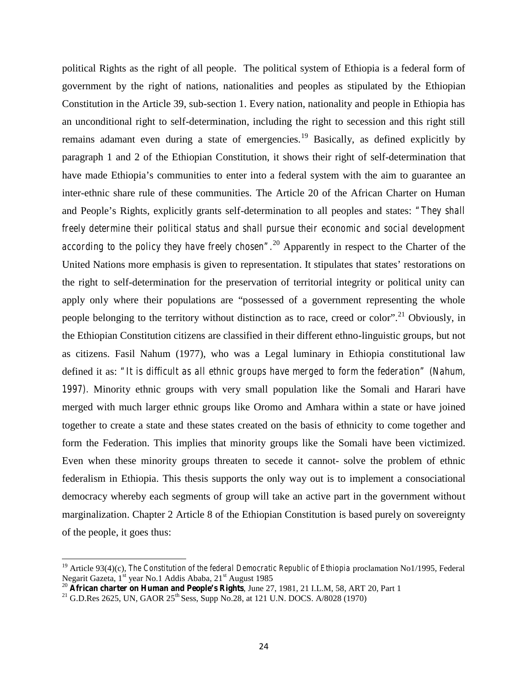political Rights as the right of all people. The political system of Ethiopia is a federal form of government by the right of nations, nationalities and peoples as stipulated by the Ethiopian Constitution in the Article 39, sub-section 1. Every nation, nationality and people in Ethiopia has an unconditional right to self-determination, including the right to secession and this right still remains adamant even during a state of emergencies.<sup>19</sup> Basically, as defined explicitly by paragraph 1 and 2 of the Ethiopian Constitution, it shows their right of self-determination that have made Ethiopia's communities to enter into a federal system with the aim to guarantee an inter-ethnic share rule of these communities. The Article 20 of the African Charter on Human and People's Rights, explicitly grants self-determination to all peoples and states: *"They shall freely determine their political status and shall pursue their economic and social development according to the policy they have freely chosen".*<sup>20</sup> Apparently in respect to the Charter of the United Nations more emphasis is given to representation. It stipulates that states' restorations on the right to self-determination for the preservation of territorial integrity or political unity can apply only where their populations are "possessed of a government representing the whole people belonging to the territory without distinction as to race, creed or color".<sup>21</sup> Obviously, in the Ethiopian Constitution citizens are classified in their different ethno-linguistic groups, but not as citizens. Fasil Nahum (1977), who was a Legal luminary in Ethiopia constitutional law defined it as: *"It is difficult as all ethnic groups have merged to form the federation" (Nahum, 1997).* Minority ethnic groups with very small population like the Somali and Harari have merged with much larger ethnic groups like Oromo and Amhara within a state or have joined together to create a state and these states created on the basis of ethnicity to come together and form the Federation. This implies that minority groups like the Somali have been victimized. Even when these minority groups threaten to secede it cannot- solve the problem of ethnic federalism in Ethiopia. This thesis supports the only way out is to implement a consociational democracy whereby each segments of group will take an active part in the government without marginalization. Chapter 2 Article 8 of the Ethiopian Constitution is based purely on sovereignty of the people, it goes thus:

<sup>&</sup>lt;sup>19</sup> Article 93(4)(c), *The Constitution of the federal Democratic Republic of Ethiopia* proclamation No1/1995, Federal Negarit Gazeta, 1<sup>st</sup> year No.1 Addis Ababa, 21<sup>st</sup> August 1985

<sup>20</sup> **African charter on Human and People's Rights**, June 27, 1981, 21 I.L.M, 58, ART 20, Part 1

<sup>&</sup>lt;sup>21</sup> G.D.Res 2625, UN, GAOR 25<sup>th</sup> Sess, Supp No.28, at 121 U.N. DOCS. A/8028 (1970)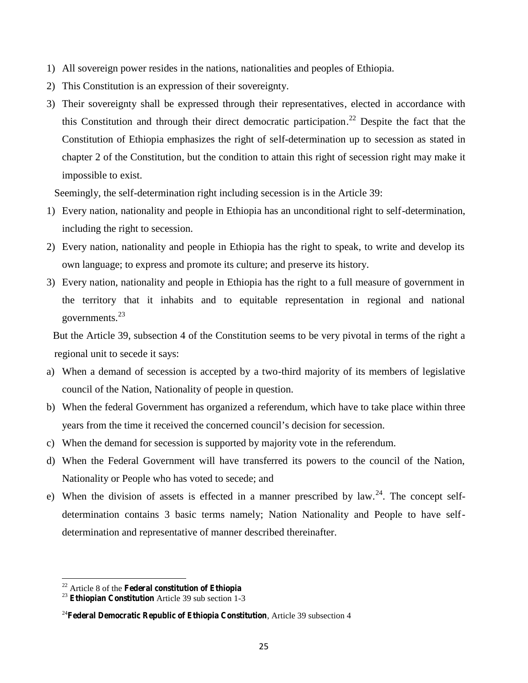- 1) All sovereign power resides in the nations, nationalities and peoples of Ethiopia.
- 2) This Constitution is an expression of their sovereignty.
- 3) Their sovereignty shall be expressed through their representatives, elected in accordance with this Constitution and through their direct democratic participation.<sup>22</sup> Despite the fact that the Constitution of Ethiopia emphasizes the right of self-determination up to secession as stated in chapter 2 of the Constitution, but the condition to attain this right of secession right may make it impossible to exist.

Seemingly, the self-determination right including secession is in the Article 39:

- 1) Every nation, nationality and people in Ethiopia has an unconditional right to self-determination, including the right to secession.
- 2) Every nation, nationality and people in Ethiopia has the right to speak, to write and develop its own language; to express and promote its culture; and preserve its history.
- 3) Every nation, nationality and people in Ethiopia has the right to a full measure of government in the territory that it inhabits and to equitable representation in regional and national governments.<sup>23</sup>

But the Article 39, subsection 4 of the Constitution seems to be very pivotal in terms of the right a regional unit to secede it says:

- a) When a demand of secession is accepted by a two-third majority of its members of legislative council of the Nation, Nationality of people in question.
- b) When the federal Government has organized a referendum, which have to take place within three years from the time it received the concerned council's decision for secession.
- c) When the demand for secession is supported by majority vote in the referendum.
- d) When the Federal Government will have transferred its powers to the council of the Nation, Nationality or People who has voted to secede; and
- e) When the division of assets is effected in a manner prescribed by law.<sup>24</sup>. The concept selfdetermination contains 3 basic terms namely; Nation Nationality and People to have self determination and representative of manner described thereinafter.

<sup>22</sup> Article 8 of the **Federal constitution of Ethiopia**

<sup>23</sup> **Ethiopian Constitution** Article 39 sub section 1-3

<sup>24</sup>**Federal Democratic Republic of Ethiopia Constitution**, Article 39 subsection 4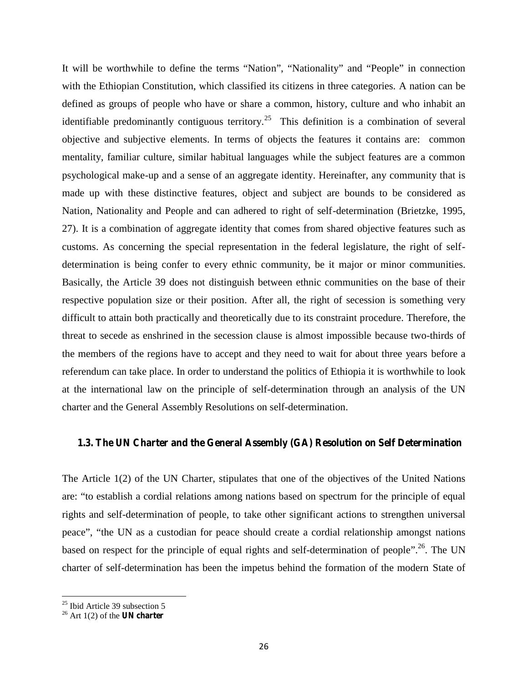It will be worthwhile to define the terms "Nation", "Nationality" and "People" in connection with the Ethiopian Constitution, which classified its citizens in three categories. A nation can be defined as groups of people who have or share a common, history, culture and who inhabit an identifiable predominantly contiguous territory.<sup>25</sup> This definition is a combination of several objective and subjective elements. In terms of objects the features it contains are: common mentality, familiar culture, similar habitual languages while the subject features are a common psychological make-up and a sense of an aggregate identity. Hereinafter, any community that is made up with these distinctive features, object and subject are bounds to be considered as Nation, Nationality and People and can adhered to right of self-determination (Brietzke, 1995, 27). It is a combination of aggregate identity that comes from shared objective features such as customs. As concerning the special representation in the federal legislature, the right of self determination is being confer to every ethnic community, be it major or minor communities. Basically, the Article 39 does not distinguish between ethnic communities on the base of their respective population size or their position. After all, the right of secession is something very difficult to attain both practically and theoretically due to its constraint procedure. Therefore, the threat to secede as enshrined in the secession clause is almost impossible because two-thirds of the members of the regions have to accept and they need to wait for about three years before a referendum can take place. In order to understand the politics of Ethiopia it is worthwhile to look at the international law on the principle of self-determination through an analysis of the UN charter and the General Assembly Resolutions on self-determination.

# **1.3. The UN Charter and the General Assembly (GA) Resolution on Self Determination**

The Article 1(2) of the UN Charter, stipulates that one of the objectives of the United Nations are: "to establish a cordial relations among nations based on spectrum for the principle of equal rights and self-determination of people, to take other significant actions to strengthen universal peace", "the UN as a custodian for peace should create a cordial relationship amongst nations based on respect for the principle of equal rights and self-determination of people".<sup>26</sup>. The UN charter of self-determination has been the impetus behind the formation of the modern State of

 $25$  Ibid Article 39 subsection 5

<sup>26</sup> Art 1(2) of the **UN charter**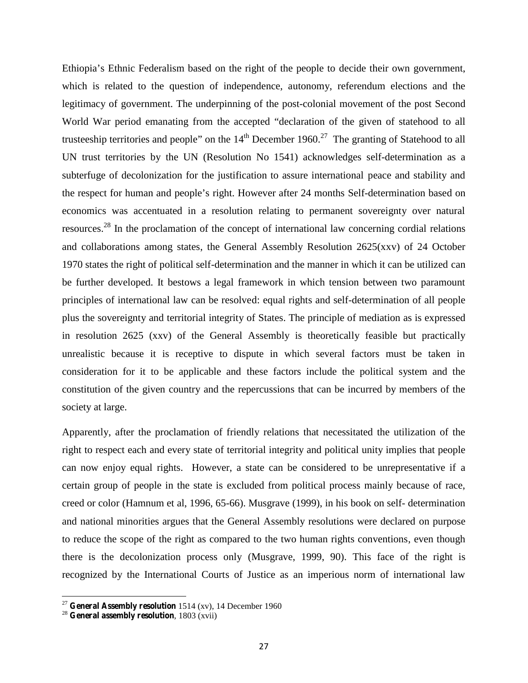Ethiopia's Ethnic Federalism based on the right of the people to decide their own government, which is related to the question of independence, autonomy, referendum elections and the legitimacy of government. The underpinning of the post-colonial movement of the post Second World War period emanating from the accepted "declaration of the given of statehood to all trusteeship territories and people" on the  $14<sup>th</sup>$  December 1960.<sup>27</sup> The granting of Statehood to all UN trust territories by the UN (Resolution No 1541) acknowledges self-determination as a subterfuge of decolonization for the justification to assure international peace and stability and the respect for human and people's right. However after 24 months Self-determination based on economics was accentuated in a resolution relating to permanent sovereignty over natural resources.<sup>28</sup> In the proclamation of the concept of international law concerning cordial relations and collaborations among states, the General Assembly Resolution 2625(xxv) of 24 October 1970 states the right of political self-determination and the manner in which it can be utilized can be further developed. It bestows a legal framework in which tension between two paramount principles of international law can be resolved: equal rights and self-determination of all people plus the sovereignty and territorial integrity of States. The principle of mediation as is expressed in resolution 2625 (xxv) of the General Assembly is theoretically feasible but practically unrealistic because it is receptive to dispute in which several factors must be taken in consideration for it to be applicable and these factors include the political system and the constitution of the given country and the repercussions that can be incurred by members of the society at large.

Apparently, after the proclamation of friendly relations that necessitated the utilization of the right to respect each and every state of territorial integrity and political unity implies that people can now enjoy equal rights. However, a state can be considered to be unrepresentative if a certain group of people in the state is excluded from political process mainly because of race, creed or color (Hamnum et al, 1996, 65-66). Musgrave (1999), in his book on self- determination and national minorities argues that the General Assembly resolutions were declared on purpose to reduce the scope of the right as compared to the two human rights conventions, even though there is the decolonization process only (Musgrave, 1999, 90). This face of the right is recognized by the International Courts of Justice as an imperious norm of international law

<sup>27</sup> **General Assembly resolution** 1514 (xv), 14 December 1960

<sup>28</sup> **General assembly resolution**, 1803 (xvii)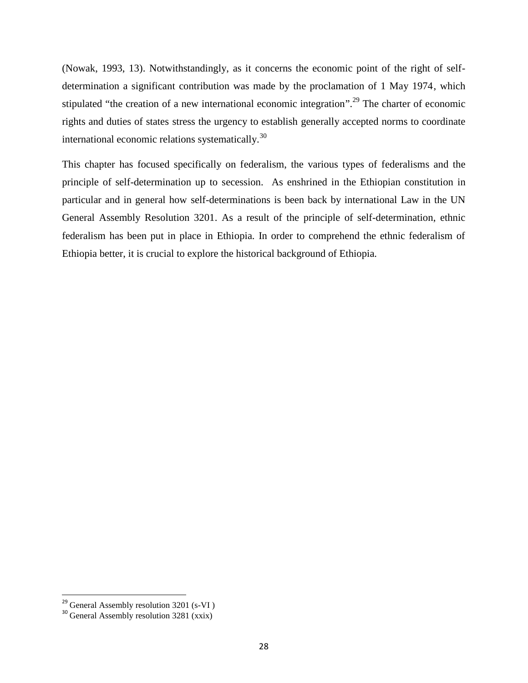(Nowak, 1993, 13). Notwithstandingly, as it concerns the economic point of the right of self determination a significant contribution was made by the proclamation of 1 May 1974, which stipulated "the creation of a new international economic integration".<sup>29</sup> The charter of economic rights and duties of states stress the urgency to establish generally accepted norms to coordinate international economic relations systematically. $30$ 

This chapter has focused specifically on federalism, the various types of federalisms and the principle of self-determination up to secession. As enshrined in the Ethiopian constitution in particular and in general how self-determinations is been back by international Law in the UN General Assembly Resolution 3201. As a result of the principle of self-determination, ethnic federalism has been put in place in Ethiopia. In order to comprehend the ethnic federalism of Ethiopia better, it is crucial to explore the historical background of Ethiopia.

<sup>&</sup>lt;sup>29</sup> General Assembly resolution  $3201$  (s-VI)

<sup>&</sup>lt;sup>30</sup> General Assembly resolution 3281 (xxix)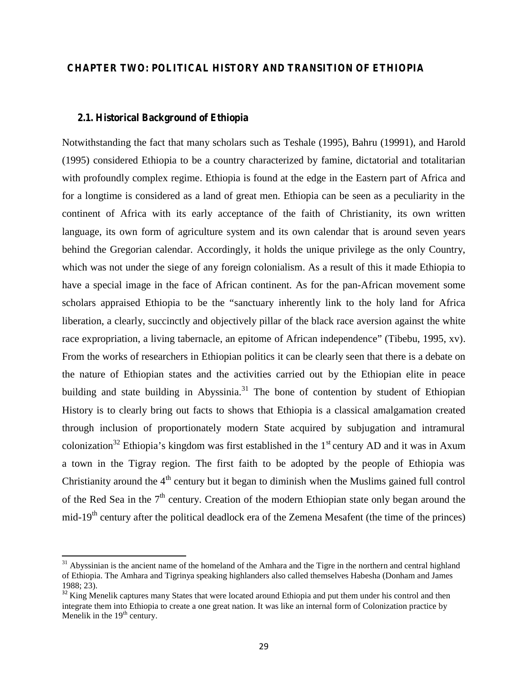# **CHAPTER TWO: POLITICAL HISTORY AND TRANSITION OF ETHIOPIA**

#### **2.1. Historical Background of Ethiopia**

Notwithstanding the fact that many scholars such as Teshale (1995), Bahru (19991), and Harold (1995) considered Ethiopia to be a country characterized by famine, dictatorial and totalitarian with profoundly complex regime. Ethiopia is found at the edge in the Eastern part of Africa and for a longtime is considered as a land of great men. Ethiopia can be seen as a peculiarity in the continent of Africa with its early acceptance of the faith of Christianity, its own written language, its own form of agriculture system and its own calendar that is around seven years behind the Gregorian calendar. Accordingly, it holds the unique privilege as the only Country, which was not under the siege of any foreign colonialism. As a result of this it made Ethiopia to have a special image in the face of African continent. As for the pan-African movement some scholars appraised Ethiopia to be the "sanctuary inherently link to the holy land for Africa liberation, a clearly, succinctly and objectively pillar of the black race aversion against the white race expropriation, a living tabernacle, an epitome of African independence" (Tibebu, 1995, xv). From the works of researchers in Ethiopian politics it can be clearly seen that there is a debate on the nature of Ethiopian states and the activities carried out by the Ethiopian elite in peace building and state building in Abyssinia.<sup>31</sup> The bone of contention by student of Ethiopian History is to clearly bring out facts to shows that Ethiopia is a classical amalgamation created through inclusion of proportionately modern State acquired by subjugation and intramural colonization<sup>32</sup> Ethiopia's kingdom was first established in the  $1<sup>st</sup>$  century AD and it was in Axum a town in the Tigray region. The first faith to be adopted by the people of Ethiopia was Christianity around the  $4<sup>th</sup>$  century but it began to diminish when the Muslims gained full control of the Red Sea in the  $7<sup>th</sup>$  century. Creation of the modern Ethiopian state only began around the mid-19<sup>th</sup> century after the political deadlock era of the Zemena Mesafent (the time of the princes)

 $31$  Abyssinian is the ancient name of the homeland of the Amhara and the Tigre in the northern and central highland of Ethiopia. The Amhara and Tigrinya speaking highlanders also called themselves Habesha (Donham and James 1988; 23).<br><sup>32</sup> King Menelik captures many States that were located around Ethiopia and put them under his control and then

integrate them into Ethiopia to create a one great nation. It was like an internal form of Colonization practice by Menelik in the  $19<sup>th</sup>$  century.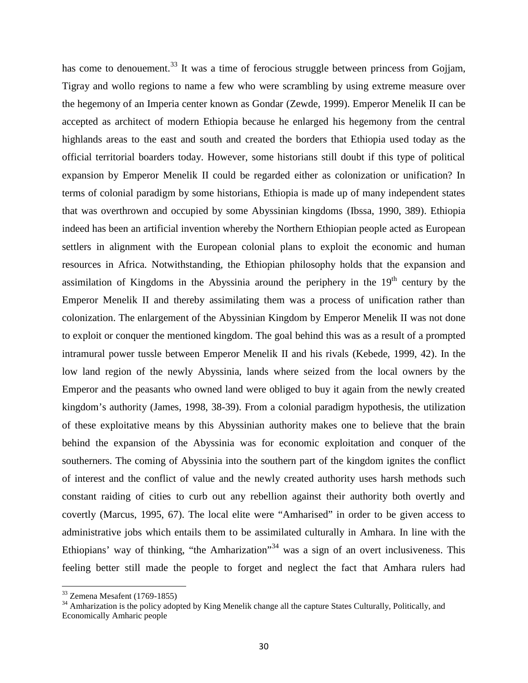has come to denouement.<sup>33</sup> It was a time of ferocious struggle between princess from Gojjam, Tigray and wollo regions to name a few who were scrambling by using extreme measure over the hegemony of an Imperia center known as Gondar (Zewde, 1999). Emperor Menelik II can be accepted as architect of modern Ethiopia because he enlarged his hegemony from the central highlands areas to the east and south and created the borders that Ethiopia used today as the official territorial boarders today. However, some historians still doubt if this type of political expansion by Emperor Menelik II could be regarded either as colonization or unification? In terms of colonial paradigm by some historians, Ethiopia is made up of many independent states that was overthrown and occupied by some Abyssinian kingdoms (Ibssa, 1990, 389). Ethiopia indeed has been an artificial invention whereby the Northern Ethiopian people acted as European settlers in alignment with the European colonial plans to exploit the economic and human resources in Africa. Notwithstanding, the Ethiopian philosophy holds that the expansion and assimilation of Kingdoms in the Abyssinia around the periphery in the  $19<sup>th</sup>$  century by the Emperor Menelik II and thereby assimilating them was a process of unification rather than colonization. The enlargement of the Abyssinian Kingdom by Emperor Menelik II was not done to exploit or conquer the mentioned kingdom. The goal behind this was as a result of a prompted intramural power tussle between Emperor Menelik II and his rivals (Kebede, 1999, 42). In the low land region of the newly Abyssinia, lands where seized from the local owners by the Emperor and the peasants who owned land were obliged to buy it again from the newly created kingdom's authority (James, 1998, 38-39). From a colonial paradigm hypothesis, the utilization of these exploitative means by this Abyssinian authority makes one to believe that the brain behind the expansion of the Abyssinia was for economic exploitation and conquer of the southerners. The coming of Abyssinia into the southern part of the kingdom ignites the conflict of interest and the conflict of value and the newly created authority uses harsh methods such constant raiding of cities to curb out any rebellion against their authority both overtly and covertly (Marcus, 1995, 67). The local elite were "Amharised" in order to be given access to administrative jobs which entails them to be assimilated culturally in Amhara. In line with the Ethiopians' way of thinking, "the Amharization"<sup>34</sup> was a sign of an overt inclusiveness. This feeling better still made the people to forget and neglect the fact that Amhara rulers had

 $33$  Zemena Mesafent (1769-1855)

<sup>&</sup>lt;sup>34</sup> Amharization is the policy adopted by King Menelik change all the capture States Culturally, Politically, and Economically Amharic people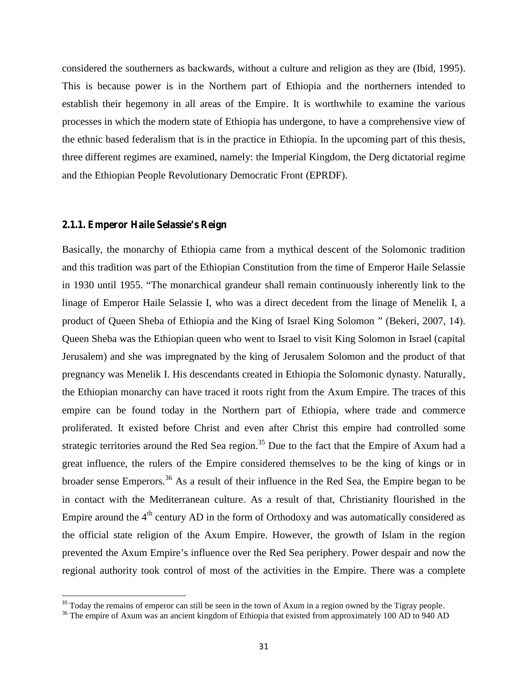considered the southerners as backwards, without a culture and religion as they are (Ibid, 1995). This is because power is in the Northern part of Ethiopia and the northerners intended to establish their hegemony in all areas of the Empire. It is worthwhile to examine the various processes in which the modern state of Ethiopia has undergone, to have a comprehensive view of the ethnic based federalism that is in the practice in Ethiopia. In the upcoming part of this thesis, three different regimes are examined, namely: the Imperial Kingdom, the Derg dictatorial regime and the Ethiopian People Revolutionary Democratic Front (EPRDF).

#### **2.1.1. Emperor Haile Selassie's Reign**

Basically, the monarchy of Ethiopia came from a mythical descent of the Solomonic tradition and this tradition was part of the Ethiopian Constitution from the time of Emperor Haile Selassie in 1930 until 1955. "The monarchical grandeur shall remain continuously inherently link to the linage of Emperor Haile Selassie I, who was a direct decedent from the linage of Menelik I, a product of Queen Sheba of Ethiopia and the King of Israel King Solomon " (Bekeri, 2007, 14). Queen Sheba was the Ethiopian queen who went to Israel to visit King Solomon in Israel (capital Jerusalem) and she was impregnated by the king of Jerusalem Solomon and the product of that pregnancy was Menelik I. His descendants created in Ethiopia the Solomonic dynasty. Naturally, the Ethiopian monarchy can have traced it roots right from the Axum Empire. The traces of this empire can be found today in the Northern part of Ethiopia, where trade and commerce proliferated. It existed before Christ and even after Christ this empire had controlled some strategic territories around the Red Sea region.<sup>35</sup> Due to the fact that the Empire of Axum had a great influence, the rulers of the Empire considered themselves to be the king of kings or in broader sense Emperors.<sup>36</sup> As a result of their influence in the Red Sea, the Empire began to be in contact with the Mediterranean culture. As a result of that, Christianity flourished in the Empire around the  $4<sup>th</sup>$  century AD in the form of Orthodoxy and was automatically considered as the official state religion of the Axum Empire. However, the growth of Islam in the region prevented the Axum Empire's influence over the Red Sea periphery. Power despair and now the regional authority took control of most of the activities in the Empire. There was a complete

 $35$  Today the remains of emperor can still be seen in the town of Axum in a region owned by the Tigray people.  $36$  The empire of Axum was an ancient kingdom of Ethiopia that existed from approximately 100 AD to 940 AD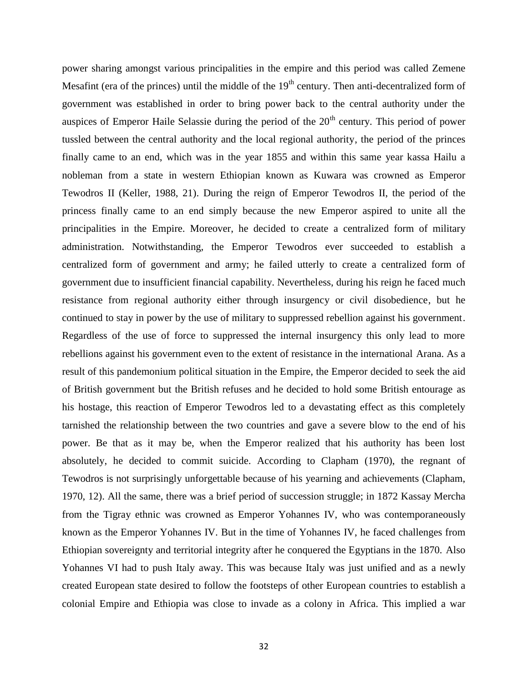power sharing amongst various principalities in the empire and this period was called Zemene Mesafint (era of the princes) until the middle of the  $19<sup>th</sup>$  century. Then anti-decentralized form of government was established in order to bring power back to the central authority under the auspices of Emperor Haile Selassie during the period of the  $20<sup>th</sup>$  century. This period of power tussled between the central authority and the local regional authority, the period of the princes finally came to an end, which was in the year 1855 and within this same year kassa Hailu a nobleman from a state in western Ethiopian known as Kuwara was crowned as Emperor Tewodros II (Keller, 1988, 21). During the reign of Emperor Tewodros II, the period of the princess finally came to an end simply because the new Emperor aspired to unite all the principalities in the Empire. Moreover, he decided to create a centralized form of military administration. Notwithstanding, the Emperor Tewodros ever succeeded to establish a centralized form of government and army; he failed utterly to create a centralized form of government due to insufficient financial capability. Nevertheless, during his reign he faced much resistance from regional authority either through insurgency or civil disobedience, but he continued to stay in power by the use of military to suppressed rebellion against his government. Regardless of the use of force to suppressed the internal insurgency this only lead to more rebellions against his government even to the extent of resistance in the international Arana. As a result of this pandemonium political situation in the Empire, the Emperor decided to seek the aid of British government but the British refuses and he decided to hold some British entourage as his hostage, this reaction of Emperor Tewodros led to a devastating effect as this completely tarnished the relationship between the two countries and gave a severe blow to the end of his power. Be that as it may be, when the Emperor realized that his authority has been lost absolutely, he decided to commit suicide. According to Clapham (1970), the regnant of Tewodros is not surprisingly unforgettable because of his yearning and achievements (Clapham, 1970, 12). All the same, there was a brief period of succession struggle; in 1872 Kassay Mercha from the Tigray ethnic was crowned as Emperor Yohannes IV, who was contemporaneously known as the Emperor Yohannes IV. But in the time of Yohannes IV, he faced challenges from Ethiopian sovereignty and territorial integrity after he conquered the Egyptians in the 1870. Also Yohannes VI had to push Italy away. This was because Italy was just unified and as a newly created European state desired to follow the footsteps of other European countries to establish a colonial Empire and Ethiopia was close to invade as a colony in Africa. This implied a war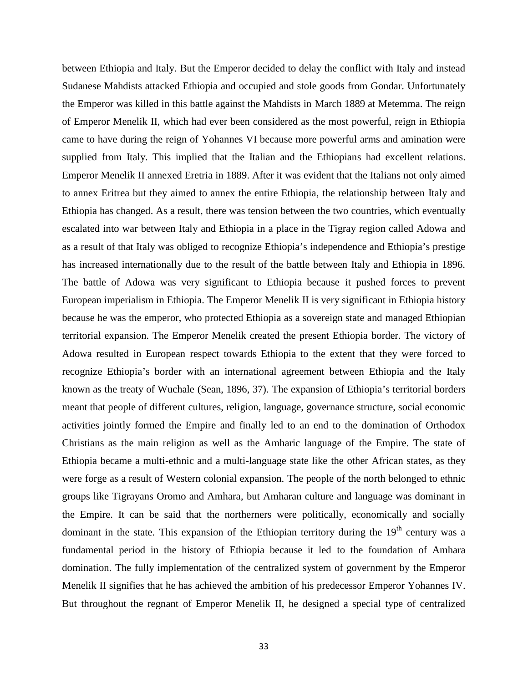between Ethiopia and Italy. But the Emperor decided to delay the conflict with Italy and instead Sudanese Mahdists attacked Ethiopia and occupied and stole goods from Gondar. Unfortunately the Emperor was killed in this battle against the Mahdists in March 1889 at Metemma. The reign of Emperor Menelik II, which had ever been considered as the most powerful, reign in Ethiopia came to have during the reign of Yohannes VI because more powerful arms and amination were supplied from Italy. This implied that the Italian and the Ethiopians had excellent relations. Emperor Menelik II annexed Eretria in 1889. After it was evident that the Italians not only aimed to annex Eritrea but they aimed to annex the entire Ethiopia, the relationship between Italy and Ethiopia has changed. As a result, there was tension between the two countries, which eventually escalated into war between Italy and Ethiopia in a place in the Tigray region called Adowa and as a result of that Italy was obliged to recognize Ethiopia's independence and Ethiopia's prestige has increased internationally due to the result of the battle between Italy and Ethiopia in 1896. The battle of Adowa was very significant to Ethiopia because it pushed forces to prevent European imperialism in Ethiopia. The Emperor Menelik II is very significant in Ethiopia history because he was the emperor, who protected Ethiopia as a sovereign state and managed Ethiopian territorial expansion. The Emperor Menelik created the present Ethiopia border. The victory of Adowa resulted in European respect towards Ethiopia to the extent that they were forced to recognize Ethiopia's border with an international agreement between Ethiopia and the Italy known as the treaty of Wuchale (Sean, 1896, 37). The expansion of Ethiopia's territorial borders meant that people of different cultures, religion, language, governance structure, social economic activities jointly formed the Empire and finally led to an end to the domination of Orthodox Christians as the main religion as well as the Amharic language of the Empire. The state of Ethiopia became a multi-ethnic and a multi-language state like the other African states, as they were forge as a result of Western colonial expansion. The people of the north belonged to ethnic groups like Tigrayans Oromo and Amhara, but Amharan culture and language was dominant in the Empire. It can be said that the northerners were politically, economically and socially dominant in the state. This expansion of the Ethiopian territory during the  $19<sup>th</sup>$  century was a fundamental period in the history of Ethiopia because it led to the foundation of Amhara domination. The fully implementation of the centralized system of government by the Emperor Menelik II signifies that he has achieved the ambition of his predecessor Emperor Yohannes IV. But throughout the regnant of Emperor Menelik II, he designed a special type of centralized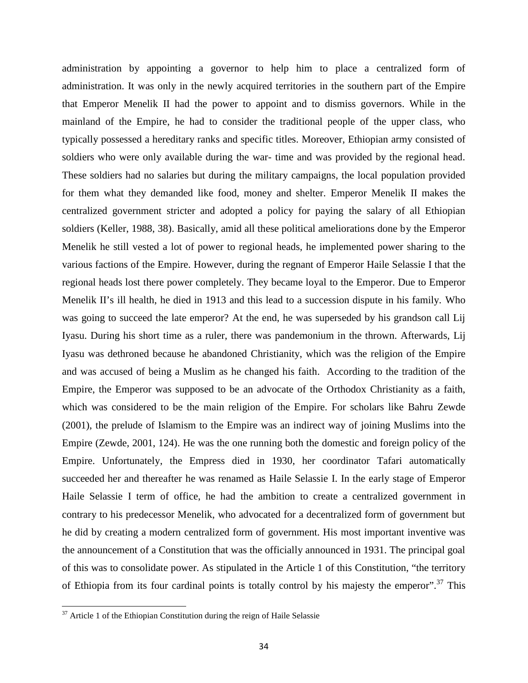administration by appointing a governor to help him to place a centralized form of administration. It was only in the newly acquired territories in the southern part of the Empire that Emperor Menelik II had the power to appoint and to dismiss governors. While in the mainland of the Empire, he had to consider the traditional people of the upper class, who typically possessed a hereditary ranks and specific titles. Moreover, Ethiopian army consisted of soldiers who were only available during the war- time and was provided by the regional head. These soldiers had no salaries but during the military campaigns, the local population provided for them what they demanded like food, money and shelter. Emperor Menelik II makes the centralized government stricter and adopted a policy for paying the salary of all Ethiopian soldiers (Keller, 1988, 38). Basically, amid all these political ameliorations done by the Emperor Menelik he still vested a lot of power to regional heads, he implemented power sharing to the various factions of the Empire. However, during the regnant of Emperor Haile Selassie I that the regional heads lost there power completely. They became loyal to the Emperor. Due to Emperor Menelik II's ill health, he died in 1913 and this lead to a succession dispute in his family. Who was going to succeed the late emperor? At the end, he was superseded by his grandson call Lij Iyasu. During his short time as a ruler, there was pandemonium in the thrown. Afterwards, Lij Iyasu was dethroned because he abandoned Christianity, which was the religion of the Empire and was accused of being a Muslim as he changed his faith. According to the tradition of the Empire, the Emperor was supposed to be an advocate of the Orthodox Christianity as a faith, which was considered to be the main religion of the Empire. For scholars like Bahru Zewde (2001), the prelude of Islamism to the Empire was an indirect way of joining Muslims into the Empire (Zewde, 2001, 124). He was the one running both the domestic and foreign policy of the Empire. Unfortunately, the Empress died in 1930, her coordinator Tafari automatically succeeded her and thereafter he was renamed as Haile Selassie I. In the early stage of Emperor Haile Selassie I term of office, he had the ambition to create a centralized government in contrary to his predecessor Menelik, who advocated for a decentralized form of government but he did by creating a modern centralized form of government. His most important inventive was the announcement of a Constitution that was the officially announced in 1931. The principal goal of this was to consolidate power. As stipulated in the Article 1 of this Constitution, "the territory of Ethiopia from its four cardinal points is totally control by his majesty the emperor".<sup>37</sup> This

 $37$  Article 1 of the Ethiopian Constitution during the reign of Haile Selassie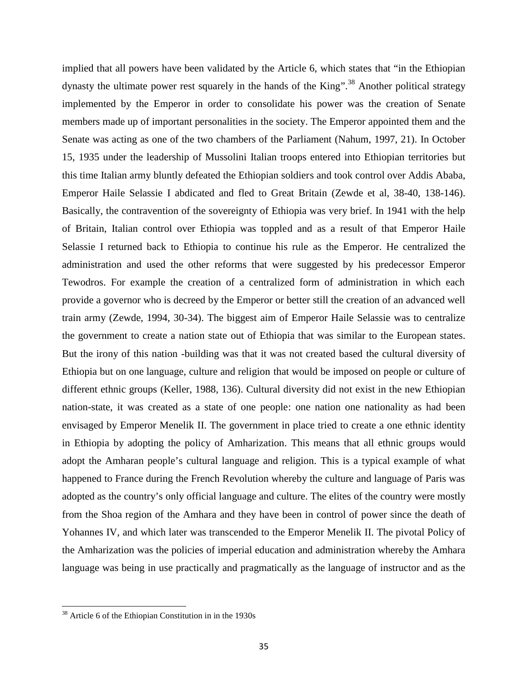implied that all powers have been validated by the Article 6, which states that "in the Ethiopian dynasty the ultimate power rest squarely in the hands of the  $King''$ .<sup>38</sup> Another political strategy implemented by the Emperor in order to consolidate his power was the creation of Senate members made up of important personalities in the society. The Emperor appointed them and the Senate was acting as one of the two chambers of the Parliament (Nahum, 1997, 21). In October 15, 1935 under the leadership of Mussolini Italian troops entered into Ethiopian territories but this time Italian army bluntly defeated the Ethiopian soldiers and took control over Addis Ababa, Emperor Haile Selassie I abdicated and fled to Great Britain (Zewde et al, 38-40, 138-146). Basically, the contravention of the sovereignty of Ethiopia was very brief. In 1941 with the help of Britain, Italian control over Ethiopia was toppled and as a result of that Emperor Haile Selassie I returned back to Ethiopia to continue his rule as the Emperor. He centralized the administration and used the other reforms that were suggested by his predecessor Emperor Tewodros. For example the creation of a centralized form of administration in which each provide a governor who is decreed by the Emperor or better still the creation of an advanced well train army (Zewde, 1994, 30-34). The biggest aim of Emperor Haile Selassie was to centralize the government to create a nation state out of Ethiopia that was similar to the European states. But the irony of this nation -building was that it was not created based the cultural diversity of Ethiopia but on one language, culture and religion that would be imposed on people or culture of different ethnic groups (Keller, 1988, 136). Cultural diversity did not exist in the new Ethiopian nation-state, it was created as a state of one people: one nation one nationality as had been envisaged by Emperor Menelik II. The government in place tried to create a one ethnic identity in Ethiopia by adopting the policy of Amharization. This means that all ethnic groups would adopt the Amharan people's cultural language and religion. This is a typical example of what happened to France during the French Revolution whereby the culture and language of Paris was adopted as the country's only official language and culture. The elites of the country were mostly from the Shoa region of the Amhara and they have been in control of power since the death of Yohannes IV, and which later was transcended to the Emperor Menelik II. The pivotal Policy of the Amharization was the policies of imperial education and administration whereby the Amhara language was being in use practically and pragmatically as the language of instructor and as the

<sup>38</sup> Article 6 of the Ethiopian Constitution in in the 1930s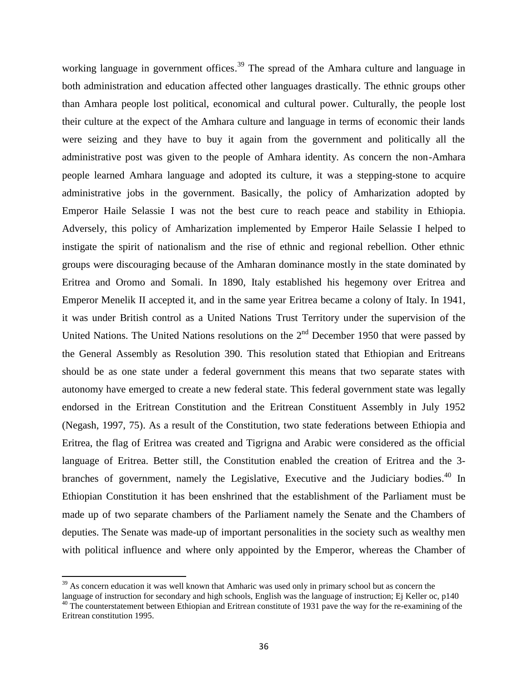working language in government offices.<sup>39</sup> The spread of the Amhara culture and language in both administration and education affected other languages drastically. The ethnic groups other than Amhara people lost political, economical and cultural power. Culturally, the people lost their culture at the expect of the Amhara culture and language in terms of economic their lands were seizing and they have to buy it again from the government and politically all the administrative post was given to the people of Amhara identity. As concern the non-Amhara people learned Amhara language and adopted its culture, it was a stepping-stone to acquire administrative jobs in the government. Basically, the policy of Amharization adopted by Emperor Haile Selassie I was not the best cure to reach peace and stability in Ethiopia. Adversely, this policy of Amharization implemented by Emperor Haile Selassie I helped to instigate the spirit of nationalism and the rise of ethnic and regional rebellion. Other ethnic groups were discouraging because of the Amharan dominance mostly in the state dominated by Eritrea and Oromo and Somali. In 1890, Italy established his hegemony over Eritrea and Emperor Menelik II accepted it, and in the same year Eritrea became a colony of Italy. In 1941, it was under British control as a United Nations Trust Territory under the supervision of the United Nations. The United Nations resolutions on the  $2<sup>nd</sup>$  December 1950 that were passed by the General Assembly as Resolution 390. This resolution stated that Ethiopian and Eritreans should be as one state under a federal government this means that two separate states with autonomy have emerged to create a new federal state. This federal government state was legally endorsed in the Eritrean Constitution and the Eritrean Constituent Assembly in July 1952 (Negash, 1997, 75). As a result of the Constitution, two state federations between Ethiopia and Eritrea, the flag of Eritrea was created and Tigrigna and Arabic were considered as the official language of Eritrea. Better still, the Constitution enabled the creation of Eritrea and the 3 branches of government, namely the Legislative, Executive and the Judiciary bodies.<sup>40</sup> In Ethiopian Constitution it has been enshrined that the establishment of the Parliament must be made up of two separate chambers of the Parliament namely the Senate and the Chambers of deputies. The Senate was made-up of important personalities in the society such as wealthy men with political influence and where only appointed by the Emperor, whereas the Chamber of

 $39$  As concern education it was well known that Amharic was used only in primary school but as concern the language of instruction for secondary and high schools, English was the language of instruction; Ej Keller oc, p140

<sup>&</sup>lt;sup>40</sup> The counterstatement between Ethiopian and Eritrean constitute of 1931 pave the way for the re-examining of the Eritrean constitution 1995.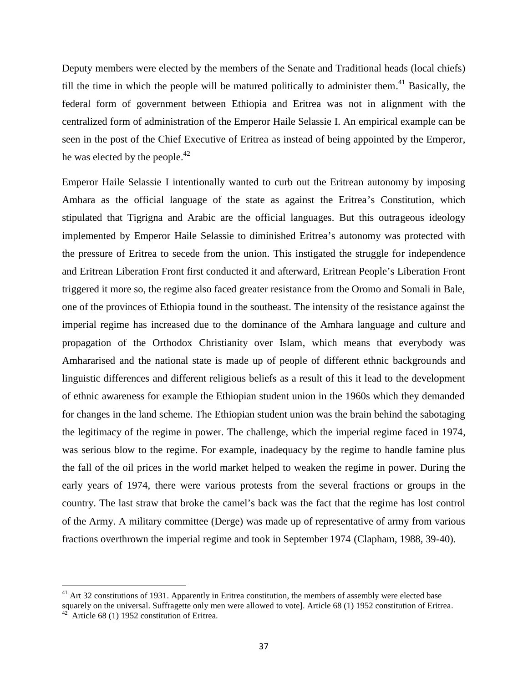Deputy members were elected by the members of the Senate and Traditional heads (local chiefs) till the time in which the people will be matured politically to administer them.<sup>41</sup> Basically, the federal form of government between Ethiopia and Eritrea was not in alignment with the centralized form of administration of the Emperor Haile Selassie I. An empirical example can be seen in the post of the Chief Executive of Eritrea as instead of being appointed by the Emperor, he was elected by the people. $42$ 

Emperor Haile Selassie I intentionally wanted to curb out the Eritrean autonomy by imposing Amhara as the official language of the state as against the Eritrea's Constitution, which stipulated that Tigrigna and Arabic are the official languages. But this outrageous ideology implemented by Emperor Haile Selassie to diminished Eritrea's autonomy was protected with the pressure of Eritrea to secede from the union. This instigated the struggle for independence and Eritrean Liberation Front first conducted it and afterward, Eritrean People's Liberation Front triggered it more so, the regime also faced greater resistance from the Oromo and Somali in Bale, one of the provinces of Ethiopia found in the southeast. The intensity of the resistance against the imperial regime has increased due to the dominance of the Amhara language and culture and propagation of the Orthodox Christianity over Islam, which means that everybody was Amhararised and the national state is made up of people of different ethnic backgrounds and linguistic differences and different religious beliefs as a result of this it lead to the development of ethnic awareness for example the Ethiopian student union in the 1960s which they demanded for changes in the land scheme. The Ethiopian student union was the brain behind the sabotaging the legitimacy of the regime in power. The challenge, which the imperial regime faced in 1974, was serious blow to the regime. For example, inadequacy by the regime to handle famine plus the fall of the oil prices in the world market helped to weaken the regime in power. During the early years of 1974, there were various protests from the several fractions or groups in the country. The last straw that broke the camel's back was the fact that the regime has lost control of the Army. A military committee (Derge) was made up of representative of army from various fractions overthrown the imperial regime and took in September 1974 (Clapham, 1988, 39-40).

<sup>&</sup>lt;sup>41</sup> Art 32 constitutions of 1931. Apparently in Eritrea constitution, the members of assembly were elected base squarely on the universal. Suffragette only men were allowed to vote]. Article 68 (1) 1952 constitution of Eritrea.  $^{42}$  Article 68 (1) 1952 constitution of Eritrea.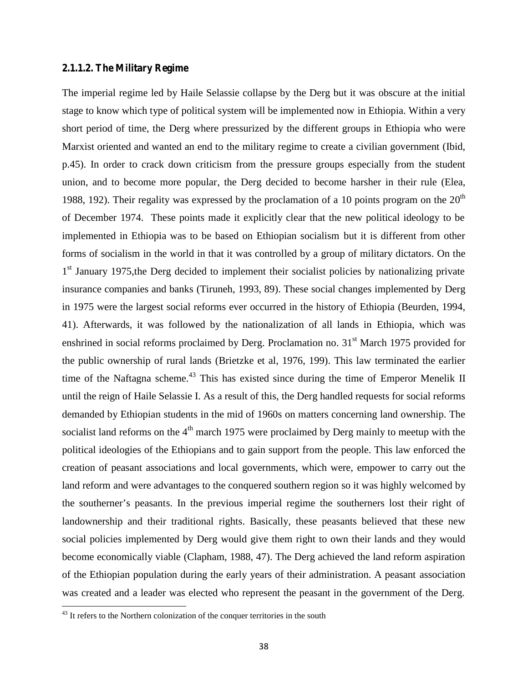# **2.1.1.2. The Military Regime**

The imperial regime led by Haile Selassie collapse by the Derg but it was obscure at the initial stage to know which type of political system will be implemented now in Ethiopia. Within a very short period of time, the Derg where pressurized by the different groups in Ethiopia who were Marxist oriented and wanted an end to the military regime to create a civilian government (Ibid, p.45). In order to crack down criticism from the pressure groups especially from the student union, and to become more popular, the Derg decided to become harsher in their rule (Elea, 1988, 192). Their regality was expressed by the proclamation of a 10 points program on the  $20<sup>th</sup>$ of December 1974. These points made it explicitly clear that the new political ideology to be implemented in Ethiopia was to be based on Ethiopian socialism but it is different from other forms of socialism in the world in that it was controlled by a group of military dictators. On the 1<sup>st</sup> January 1975, the Derg decided to implement their socialist policies by nationalizing private insurance companies and banks (Tiruneh, 1993, 89). These social changes implemented by Derg in 1975 were the largest social reforms ever occurred in the history of Ethiopia (Beurden, 1994, 41). Afterwards, it was followed by the nationalization of all lands in Ethiopia, which was enshrined in social reforms proclaimed by Derg. Proclamation no. 31<sup>st</sup> March 1975 provided for the public ownership of rural lands (Brietzke et al, 1976, 199). This law terminated the earlier time of the Naftagna scheme.<sup>43</sup> This has existed since during the time of Emperor Menelik II until the reign of Haile Selassie I. As a result of this, the Derg handled requests for social reforms demanded by Ethiopian students in the mid of 1960s on matters concerning land ownership. The socialist land reforms on the  $4<sup>th</sup>$  march 1975 were proclaimed by Derg mainly to meetup with the political ideologies of the Ethiopians and to gain support from the people. This law enforced the creation of peasant associations and local governments, which were, empower to carry out the land reform and were advantages to the conquered southern region so it was highly welcomed by the southerner's peasants. In the previous imperial regime the southerners lost their right of landownership and their traditional rights. Basically, these peasants believed that these new social policies implemented by Derg would give them right to own their lands and they would become economically viable (Clapham, 1988, 47). The Derg achieved the land reform aspiration of the Ethiopian population during the early years of their administration. A peasant association was created and a leader was elected who represent the peasant in the government of the Derg.

 $43$  It refers to the Northern colonization of the conquer territories in the south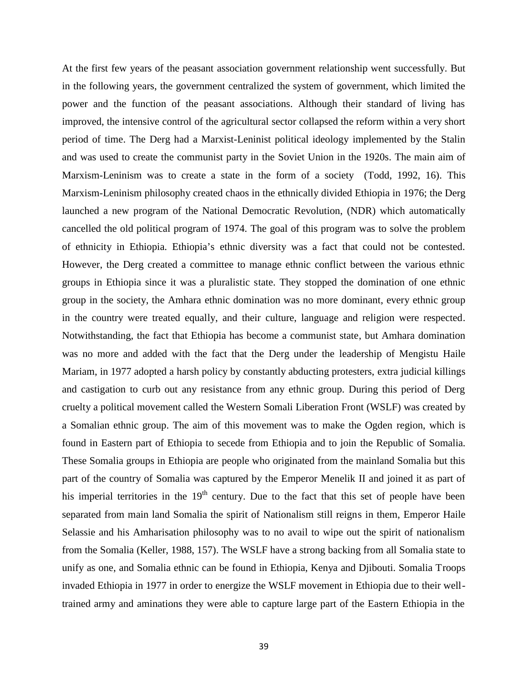At the first few years of the peasant association government relationship went successfully. But in the following years, the government centralized the system of government, which limited the power and the function of the peasant associations. Although their standard of living has improved, the intensive control of the agricultural sector collapsed the reform within a very short period of time. The Derg had a Marxist-Leninist political ideology implemented by the Stalin and was used to create the communist party in the Soviet Union in the 1920s. The main aim of Marxism-Leninism was to create a state in the form of a society (Todd, 1992, 16). This Marxism-Leninism philosophy created chaos in the ethnically divided Ethiopia in 1976; the Derg launched a new program of the National Democratic Revolution, (NDR) which automatically cancelled the old political program of 1974. The goal of this program was to solve the problem of ethnicity in Ethiopia. Ethiopia's ethnic diversity was a fact that could not be contested. However, the Derg created a committee to manage ethnic conflict between the various ethnic groups in Ethiopia since it was a pluralistic state. They stopped the domination of one ethnic group in the society, the Amhara ethnic domination was no more dominant, every ethnic group in the country were treated equally, and their culture, language and religion were respected. Notwithstanding, the fact that Ethiopia has become a communist state, but Amhara domination was no more and added with the fact that the Derg under the leadership of Mengistu Haile Mariam, in 1977 adopted a harsh policy by constantly abducting protesters, extra judicial killings and castigation to curb out any resistance from any ethnic group. During this period of Derg cruelty a political movement called the Western Somali Liberation Front (WSLF) was created by a Somalian ethnic group. The aim of this movement was to make the Ogden region, which is found in Eastern part of Ethiopia to secede from Ethiopia and to join the Republic of Somalia. These Somalia groups in Ethiopia are people who originated from the mainland Somalia but this part of the country of Somalia was captured by the Emperor Menelik II and joined it as part of his imperial territories in the  $19<sup>th</sup>$  century. Due to the fact that this set of people have been separated from main land Somalia the spirit of Nationalism still reigns in them, Emperor Haile Selassie and his Amharisation philosophy was to no avail to wipe out the spirit of nationalism from the Somalia (Keller, 1988, 157). The WSLF have a strong backing from all Somalia state to unify as one, and Somalia ethnic can be found in Ethiopia, Kenya and Djibouti. Somalia Troops invaded Ethiopia in 1977 in order to energize the WSLF movement in Ethiopia due to their welltrained army and aminations they were able to capture large part of the Eastern Ethiopia in the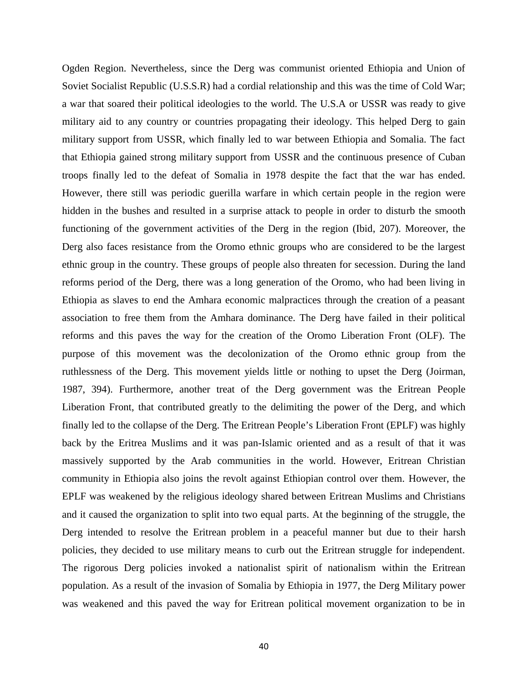Ogden Region. Nevertheless, since the Derg was communist oriented Ethiopia and Union of Soviet Socialist Republic (U.S.S.R) had a cordial relationship and this was the time of Cold War; a war that soared their political ideologies to the world. The U.S.A or USSR was ready to give military aid to any country or countries propagating their ideology. This helped Derg to gain military support from USSR, which finally led to war between Ethiopia and Somalia. The fact that Ethiopia gained strong military support from USSR and the continuous presence of Cuban troops finally led to the defeat of Somalia in 1978 despite the fact that the war has ended. However, there still was periodic guerilla warfare in which certain people in the region were hidden in the bushes and resulted in a surprise attack to people in order to disturb the smooth functioning of the government activities of the Derg in the region (Ibid, 207). Moreover, the Derg also faces resistance from the Oromo ethnic groups who are considered to be the largest ethnic group in the country. These groups of people also threaten for secession. During the land reforms period of the Derg, there was a long generation of the Oromo, who had been living in Ethiopia as slaves to end the Amhara economic malpractices through the creation of a peasant association to free them from the Amhara dominance. The Derg have failed in their political reforms and this paves the way for the creation of the Oromo Liberation Front (OLF). The purpose of this movement was the decolonization of the Oromo ethnic group from the ruthlessness of the Derg. This movement yields little or nothing to upset the Derg (Joirman, 1987, 394). Furthermore, another treat of the Derg government was the Eritrean People Liberation Front, that contributed greatly to the delimiting the power of the Derg, and which finally led to the collapse of the Derg. The Eritrean People's Liberation Front (EPLF) was highly back by the Eritrea Muslims and it was pan-Islamic oriented and as a result of that it was massively supported by the Arab communities in the world. However, Eritrean Christian community in Ethiopia also joins the revolt against Ethiopian control over them. However, the EPLF was weakened by the religious ideology shared between Eritrean Muslims and Christians and it caused the organization to split into two equal parts. At the beginning of the struggle, the Derg intended to resolve the Eritrean problem in a peaceful manner but due to their harsh policies, they decided to use military means to curb out the Eritrean struggle for independent. The rigorous Derg policies invoked a nationalist spirit of nationalism within the Eritrean population. As a result of the invasion of Somalia by Ethiopia in 1977, the Derg Military power was weakened and this paved the way for Eritrean political movement organization to be in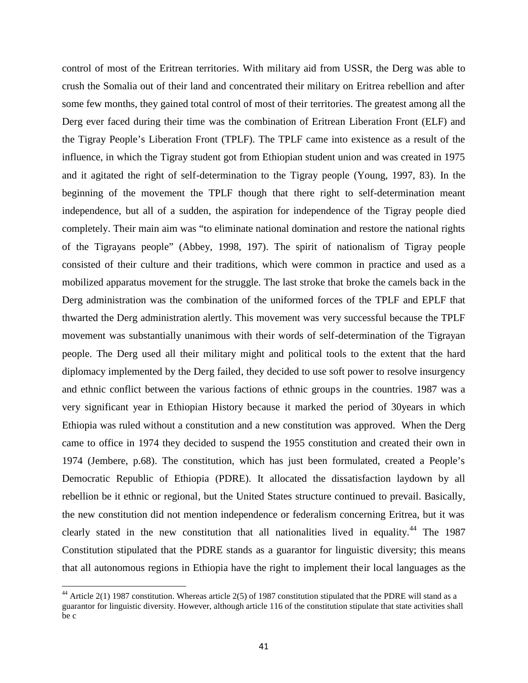control of most of the Eritrean territories. With military aid from USSR, the Derg was able to crush the Somalia out of their land and concentrated their military on Eritrea rebellion and after some few months, they gained total control of most of their territories. The greatest among all the Derg ever faced during their time was the combination of Eritrean Liberation Front (ELF) and the Tigray People's Liberation Front (TPLF). The TPLF came into existence as a result of the influence, in which the Tigray student got from Ethiopian student union and was created in 1975 and it agitated the right of self-determination to the Tigray people (Young, 1997, 83). In the beginning of the movement the TPLF though that there right to self-determination meant independence, but all of a sudden, the aspiration for independence of the Tigray people died completely. Their main aim was "to eliminate national domination and restore the national rights of the Tigrayans people" (Abbey, 1998, 197). The spirit of nationalism of Tigray people consisted of their culture and their traditions, which were common in practice and used as a mobilized apparatus movement for the struggle. The last stroke that broke the camels back in the Derg administration was the combination of the uniformed forces of the TPLF and EPLF that thwarted the Derg administration alertly. This movement was very successful because the TPLF movement was substantially unanimous with their words of self-determination of the Tigrayan people. The Derg used all their military might and political tools to the extent that the hard diplomacy implemented by the Derg failed, they decided to use soft power to resolve insurgency and ethnic conflict between the various factions of ethnic groups in the countries. 1987 was a very significant year in Ethiopian History because it marked the period of 30years in which Ethiopia was ruled without a constitution and a new constitution was approved. When the Derg came to office in 1974 they decided to suspend the 1955 constitution and created their own in 1974 (Jembere, p.68). The constitution, which has just been formulated, created a People's Democratic Republic of Ethiopia (PDRE). It allocated the dissatisfaction laydown by all rebellion be it ethnic or regional, but the United States structure continued to prevail. Basically, the new constitution did not mention independence or federalism concerning Eritrea, but it was clearly stated in the new constitution that all nationalities lived in equality.<sup>44</sup> The 1987 Constitution stipulated that the PDRE stands as a guarantor for linguistic diversity; this means that all autonomous regions in Ethiopia have the right to implement their local languages as the

<sup>&</sup>lt;sup>44</sup> Article 2(1) 1987 constitution. Whereas article 2(5) of 1987 constitution stipulated that the PDRE will stand as a guarantor for linguistic diversity. However, although article 116 of the constitution stipulate that state activities shall be c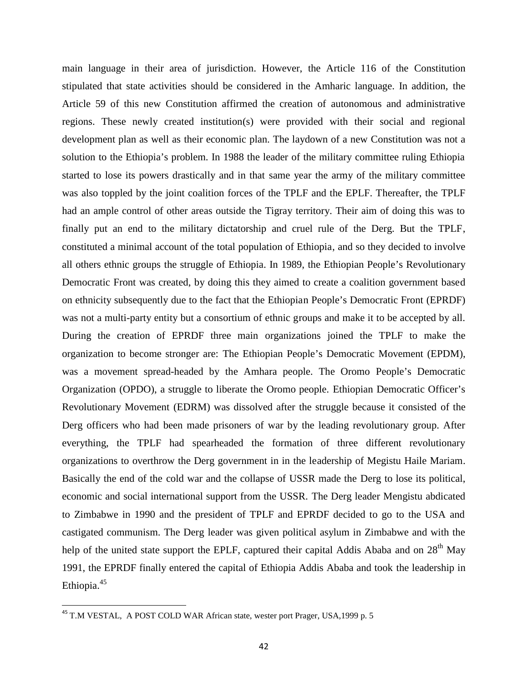main language in their area of jurisdiction. However, the Article 116 of the Constitution stipulated that state activities should be considered in the Amharic language. In addition, the Article 59 of this new Constitution affirmed the creation of autonomous and administrative regions. These newly created institution(s) were provided with their social and regional development plan as well as their economic plan. The laydown of a new Constitution was not a solution to the Ethiopia's problem. In 1988 the leader of the military committee ruling Ethiopia started to lose its powers drastically and in that same year the army of the military committee was also toppled by the joint coalition forces of the TPLF and the EPLF. Thereafter, the TPLF had an ample control of other areas outside the Tigray territory. Their aim of doing this was to finally put an end to the military dictatorship and cruel rule of the Derg. But the TPLF, constituted a minimal account of the total population of Ethiopia, and so they decided to involve all others ethnic groups the struggle of Ethiopia. In 1989, the Ethiopian People's Revolutionary Democratic Front was created, by doing this they aimed to create a coalition government based on ethnicity subsequently due to the fact that the Ethiopian People's Democratic Front (EPRDF) was not a multi-party entity but a consortium of ethnic groups and make it to be accepted by all. During the creation of EPRDF three main organizations joined the TPLF to make the organization to become stronger are: The Ethiopian People's Democratic Movement (EPDM), was a movement spread-headed by the Amhara people. The Oromo People's Democratic Organization (OPDO), a struggle to liberate the Oromo people. Ethiopian Democratic Officer's Revolutionary Movement (EDRM) was dissolved after the struggle because it consisted of the Derg officers who had been made prisoners of war by the leading revolutionary group. After everything, the TPLF had spearheaded the formation of three different revolutionary organizations to overthrow the Derg government in in the leadership of Megistu Haile Mariam. Basically the end of the cold war and the collapse of USSR made the Derg to lose its political, economic and social international support from the USSR. The Derg leader Mengistu abdicated to Zimbabwe in 1990 and the president of TPLF and EPRDF decided to go to the USA and castigated communism. The Derg leader was given political asylum in Zimbabwe and with the help of the united state support the EPLF, captured their capital Addis Ababa and on 28<sup>th</sup> May 1991, the EPRDF finally entered the capital of Ethiopia Addis Ababa and took the leadership in Ethiopia.<sup>45</sup>

<sup>&</sup>lt;sup>45</sup> T.M VESTAL, A POST COLD WAR African state, wester port Prager, USA, 1999 p. 5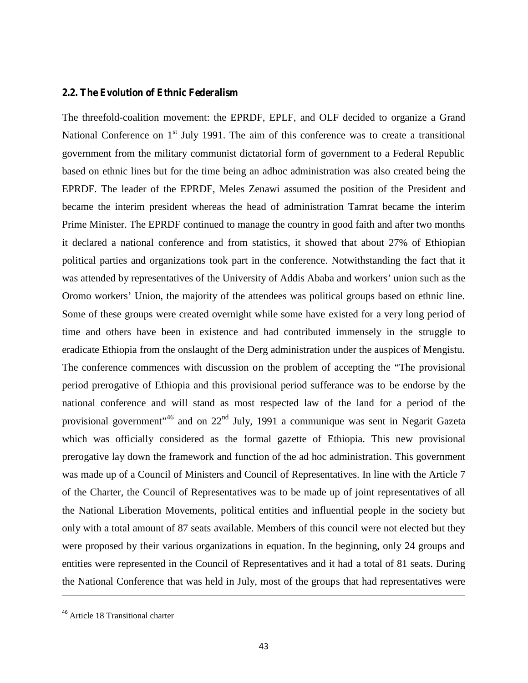#### **2.2. The Evolution of Ethnic Federalism**

The threefold-coalition movement: the EPRDF, EPLF, and OLF decided to organize a Grand National Conference on  $1<sup>st</sup>$  July 1991. The aim of this conference was to create a transitional government from the military communist dictatorial form of government to a Federal Republic based on ethnic lines but for the time being an adhoc administration was also created being the EPRDF. The leader of the EPRDF, Meles Zenawi assumed the position of the President and became the interim president whereas the head of administration Tamrat became the interim Prime Minister. The EPRDF continued to manage the country in good faith and after two months it declared a national conference and from statistics, it showed that about 27% of Ethiopian political parties and organizations took part in the conference. Notwithstanding the fact that it was attended by representatives of the University of Addis Ababa and workers' union such as the Oromo workers' Union, the majority of the attendees was political groups based on ethnic line. Some of these groups were created overnight while some have existed for a very long period of time and others have been in existence and had contributed immensely in the struggle to eradicate Ethiopia from the onslaught of the Derg administration under the auspices of Mengistu. The conference commences with discussion on the problem of accepting the "The provisional period prerogative of Ethiopia and this provisional period sufferance was to be endorse by the national conference and will stand as most respected law of the land for a period of the provisional government"<sup>46</sup> and on 22<sup>nd</sup> July, 1991 a communique was sent in Negarit Gazeta which was officially considered as the formal gazette of Ethiopia. This new provisional prerogative lay down the framework and function of the ad hoc administration. This government was made up of a Council of Ministers and Council of Representatives. In line with the Article 7 of the Charter, the Council of Representatives was to be made up of joint representatives of all the National Liberation Movements, political entities and influential people in the society but only with a total amount of 87 seats available. Members of this council were not elected but they were proposed by their various organizations in equation. In the beginning, only 24 groups and entities were represented in the Council of Representatives and it had a total of 81 seats. During the National Conference that was held in July, most of the groups that had representatives were

<sup>&</sup>lt;sup>46</sup> Article 18 Transitional charter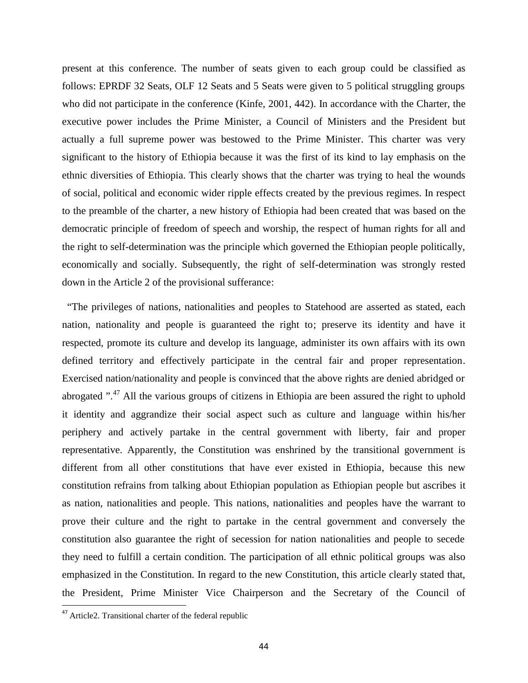present at this conference. The number of seats given to each group could be classified as follows: EPRDF 32 Seats, OLF 12 Seats and 5 Seats were given to 5 political struggling groups who did not participate in the conference (Kinfe, 2001, 442). In accordance with the Charter, the executive power includes the Prime Minister, a Council of Ministers and the President but actually a full supreme power was bestowed to the Prime Minister. This charter was very significant to the history of Ethiopia because it was the first of its kind to lay emphasis on the ethnic diversities of Ethiopia. This clearly shows that the charter was trying to heal the wounds of social, political and economic wider ripple effects created by the previous regimes. In respect to the preamble of the charter, a new history of Ethiopia had been created that was based on the democratic principle of freedom of speech and worship, the respect of human rights for all and the right to self-determination was the principle which governed the Ethiopian people politically, economically and socially. Subsequently, the right of self-determination was strongly rested down in the Article 2 of the provisional sufferance:

"The privileges of nations, nationalities and peoples to Statehood are asserted as stated, each nation, nationality and people is guaranteed the right to; preserve its identity and have it respected, promote its culture and develop its language, administer its own affairs with its own defined territory and effectively participate in the central fair and proper representation. Exercised nation/nationality and people is convinced that the above rights are denied abridged or abrogated ".<sup>47</sup> All the various groups of citizens in Ethiopia are been assured the right to uphold it identity and aggrandize their social aspect such as culture and language within his/her periphery and actively partake in the central government with liberty, fair and proper representative. Apparently, the Constitution was enshrined by the transitional government is different from all other constitutions that have ever existed in Ethiopia, because this new constitution refrains from talking about Ethiopian population as Ethiopian people but ascribes it as nation, nationalities and people. This nations, nationalities and peoples have the warrant to prove their culture and the right to partake in the central government and conversely the constitution also guarantee the right of secession for nation nationalities and people to secede they need to fulfill a certain condition. The participation of all ethnic political groups was also emphasized in the Constitution. In regard to the new Constitution, this article clearly stated that, the President, Prime Minister Vice Chairperson and the Secretary of the Council of

<sup>47</sup> Article2. Transitional charter of the federal republic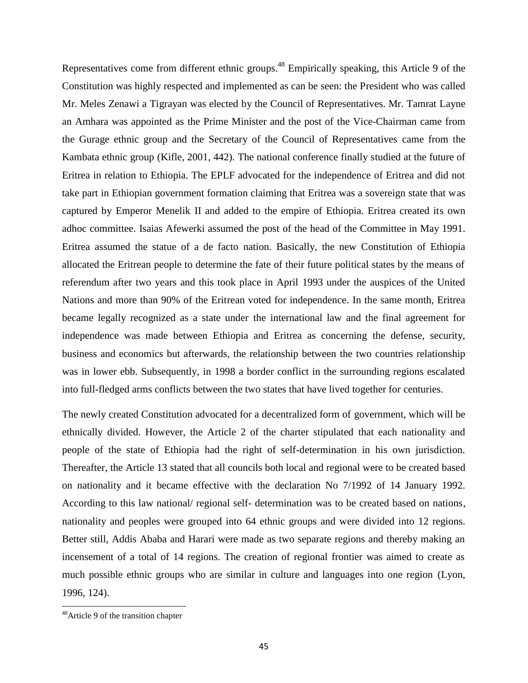Representatives come from different ethnic groups.<sup>48</sup> Empirically speaking, this Article 9 of the Constitution was highly respected and implemented as can be seen: the President who was called Mr. Meles Zenawi a Tigrayan was elected by the Council of Representatives. Mr. Tamrat Layne an Amhara was appointed as the Prime Minister and the post of the Vice-Chairman came from the Gurage ethnic group and the Secretary of the Council of Representatives came from the Kambata ethnic group (Kifle, 2001, 442). The national conference finally studied at the future of Eritrea in relation to Ethiopia. The EPLF advocated for the independence of Eritrea and did not take part in Ethiopian government formation claiming that Eritrea was a sovereign state that was captured by Emperor Menelik II and added to the empire of Ethiopia. Eritrea created its own adhoc committee. Isaias Afewerki assumed the post of the head of the Committee in May 1991. Eritrea assumed the statue of a de facto nation. Basically, the new Constitution of Ethiopia allocated the Eritrean people to determine the fate of their future political states by the means of referendum after two years and this took place in April 1993 under the auspices of the United Nations and more than 90% of the Eritrean voted for independence. In the same month, Eritrea became legally recognized as a state under the international law and the final agreement for independence was made between Ethiopia and Eritrea as concerning the defense, security, business and economics but afterwards, the relationship between the two countries relationship was in lower ebb. Subsequently, in 1998 a border conflict in the surrounding regions escalated into full-fledged arms conflicts between the two states that have lived together for centuries.

The newly created Constitution advocated for a decentralized form of government, which will be ethnically divided. However, the Article 2 of the charter stipulated that each nationality and people of the state of Ethiopia had the right of self-determination in his own jurisdiction. Thereafter, the Article 13 stated that all councils both local and regional were to be created based on nationality and it became effective with the declaration No 7/1992 of 14 January 1992. According to this law national/ regional self- determination was to be created based on nations, nationality and peoples were grouped into 64 ethnic groups and were divided into 12 regions. Better still, Addis Ababa and Harari were made as two separate regions and thereby making an incensement of a total of 14 regions. The creation of regional frontier was aimed to create as much possible ethnic groups who are similar in culture and languages into one region (Lyon, 1996, 124).

<sup>&</sup>lt;sup>48</sup>Article 9 of the transition chapter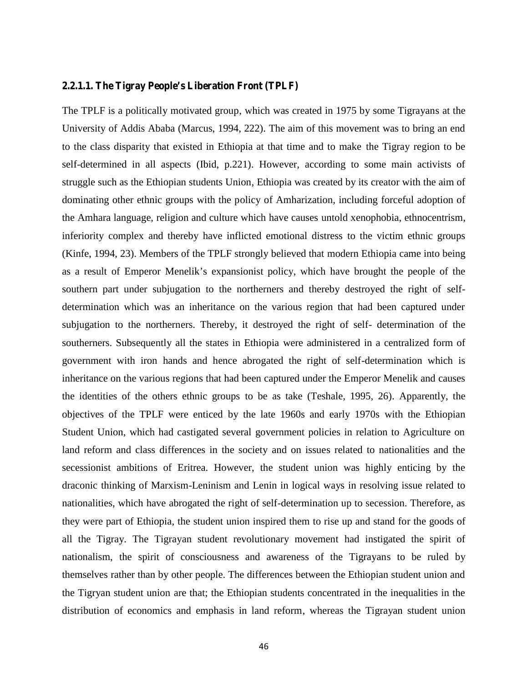#### **2.2.1.1. The Tigray People's Liberation Front (TPLF)**

The TPLF is a politically motivated group, which was created in 1975 by some Tigrayans at the University of Addis Ababa (Marcus, 1994, 222). The aim of this movement was to bring an end to the class disparity that existed in Ethiopia at that time and to make the Tigray region to be self-determined in all aspects (Ibid, p.221). However, according to some main activists of struggle such as the Ethiopian students Union, Ethiopia was created by its creator with the aim of dominating other ethnic groups with the policy of Amharization, including forceful adoption of the Amhara language, religion and culture which have causes untold xenophobia, ethnocentrism, inferiority complex and thereby have inflicted emotional distress to the victim ethnic groups (Kinfe, 1994, 23). Members of the TPLF strongly believed that modern Ethiopia came into being as a result of Emperor Menelik's expansionist policy, which have brought the people of the southern part under subjugation to the northerners and thereby destroyed the right of self determination which was an inheritance on the various region that had been captured under subjugation to the northerners. Thereby, it destroyed the right of self- determination of the southerners. Subsequently all the states in Ethiopia were administered in a centralized form of government with iron hands and hence abrogated the right of self-determination which is inheritance on the various regions that had been captured under the Emperor Menelik and causes the identities of the others ethnic groups to be as take (Teshale, 1995, 26). Apparently, the objectives of the TPLF were enticed by the late 1960s and early 1970s with the Ethiopian Student Union, which had castigated several government policies in relation to Agriculture on land reform and class differences in the society and on issues related to nationalities and the secessionist ambitions of Eritrea. However, the student union was highly enticing by the draconic thinking of Marxism-Leninism and Lenin in logical ways in resolving issue related to nationalities, which have abrogated the right of self-determination up to secession. Therefore, as they were part of Ethiopia, the student union inspired them to rise up and stand for the goods of all the Tigray. The Tigrayan student revolutionary movement had instigated the spirit of nationalism, the spirit of consciousness and awareness of the Tigrayans to be ruled by themselves rather than by other people. The differences between the Ethiopian student union and the Tigryan student union are that; the Ethiopian students concentrated in the inequalities in the distribution of economics and emphasis in land reform, whereas the Tigrayan student union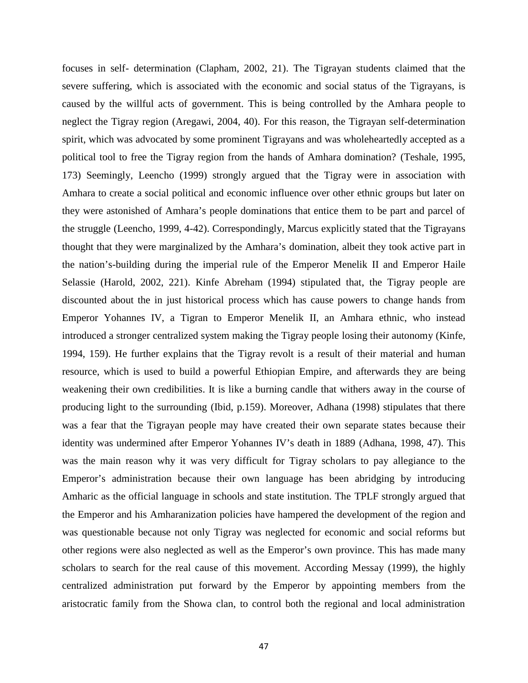focuses in self- determination (Clapham, 2002, 21). The Tigrayan students claimed that the severe suffering, which is associated with the economic and social status of the Tigrayans, is caused by the willful acts of government. This is being controlled by the Amhara people to neglect the Tigray region (Aregawi, 2004, 40). For this reason, the Tigrayan self-determination spirit, which was advocated by some prominent Tigrayans and was wholeheartedly accepted as a political tool to free the Tigray region from the hands of Amhara domination? (Teshale, 1995, 173) Seemingly, Leencho (1999) strongly argued that the Tigray were in association with Amhara to create a social political and economic influence over other ethnic groups but later on they were astonished of Amhara's people dominations that entice them to be part and parcel of the struggle (Leencho, 1999, 4-42). Correspondingly, Marcus explicitly stated that the Tigrayans thought that they were marginalized by the Amhara's domination, albeit they took active part in the nation's-building during the imperial rule of the Emperor Menelik II and Emperor Haile Selassie (Harold, 2002, 221). Kinfe Abreham (1994) stipulated that, the Tigray people are discounted about the in just historical process which has cause powers to change hands from Emperor Yohannes IV, a Tigran to Emperor Menelik II, an Amhara ethnic, who instead introduced a stronger centralized system making the Tigray people losing their autonomy (Kinfe, 1994, 159). He further explains that the Tigray revolt is a result of their material and human resource, which is used to build a powerful Ethiopian Empire, and afterwards they are being weakening their own credibilities. It is like a burning candle that withers away in the course of producing light to the surrounding (Ibid, p.159). Moreover, Adhana (1998) stipulates that there was a fear that the Tigrayan people may have created their own separate states because their identity was undermined after Emperor Yohannes IV's death in 1889 (Adhana, 1998, 47). This was the main reason why it was very difficult for Tigray scholars to pay allegiance to the Emperor's administration because their own language has been abridging by introducing Amharic as the official language in schools and state institution. The TPLF strongly argued that the Emperor and his Amharanization policies have hampered the development of the region and was questionable because not only Tigray was neglected for economic and social reforms but other regions were also neglected as well as the Emperor's own province. This has made many scholars to search for the real cause of this movement. According Messay (1999), the highly centralized administration put forward by the Emperor by appointing members from the aristocratic family from the Showa clan, to control both the regional and local administration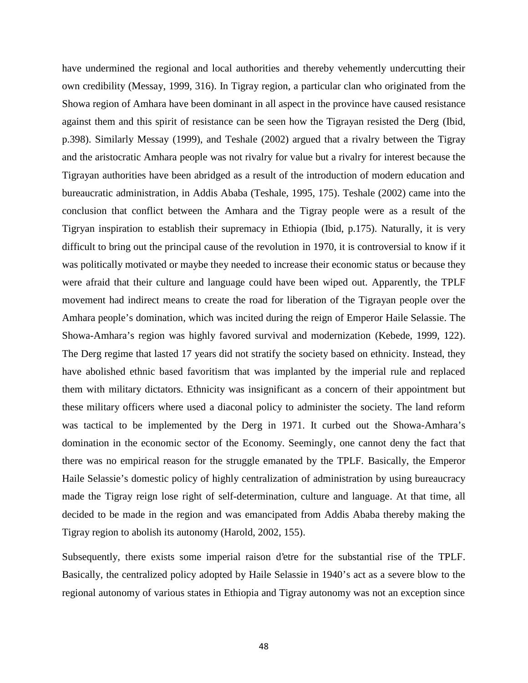have undermined the regional and local authorities and thereby vehemently undercutting their own credibility (Messay, 1999, 316). In Tigray region, a particular clan who originated from the Showa region of Amhara have been dominant in all aspect in the province have caused resistance against them and this spirit of resistance can be seen how the Tigrayan resisted the Derg (Ibid, p.398). Similarly Messay (1999), and Teshale (2002) argued that a rivalry between the Tigray and the aristocratic Amhara people was not rivalry for value but a rivalry for interest because the Tigrayan authorities have been abridged as a result of the introduction of modern education and bureaucratic administration, in Addis Ababa (Teshale, 1995, 175). Teshale (2002) came into the conclusion that conflict between the Amhara and the Tigray people were as a result of the Tigryan inspiration to establish their supremacy in Ethiopia (Ibid, p.175). Naturally, it is very difficult to bring out the principal cause of the revolution in 1970, it is controversial to know if it was politically motivated or maybe they needed to increase their economic status or because they were afraid that their culture and language could have been wiped out. Apparently, the TPLF movement had indirect means to create the road for liberation of the Tigrayan people over the Amhara people's domination, which was incited during the reign of Emperor Haile Selassie. The Showa-Amhara's region was highly favored survival and modernization (Kebede, 1999, 122). The Derg regime that lasted 17 years did not stratify the society based on ethnicity. Instead, they have abolished ethnic based favoritism that was implanted by the imperial rule and replaced them with military dictators. Ethnicity was insignificant as a concern of their appointment but these military officers where used a diaconal policy to administer the society. The land reform was tactical to be implemented by the Derg in 1971. It curbed out the Showa-Amhara's domination in the economic sector of the Economy. Seemingly, one cannot deny the fact that there was no empirical reason for the struggle emanated by the TPLF. Basically, the Emperor Haile Selassie's domestic policy of highly centralization of administration by using bureaucracy made the Tigray reign lose right of self-determination, culture and language. At that time, all decided to be made in the region and was emancipated from Addis Ababa thereby making the Tigray region to abolish its autonomy (Harold, 2002, 155).

Subsequently, there exists some imperial raison d'etre for the substantial rise of the TPLF. Basically, the centralized policy adopted by Haile Selassie in 1940's act as a severe blow to the regional autonomy of various states in Ethiopia and Tigray autonomy was not an exception since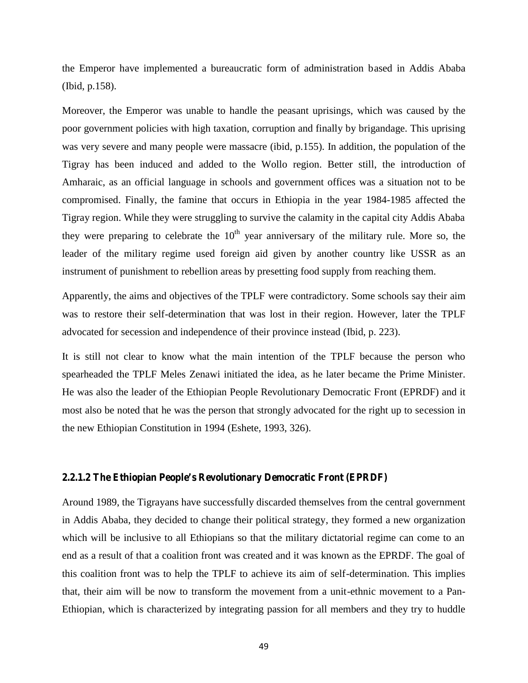the Emperor have implemented a bureaucratic form of administration based in Addis Ababa (Ibid, p.158).

Moreover, the Emperor was unable to handle the peasant uprisings, which was caused by the poor government policies with high taxation, corruption and finally by brigandage. This uprising was very severe and many people were massacre (ibid, p.155). In addition, the population of the Tigray has been induced and added to the Wollo region. Better still, the introduction of Amharaic, as an official language in schools and government offices was a situation not to be compromised. Finally, the famine that occurs in Ethiopia in the year 1984-1985 affected the Tigray region. While they were struggling to survive the calamity in the capital city Addis Ababa they were preparing to celebrate the  $10<sup>th</sup>$  year anniversary of the military rule. More so, the leader of the military regime used foreign aid given by another country like USSR as an instrument of punishment to rebellion areas by presetting food supply from reaching them.

Apparently, the aims and objectives of the TPLF were contradictory. Some schools say their aim was to restore their self-determination that was lost in their region. However, later the TPLF advocated for secession and independence of their province instead (Ibid, p. 223).

It is still not clear to know what the main intention of the TPLF because the person who spearheaded the TPLF Meles Zenawi initiated the idea, as he later became the Prime Minister. He was also the leader of the Ethiopian People Revolutionary Democratic Front (EPRDF) and it most also be noted that he was the person that strongly advocated for the right up to secession in the new Ethiopian Constitution in 1994 (Eshete, 1993, 326).

#### **2.2.1.2 The Ethiopian People's Revolutionary Democratic Front (EPRDF)**

Around 1989, the Tigrayans have successfully discarded themselves from the central government in Addis Ababa, they decided to change their political strategy, they formed a new organization which will be inclusive to all Ethiopians so that the military dictatorial regime can come to an end as a result of that a coalition front was created and it was known as the EPRDF. The goal of this coalition front was to help the TPLF to achieve its aim of self-determination. This implies that, their aim will be now to transform the movement from a unit-ethnic movement to a Pan- Ethiopian, which is characterized by integrating passion for all members and they try to huddle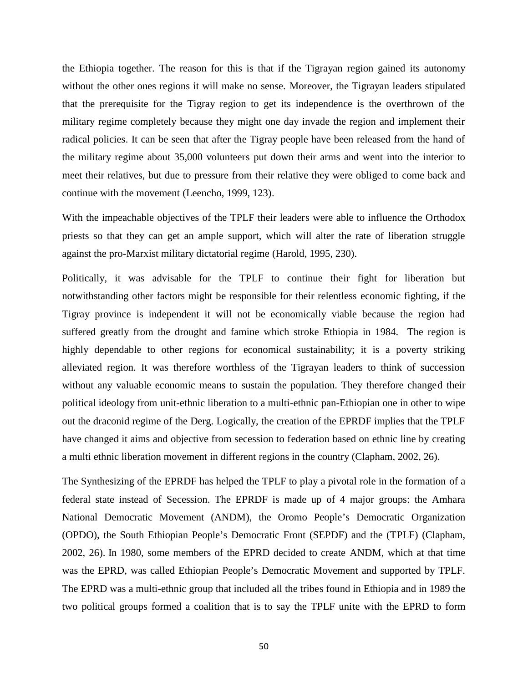the Ethiopia together. The reason for this is that if the Tigrayan region gained its autonomy without the other ones regions it will make no sense. Moreover, the Tigrayan leaders stipulated that the prerequisite for the Tigray region to get its independence is the overthrown of the military regime completely because they might one day invade the region and implement their radical policies. It can be seen that after the Tigray people have been released from the hand of the military regime about 35,000 volunteers put down their arms and went into the interior to meet their relatives, but due to pressure from their relative they were obliged to come back and continue with the movement (Leencho, 1999, 123).

With the impeachable objectives of the TPLF their leaders were able to influence the Orthodox priests so that they can get an ample support, which will alter the rate of liberation struggle against the pro-Marxist military dictatorial regime (Harold, 1995, 230).

Politically, it was advisable for the TPLF to continue their fight for liberation but notwithstanding other factors might be responsible for their relentless economic fighting, if the Tigray province is independent it will not be economically viable because the region had suffered greatly from the drought and famine which stroke Ethiopia in 1984. The region is highly dependable to other regions for economical sustainability; it is a poverty striking alleviated region. It was therefore worthless of the Tigrayan leaders to think of succession without any valuable economic means to sustain the population. They therefore changed their political ideology from unit-ethnic liberation to a multi-ethnic pan-Ethiopian one in other to wipe out the draconid regime of the Derg. Logically, the creation of the EPRDF implies that the TPLF have changed it aims and objective from secession to federation based on ethnic line by creating a multi ethnic liberation movement in different regions in the country (Clapham, 2002, 26).

The Synthesizing of the EPRDF has helped the TPLF to play a pivotal role in the formation of a federal state instead of Secession. The EPRDF is made up of 4 major groups: the Amhara National Democratic Movement (ANDM), the Oromo People's Democratic Organization (OPDO), the South Ethiopian People's Democratic Front (SEPDF) and the (TPLF) (Clapham, 2002, 26). In 1980, some members of the EPRD decided to create ANDM, which at that time was the EPRD, was called Ethiopian People's Democratic Movement and supported by TPLF. The EPRD was a multi-ethnic group that included all the tribes found in Ethiopia and in 1989 the two political groups formed a coalition that is to say the TPLF unite with the EPRD to form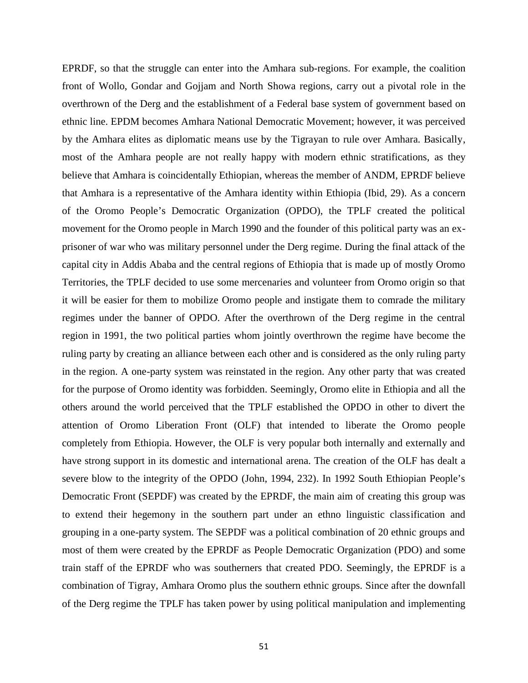EPRDF, so that the struggle can enter into the Amhara sub-regions. For example, the coalition front of Wollo, Gondar and Gojjam and North Showa regions, carry out a pivotal role in the overthrown of the Derg and the establishment of a Federal base system of government based on ethnic line. EPDM becomes Amhara National Democratic Movement; however, it was perceived by the Amhara elites as diplomatic means use by the Tigrayan to rule over Amhara. Basically, most of the Amhara people are not really happy with modern ethnic stratifications, as they believe that Amhara is coincidentally Ethiopian, whereas the member of ANDM, EPRDF believe that Amhara is a representative of the Amhara identity within Ethiopia (Ibid, 29). As a concern of the Oromo People's Democratic Organization (OPDO), the TPLF created the political movement for the Oromo people in March 1990 and the founder of this political party was an ex prisoner of war who was military personnel under the Derg regime. During the final attack of the capital city in Addis Ababa and the central regions of Ethiopia that is made up of mostly Oromo Territories, the TPLF decided to use some mercenaries and volunteer from Oromo origin so that it will be easier for them to mobilize Oromo people and instigate them to comrade the military regimes under the banner of OPDO. After the overthrown of the Derg regime in the central region in 1991, the two political parties whom jointly overthrown the regime have become the ruling party by creating an alliance between each other and is considered as the only ruling party in the region. A one-party system was reinstated in the region. Any other party that was created for the purpose of Oromo identity was forbidden. Seemingly, Oromo elite in Ethiopia and all the others around the world perceived that the TPLF established the OPDO in other to divert the attention of Oromo Liberation Front (OLF) that intended to liberate the Oromo people completely from Ethiopia. However, the OLF is very popular both internally and externally and have strong support in its domestic and international arena. The creation of the OLF has dealt a severe blow to the integrity of the OPDO (John, 1994, 232). In 1992 South Ethiopian People's Democratic Front (SEPDF) was created by the EPRDF, the main aim of creating this group was to extend their hegemony in the southern part under an ethno linguistic classification and grouping in a one-party system. The SEPDF was a political combination of 20 ethnic groups and most of them were created by the EPRDF as People Democratic Organization (PDO) and some train staff of the EPRDF who was southerners that created PDO. Seemingly, the EPRDF is a combination of Tigray, Amhara Oromo plus the southern ethnic groups. Since after the downfall of the Derg regime the TPLF has taken power by using political manipulation and implementing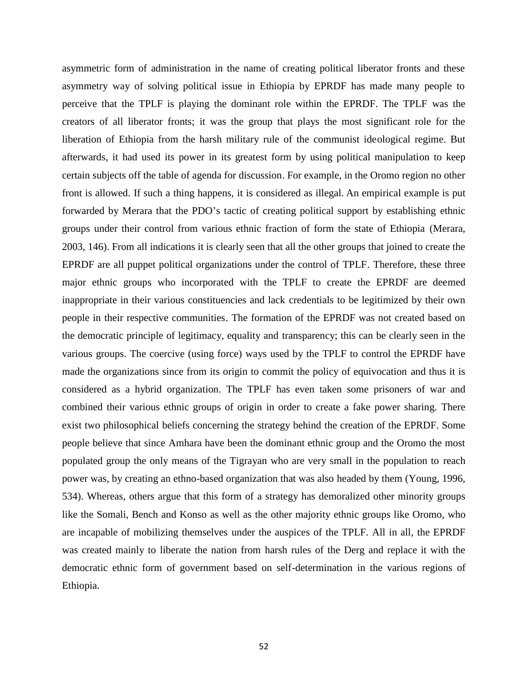asymmetric form of administration in the name of creating political liberator fronts and these asymmetry way of solving political issue in Ethiopia by EPRDF has made many people to perceive that the TPLF is playing the dominant role within the EPRDF. The TPLF was the creators of all liberator fronts; it was the group that plays the most significant role for the liberation of Ethiopia from the harsh military rule of the communist ideological regime. But afterwards, it had used its power in its greatest form by using political manipulation to keep certain subjects off the table of agenda for discussion. For example, in the Oromo region no other front is allowed. If such a thing happens, it is considered as illegal. An empirical example is put forwarded by Merara that the PDO's tactic of creating political support by establishing ethnic groups under their control from various ethnic fraction of form the state of Ethiopia (Merara, 2003, 146). From all indications it is clearly seen that all the other groups that joined to create the EPRDF are all puppet political organizations under the control of TPLF. Therefore, these three major ethnic groups who incorporated with the TPLF to create the EPRDF are deemed inappropriate in their various constituencies and lack credentials to be legitimized by their own people in their respective communities. The formation of the EPRDF was not created based on the democratic principle of legitimacy, equality and transparency; this can be clearly seen in the various groups. The coercive (using force) ways used by the TPLF to control the EPRDF have made the organizations since from its origin to commit the policy of equivocation and thus it is considered as a hybrid organization. The TPLF has even taken some prisoners of war and combined their various ethnic groups of origin in order to create a fake power sharing. There exist two philosophical beliefs concerning the strategy behind the creation of the EPRDF. Some people believe that since Amhara have been the dominant ethnic group and the Oromo the most populated group the only means of the Tigrayan who are very small in the population to reach power was, by creating an ethno-based organization that was also headed by them (Young, 1996, 534). Whereas, others argue that this form of a strategy has demoralized other minority groups like the Somali, Bench and Konso as well as the other majority ethnic groups like Oromo, who are incapable of mobilizing themselves under the auspices of the TPLF. All in all, the EPRDF was created mainly to liberate the nation from harsh rules of the Derg and replace it with the democratic ethnic form of government based on self-determination in the various regions of Ethiopia.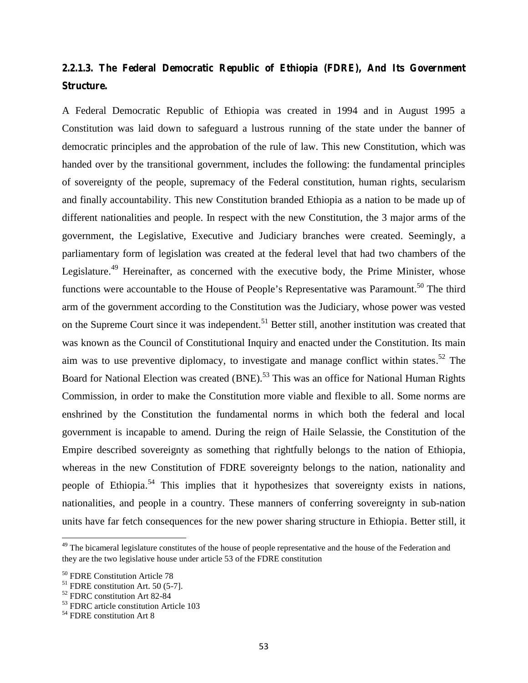# **2.2.1.3. The Federal Democratic Republic of Ethiopia (FDRE), And Its Government Structure.**

A Federal Democratic Republic of Ethiopia was created in 1994 and in August 1995 a Constitution was laid down to safeguard a lustrous running of the state under the banner of democratic principles and the approbation of the rule of law. This new Constitution, which was handed over by the transitional government, includes the following: the fundamental principles of sovereignty of the people, supremacy of the Federal constitution, human rights, secularism and finally accountability. This new Constitution branded Ethiopia as a nation to be made up of different nationalities and people. In respect with the new Constitution, the 3 major arms of the government, the Legislative, Executive and Judiciary branches were created. Seemingly, a parliamentary form of legislation was created at the federal level that had two chambers of the Legislature.<sup>49</sup> Hereinafter, as concerned with the executive body, the Prime Minister, whose functions were accountable to the House of People's Representative was Paramount.<sup>50</sup> The third arm of the government according to the Constitution was the Judiciary, whose power was vested on the Supreme Court since it was independent.<sup>51</sup> Better still, another institution was created that was known as the Council of Constitutional Inquiry and enacted under the Constitution. Its main aim was to use preventive diplomacy, to investigate and manage conflict within states.<sup>52</sup> The Board for National Election was created (BNE).<sup>53</sup> This was an office for National Human Rights Commission, in order to make the Constitution more viable and flexible to all. Some norms are enshrined by the Constitution the fundamental norms in which both the federal and local government is incapable to amend. During the reign of Haile Selassie, the Constitution of the Empire described sovereignty as something that rightfully belongs to the nation of Ethiopia, whereas in the new Constitution of FDRE sovereignty belongs to the nation, nationality and people of Ethiopia.<sup>54</sup> This implies that it hypothesizes that sovereignty exists in nations, nationalities, and people in a country. These manners of conferring sovereignty in sub-nation units have far fetch consequences for the new power sharing structure in Ethiopia. Better still, it

<sup>&</sup>lt;sup>49</sup> The bicameral legislature constitutes of the house of people representative and the house of the Federation and they are the two legislative house under article 53 of the FDRE constitution

<sup>&</sup>lt;sup>50</sup> FDRE Constitution Article 78<br><sup>51</sup> FDRE constitution Art. 50 (5-7].

<sup>&</sup>lt;sup>52</sup> FDRC constitution Art 82-84

<sup>53</sup> FDRC article constitution Article 103

<sup>&</sup>lt;sup>54</sup> FDRE constitution Art 8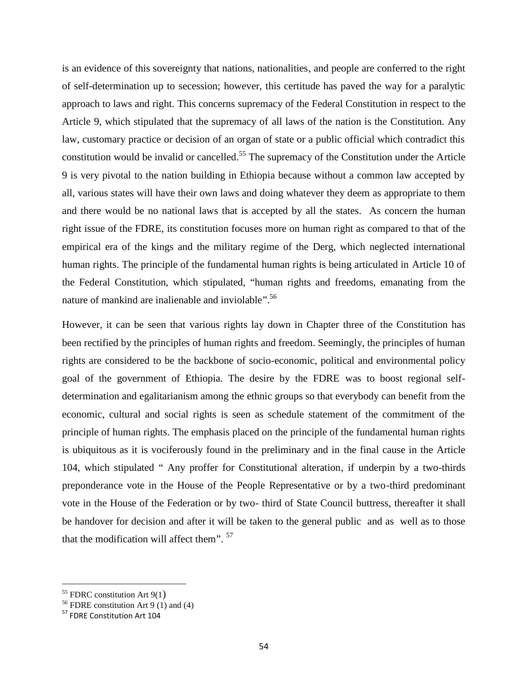is an evidence of this sovereignty that nations, nationalities, and people are conferred to the right of self-determination up to secession; however, this certitude has paved the way for a paralytic approach to laws and right. This concerns supremacy of the Federal Constitution in respect to the Article 9, which stipulated that the supremacy of all laws of the nation is the Constitution. Any law, customary practice or decision of an organ of state or a public official which contradict this constitution would be invalid or cancelled.<sup>55</sup> The supremacy of the Constitution under the Article 9 is very pivotal to the nation building in Ethiopia because without a common law accepted by all, various states will have their own laws and doing whatever they deem as appropriate to them and there would be no national laws that is accepted by all the states. As concern the human right issue of the FDRE, its constitution focuses more on human right as compared to that of the empirical era of the kings and the military regime of the Derg, which neglected international human rights. The principle of the fundamental human rights is being articulated in Article 10 of the Federal Constitution, which stipulated, "human rights and freedoms, emanating from the nature of mankind are inalienable and inviolable".<sup>56</sup>

However, it can be seen that various rights lay down in Chapter three of the Constitution has been rectified by the principles of human rights and freedom. Seemingly, the principles of human rights are considered to be the backbone of socio-economic, political and environmental policy goal of the government of Ethiopia. The desire by the FDRE was to boost regional self determination and egalitarianism among the ethnic groups so that everybody can benefit from the economic, cultural and social rights is seen as schedule statement of the commitment of the principle of human rights. The emphasis placed on the principle of the fundamental human rights is ubiquitous as it is vociferously found in the preliminary and in the final cause in the Article 104, which stipulated " Any proffer for Constitutional alteration, if underpin by a two-thirds preponderance vote in the House of the People Representative or by a two-third predominant vote in the House of the Federation or by two- third of State Council buttress, thereafter it shall be handover for decision and after it will be taken to the general public and as well as to those that the modification will affect them".  $57$ 

 $55$  FDRC constitution Art 9(1)

<sup>&</sup>lt;sup>56</sup> FDRE constitution Art 9  $(1)$  and (4)

<sup>57</sup> FDRE Constitution Art 104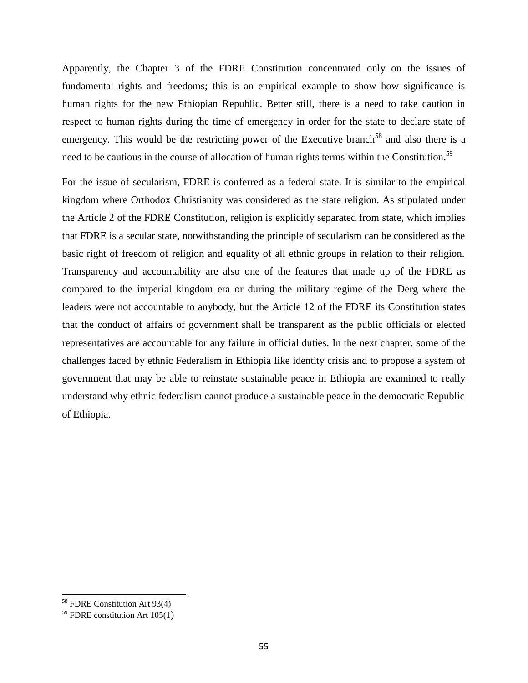Apparently, the Chapter 3 of the FDRE Constitution concentrated only on the issues of fundamental rights and freedoms; this is an empirical example to show how significance is human rights for the new Ethiopian Republic. Better still, there is a need to take caution in respect to human rights during the time of emergency in order for the state to declare state of emergency. This would be the restricting power of the Executive branch<sup>58</sup> and also there is a need to be cautious in the course of allocation of human rights terms within the Constitution.<sup>59</sup>

For the issue of secularism, FDRE is conferred as a federal state. It is similar to the empirical kingdom where Orthodox Christianity was considered as the state religion. As stipulated under the Article 2 of the FDRE Constitution, religion is explicitly separated from state, which implies that FDRE is a secular state, notwithstanding the principle of secularism can be considered as the basic right of freedom of religion and equality of all ethnic groups in relation to their religion. Transparency and accountability are also one of the features that made up of the FDRE as compared to the imperial kingdom era or during the military regime of the Derg where the leaders were not accountable to anybody, but the Article 12 of the FDRE its Constitution states that the conduct of affairs of government shall be transparent as the public officials or elected representatives are accountable for any failure in official duties. In the next chapter, some of the challenges faced by ethnic Federalism in Ethiopia like identity crisis and to propose a system of government that may be able to reinstate sustainable peace in Ethiopia are examined to really understand why ethnic federalism cannot produce a sustainable peace in the democratic Republic of Ethiopia.

<sup>58</sup> FDRE Constitution Art 93(4)

 $59$  FDRE constitution Art 105(1)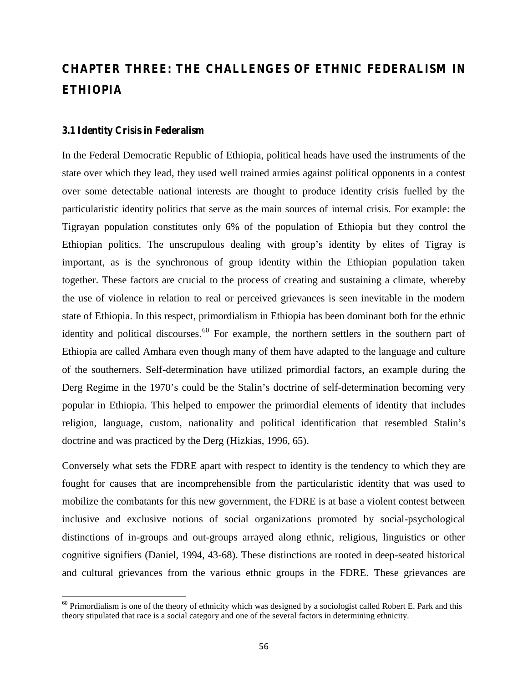# **CHAPTER THREE: THE CHALLENGES OF ETHNIC FEDERALISM IN ETHIOPIA**

## **3.1 Identity Crisis in Federalism**

In the Federal Democratic Republic of Ethiopia, political heads have used the instruments of the state over which they lead, they used well trained armies against political opponents in a contest over some detectable national interests are thought to produce identity crisis fuelled by the particularistic identity politics that serve as the main sources of internal crisis. For example: the Tigrayan population constitutes only 6% of the population of Ethiopia but they control the Ethiopian politics. The unscrupulous dealing with group's identity by elites of Tigray is important, as is the synchronous of group identity within the Ethiopian population taken together. These factors are crucial to the process of creating and sustaining a climate, whereby the use of violence in relation to real or perceived grievances is seen inevitable in the modern state of Ethiopia. In this respect, primordialism in Ethiopia has been dominant both for the ethnic identity and political discourses.<sup>60</sup> For example, the northern settlers in the southern part of Ethiopia are called Amhara even though many of them have adapted to the language and culture of the southerners. Self-determination have utilized primordial factors, an example during the Derg Regime in the 1970's could be the Stalin's doctrine of self-determination becoming very popular in Ethiopia. This helped to empower the primordial elements of identity that includes religion, language, custom, nationality and political identification that resembled Stalin's doctrine and was practiced by the Derg (Hizkias, 1996, 65).

Conversely what sets the FDRE apart with respect to identity is the tendency to which they are fought for causes that are incomprehensible from the particularistic identity that was used to mobilize the combatants for this new government, the FDRE is at base a violent contest between inclusive and exclusive notions of social organizations promoted by social-psychological distinctions of in-groups and out-groups arrayed along ethnic, religious, linguistics or other cognitive signifiers (Daniel, 1994, 43-68). These distinctions are rooted in deep-seated historical and cultural grievances from the various ethnic groups in the FDRE. These grievances are

 $60$  Primordialism is one of the theory of ethnicity which was designed by a sociologist called Robert E. Park and this theory stipulated that race is a social category and one of the several factors in determining ethnicity.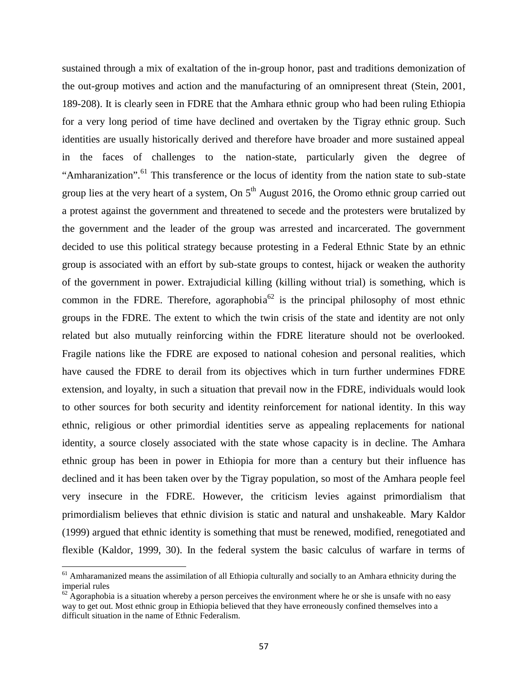sustained through a mix of exaltation of the in-group honor, past and traditions demonization of the out-group motives and action and the manufacturing of an omnipresent threat (Stein, 2001, 189-208). It is clearly seen in FDRE that the Amhara ethnic group who had been ruling Ethiopia for a very long period of time have declined and overtaken by the Tigray ethnic group. Such identities are usually historically derived and therefore have broader and more sustained appeal in the faces of challenges to the nation-state, particularly given the degree of "Amharanization".<sup>61</sup> This transference or the locus of identity from the nation state to sub-state group lies at the very heart of a system, On 5<sup>th</sup> August 2016, the Oromo ethnic group carried out a protest against the government and threatened to secede and the protesters were brutalized by the government and the leader of the group was arrested and incarcerated. The government decided to use this political strategy because protesting in a Federal Ethnic State by an ethnic group is associated with an effort by sub-state groups to contest, hijack or weaken the authority of the government in power. Extrajudicial killing (killing without trial) is something, which is common in the FDRE. Therefore, agoraphobia $^{62}$  is the principal philosophy of most ethnic groups in the FDRE. The extent to which the twin crisis of the state and identity are not only related but also mutually reinforcing within the FDRE literature should not be overlooked. Fragile nations like the FDRE are exposed to national cohesion and personal realities, which have caused the FDRE to derail from its objectives which in turn further undermines FDRE extension, and loyalty, in such a situation that prevail now in the FDRE, individuals would look to other sources for both security and identity reinforcement for national identity. In this way ethnic, religious or other primordial identities serve as appealing replacements for national identity, a source closely associated with the state whose capacity is in decline. The Amhara ethnic group has been in power in Ethiopia for more than a century but their influence has declined and it has been taken over by the Tigray population, so most of the Amhara people feel very insecure in the FDRE. However, the criticism levies against primordialism that primordialism believes that ethnic division is static and natural and unshakeable. Mary Kaldor (1999) argued that ethnic identity is something that must be renewed, modified, renegotiated and flexible (Kaldor, 1999, 30). In the federal system the basic calculus of warfare in terms of

 $61$  Amharamanized means the assimilation of all Ethiopia culturally and socially to an Amhara ethnicity during the imperial rules

 $62$  Agoraphobia is a situation whereby a person perceives the environment where he or she is unsafe with no easy way to get out. Most ethnic group in Ethiopia believed that they have erroneously confined themselves into a difficult situation in the name of Ethnic Federalism.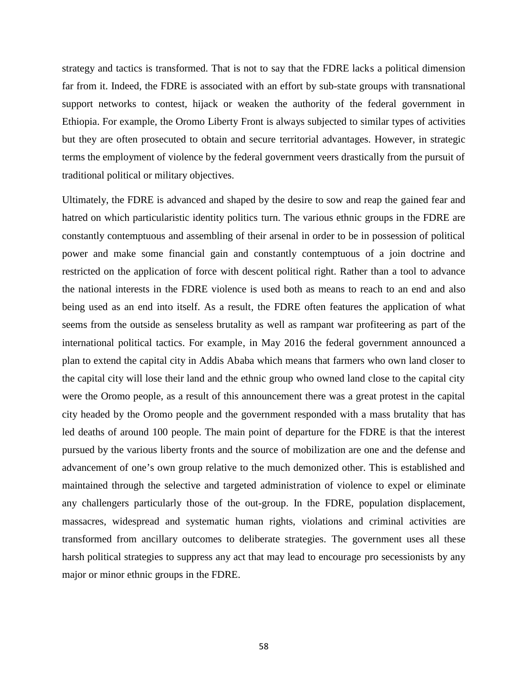strategy and tactics is transformed. That is not to say that the FDRE lacks a political dimension far from it. Indeed, the FDRE is associated with an effort by sub-state groups with transnational support networks to contest, hijack or weaken the authority of the federal government in Ethiopia. For example, the Oromo Liberty Front is always subjected to similar types of activities but they are often prosecuted to obtain and secure territorial advantages. However, in strategic terms the employment of violence by the federal government veers drastically from the pursuit of traditional political or military objectives.

Ultimately, the FDRE is advanced and shaped by the desire to sow and reap the gained fear and hatred on which particularistic identity politics turn. The various ethnic groups in the FDRE are constantly contemptuous and assembling of their arsenal in order to be in possession of political power and make some financial gain and constantly contemptuous of a join doctrine and restricted on the application of force with descent political right. Rather than a tool to advance the national interests in the FDRE violence is used both as means to reach to an end and also being used as an end into itself. As a result, the FDRE often features the application of what seems from the outside as senseless brutality as well as rampant war profiteering as part of the international political tactics. For example, in May 2016 the federal government announced a plan to extend the capital city in Addis Ababa which means that farmers who own land closer to the capital city will lose their land and the ethnic group who owned land close to the capital city were the Oromo people, as a result of this announcement there was a great protest in the capital city headed by the Oromo people and the government responded with a mass brutality that has led deaths of around 100 people. The main point of departure for the FDRE is that the interest pursued by the various liberty fronts and the source of mobilization are one and the defense and advancement of one's own group relative to the much demonized other. This is established and maintained through the selective and targeted administration of violence to expel or eliminate any challengers particularly those of the out-group. In the FDRE, population displacement, massacres, widespread and systematic human rights, violations and criminal activities are transformed from ancillary outcomes to deliberate strategies. The government uses all these harsh political strategies to suppress any act that may lead to encourage pro secessionists by any major or minor ethnic groups in the FDRE.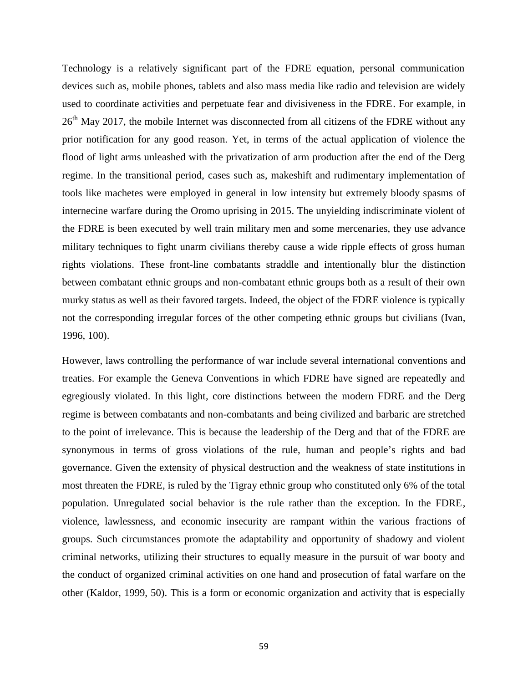Technology is a relatively significant part of the FDRE equation, personal communication devices such as, mobile phones, tablets and also mass media like radio and television are widely used to coordinate activities and perpetuate fear and divisiveness in the FDRE. For example, in 26<sup>th</sup> May 2017, the mobile Internet was disconnected from all citizens of the FDRE without any prior notification for any good reason. Yet, in terms of the actual application of violence the flood of light arms unleashed with the privatization of arm production after the end of the Derg regime. In the transitional period, cases such as, makeshift and rudimentary implementation of tools like machetes were employed in general in low intensity but extremely bloody spasms of internecine warfare during the Oromo uprising in 2015. The unyielding indiscriminate violent of the FDRE is been executed by well train military men and some mercenaries, they use advance military techniques to fight unarm civilians thereby cause a wide ripple effects of gross human rights violations. These front-line combatants straddle and intentionally blur the distinction between combatant ethnic groups and non-combatant ethnic groups both as a result of their own murky status as well as their favored targets. Indeed, the object of the FDRE violence is typically not the corresponding irregular forces of the other competing ethnic groups but civilians (Ivan, 1996, 100).

However, laws controlling the performance of war include several international conventions and treaties. For example the Geneva Conventions in which FDRE have signed are repeatedly and egregiously violated. In this light, core distinctions between the modern FDRE and the Derg regime is between combatants and non-combatants and being civilized and barbaric are stretched to the point of irrelevance. This is because the leadership of the Derg and that of the FDRE are synonymous in terms of gross violations of the rule, human and people's rights and bad governance. Given the extensity of physical destruction and the weakness of state institutions in most threaten the FDRE, is ruled by the Tigray ethnic group who constituted only 6% of the total population. Unregulated social behavior is the rule rather than the exception. In the FDRE, violence, lawlessness, and economic insecurity are rampant within the various fractions of groups. Such circumstances promote the adaptability and opportunity of shadowy and violent criminal networks, utilizing their structures to equally measure in the pursuit of war booty and the conduct of organized criminal activities on one hand and prosecution of fatal warfare on the other (Kaldor, 1999, 50). This is a form or economic organization and activity that is especially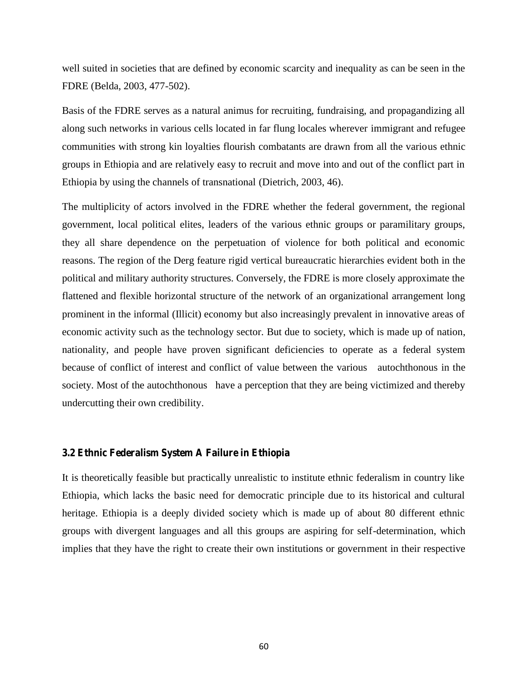well suited in societies that are defined by economic scarcity and inequality as can be seen in the FDRE (Belda, 2003, 477-502).

Basis of the FDRE serves as a natural animus for recruiting, fundraising, and propagandizing all along such networks in various cells located in far flung locales wherever immigrant and refugee communities with strong kin loyalties flourish combatants are drawn from all the various ethnic groups in Ethiopia and are relatively easy to recruit and move into and out of the conflict part in Ethiopia by using the channels of transnational (Dietrich, 2003, 46).

The multiplicity of actors involved in the FDRE whether the federal government, the regional government, local political elites, leaders of the various ethnic groups or paramilitary groups, they all share dependence on the perpetuation of violence for both political and economic reasons. The region of the Derg feature rigid vertical bureaucratic hierarchies evident both in the political and military authority structures. Conversely, the FDRE is more closely approximate the flattened and flexible horizontal structure of the network of an organizational arrangement long prominent in the informal (Illicit) economy but also increasingly prevalent in innovative areas of economic activity such as the technology sector. But due to society, which is made up of nation, nationality, and people have proven significant deficiencies to operate as a federal system because of conflict of interest and conflict of value between the various autochthonous in the society. Most of the autochthonous have a perception that they are being victimized and thereby undercutting their own credibility.

# **3.2 Ethnic Federalism System A Failure in Ethiopia**

It is theoretically feasible but practically unrealistic to institute ethnic federalism in country like Ethiopia, which lacks the basic need for democratic principle due to its historical and cultural heritage. Ethiopia is a deeply divided society which is made up of about 80 different ethnic groups with divergent languages and all this groups are aspiring for self-determination, which implies that they have the right to create their own institutions or government in their respective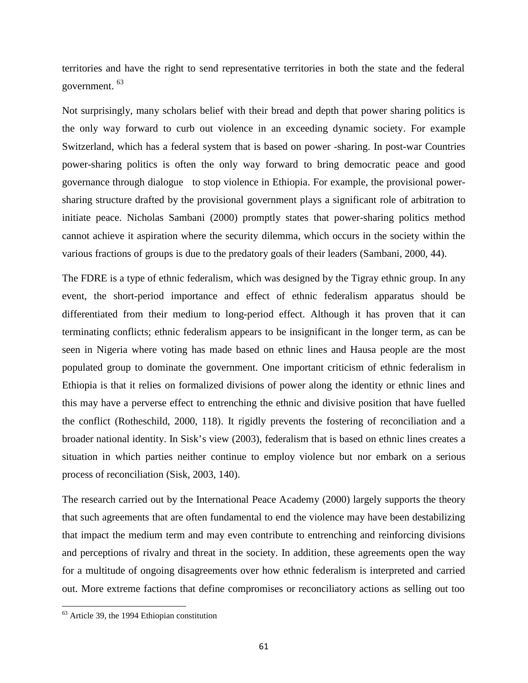territories and have the right to send representative territories in both the state and the federal government. <sup>63</sup>

Not surprisingly, many scholars belief with their bread and depth that power sharing politics is the only way forward to curb out violence in an exceeding dynamic society. For example Switzerland, which has a federal system that is based on power -sharing. In post-war Countries power-sharing politics is often the only way forward to bring democratic peace and good governance through dialogue to stop violence in Ethiopia. For example, the provisional power sharing structure drafted by the provisional government plays a significant role of arbitration to initiate peace. Nicholas Sambani (2000) promptly states that power-sharing politics method cannot achieve it aspiration where the security dilemma, which occurs in the society within the various fractions of groups is due to the predatory goals of their leaders (Sambani, 2000, 44).

The FDRE is a type of ethnic federalism, which was designed by the Tigray ethnic group. In any event, the short-period importance and effect of ethnic federalism apparatus should be differentiated from their medium to long-period effect. Although it has proven that it can terminating conflicts; ethnic federalism appears to be insignificant in the longer term, as can be seen in Nigeria where voting has made based on ethnic lines and Hausa people are the most populated group to dominate the government. One important criticism of ethnic federalism in Ethiopia is that it relies on formalized divisions of power along the identity or ethnic lines and this may have a perverse effect to entrenching the ethnic and divisive position that have fuelled the conflict (Rotheschild, 2000, 118). It rigidly prevents the fostering of reconciliation and a broader national identity. In Sisk's view (2003), federalism that is based on ethnic lines creates a situation in which parties neither continue to employ violence but nor embark on a serious process of reconciliation (Sisk, 2003, 140).

The research carried out by the International Peace Academy (2000) largely supports the theory that such agreements that are often fundamental to end the violence may have been destabilizing that impact the medium term and may even contribute to entrenching and reinforcing divisions and perceptions of rivalry and threat in the society. In addition, these agreements open the way for a multitude of ongoing disagreements over how ethnic federalism is interpreted and carried out. More extreme factions that define compromises or reconciliatory actions as selling out too

<sup>63</sup> Article 39, the 1994 Ethiopian constitution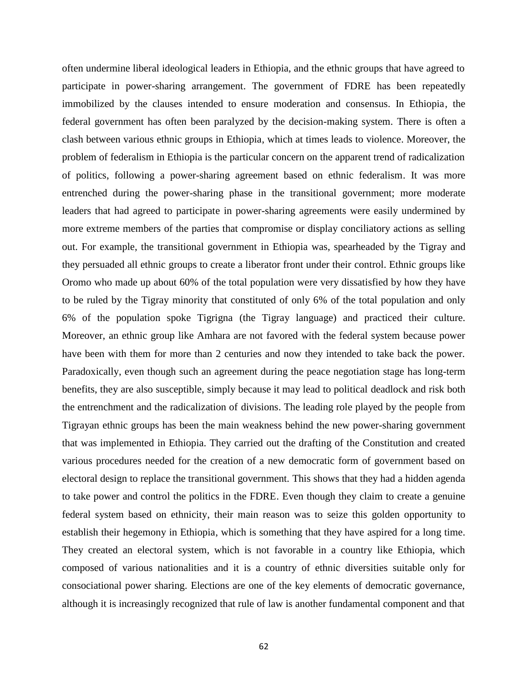often undermine liberal ideological leaders in Ethiopia, and the ethnic groups that have agreed to participate in power-sharing arrangement. The government of FDRE has been repeatedly immobilized by the clauses intended to ensure moderation and consensus. In Ethiopia, the federal government has often been paralyzed by the decision-making system. There is often a clash between various ethnic groups in Ethiopia, which at times leads to violence. Moreover, the problem of federalism in Ethiopia is the particular concern on the apparent trend of radicalization of politics, following a power-sharing agreement based on ethnic federalism. It was more entrenched during the power-sharing phase in the transitional government; more moderate leaders that had agreed to participate in power-sharing agreements were easily undermined by more extreme members of the parties that compromise or display conciliatory actions as selling out. For example, the transitional government in Ethiopia was, spearheaded by the Tigray and they persuaded all ethnic groups to create a liberator front under their control. Ethnic groups like Oromo who made up about 60% of the total population were very dissatisfied by how they have to be ruled by the Tigray minority that constituted of only 6% of the total population and only 6% of the population spoke Tigrigna (the Tigray language) and practiced their culture. Moreover, an ethnic group like Amhara are not favored with the federal system because power have been with them for more than 2 centuries and now they intended to take back the power. Paradoxically, even though such an agreement during the peace negotiation stage has long-term benefits, they are also susceptible, simply because it may lead to political deadlock and risk both the entrenchment and the radicalization of divisions. The leading role played by the people from Tigrayan ethnic groups has been the main weakness behind the new power-sharing government that was implemented in Ethiopia. They carried out the drafting of the Constitution and created various procedures needed for the creation of a new democratic form of government based on electoral design to replace the transitional government. This shows that they had a hidden agenda to take power and control the politics in the FDRE. Even though they claim to create a genuine federal system based on ethnicity, their main reason was to seize this golden opportunity to establish their hegemony in Ethiopia, which is something that they have aspired for a long time. They created an electoral system, which is not favorable in a country like Ethiopia, which composed of various nationalities and it is a country of ethnic diversities suitable only for consociational power sharing. Elections are one of the key elements of democratic governance, although it is increasingly recognized that rule of law is another fundamental component and that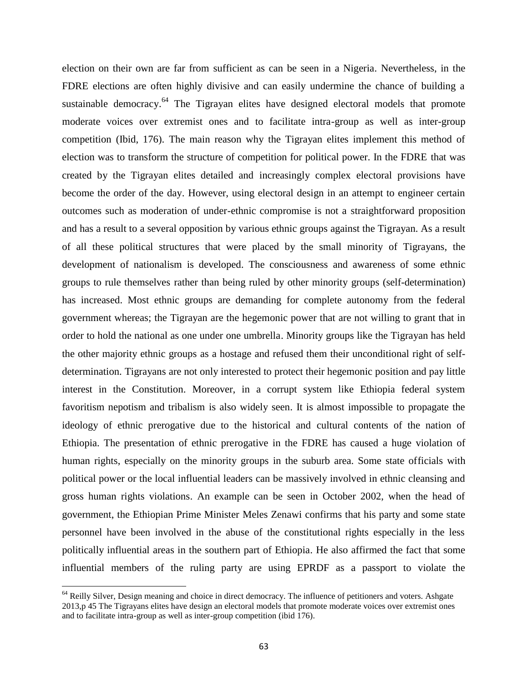election on their own are far from sufficient as can be seen in a Nigeria. Nevertheless, in the FDRE elections are often highly divisive and can easily undermine the chance of building a sustainable democracy.<sup>64</sup> The Tigrayan elites have designed electoral models that promote moderate voices over extremist ones and to facilitate intra-group as well as inter-group competition (Ibid, 176). The main reason why the Tigrayan elites implement this method of election was to transform the structure of competition for political power. In the FDRE that was created by the Tigrayan elites detailed and increasingly complex electoral provisions have become the order of the day. However, using electoral design in an attempt to engineer certain outcomes such as moderation of under-ethnic compromise is not a straightforward proposition and has a result to a several opposition by various ethnic groups against the Tigrayan. As a result of all these political structures that were placed by the small minority of Tigrayans, the development of nationalism is developed. The consciousness and awareness of some ethnic groups to rule themselves rather than being ruled by other minority groups (self-determination) has increased. Most ethnic groups are demanding for complete autonomy from the federal government whereas; the Tigrayan are the hegemonic power that are not willing to grant that in order to hold the national as one under one umbrella. Minority groups like the Tigrayan has held the other majority ethnic groups as a hostage and refused them their unconditional right of self determination. Tigrayans are not only interested to protect their hegemonic position and pay little interest in the Constitution. Moreover, in a corrupt system like Ethiopia federal system favoritism nepotism and tribalism is also widely seen. It is almost impossible to propagate the ideology of ethnic prerogative due to the historical and cultural contents of the nation of Ethiopia. The presentation of ethnic prerogative in the FDRE has caused a huge violation of human rights, especially on the minority groups in the suburb area. Some state officials with political power or the local influential leaders can be massively involved in ethnic cleansing and gross human rights violations. An example can be seen in October 2002, when the head of government, the Ethiopian Prime Minister Meles Zenawi confirms that his party and some state personnel have been involved in the abuse of the constitutional rights especially in the less politically influential areas in the southern part of Ethiopia. He also affirmed the fact that some influential members of the ruling party are using EPRDF as a passport to violate the

<sup>&</sup>lt;sup>64</sup> Reilly Silver, Design meaning and choice in direct democracy. The influence of petitioners and voters. Ashgate 2013,p 45 The Tigrayans elites have design an electoral models that promote moderate voices over extremist ones and to facilitate intra-group as well as inter-group competition (ibid 176).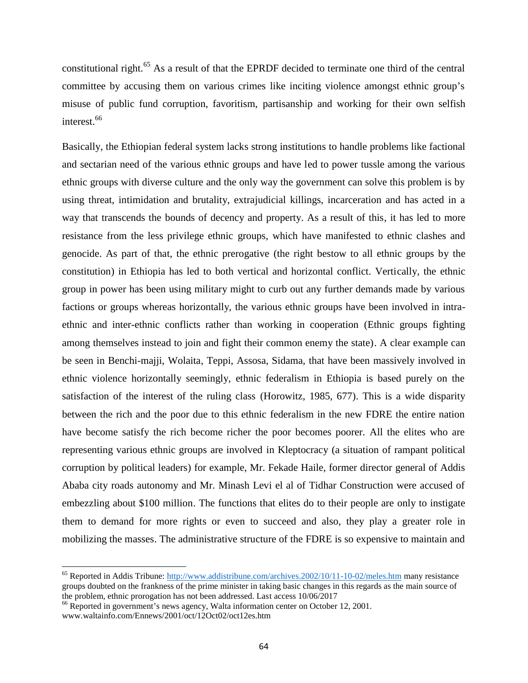constitutional right.<sup>65</sup> As a result of that the EPRDF decided to terminate one third of the central committee by accusing them on various crimes like inciting violence amongst ethnic group's misuse of public fund corruption, favoritism, partisanship and working for their own selfish interest.<sup>66</sup>

Basically, the Ethiopian federal system lacks strong institutions to handle problems like factional and sectarian need of the various ethnic groups and have led to power tussle among the various ethnic groups with diverse culture and the only way the government can solve this problem is by using threat, intimidation and brutality, extrajudicial killings, incarceration and has acted in a way that transcends the bounds of decency and property. As a result of this, it has led to more resistance from the less privilege ethnic groups, which have manifested to ethnic clashes and genocide. As part of that, the ethnic prerogative (the right bestow to all ethnic groups by the constitution) in Ethiopia has led to both vertical and horizontal conflict. Vertically, the ethnic group in power has been using military might to curb out any further demands made by various factions or groups whereas horizontally, the various ethnic groups have been involved in intra ethnic and inter-ethnic conflicts rather than working in cooperation (Ethnic groups fighting among themselves instead to join and fight their common enemy the state). A clear example can be seen in Benchi-majji, Wolaita, Teppi, Assosa, Sidama, that have been massively involved in ethnic violence horizontally seemingly, ethnic federalism in Ethiopia is based purely on the satisfaction of the interest of the ruling class (Horowitz, 1985, 677). This is a wide disparity between the rich and the poor due to this ethnic federalism in the new FDRE the entire nation have become satisfy the rich become richer the poor becomes poorer. All the elites who are representing various ethnic groups are involved in Kleptocracy (a situation of rampant political corruption by political leaders) for example, Mr. Fekade Haile, former director general of Addis Ababa city roads autonomy and Mr. Minash Levi el al of Tidhar Construction were accused of embezzling about \$100 million. The functions that elites do to their people are only to instigate them to demand for more rights or even to succeed and also, they play a greater role in mobilizing the masses. The administrative structure of the FDRE is so expensive to maintain and

<sup>65</sup> Reported in Addis Tribune: http://www.addistribune.com/archives.2002/10/11-10-02/meles.htm many resistance groups doubted on the frankness of the prime minister in taking basic changes in this regards as the main source of the problem, ethnic prorogation has not been addressed. Last access 10/06/2017

<sup>&</sup>lt;sup>66</sup> Reported in government's news agency, Walta information center on October 12, 2001. www.waltainfo.com/Ennews/2001/oct/12Oct02/oct12es.htm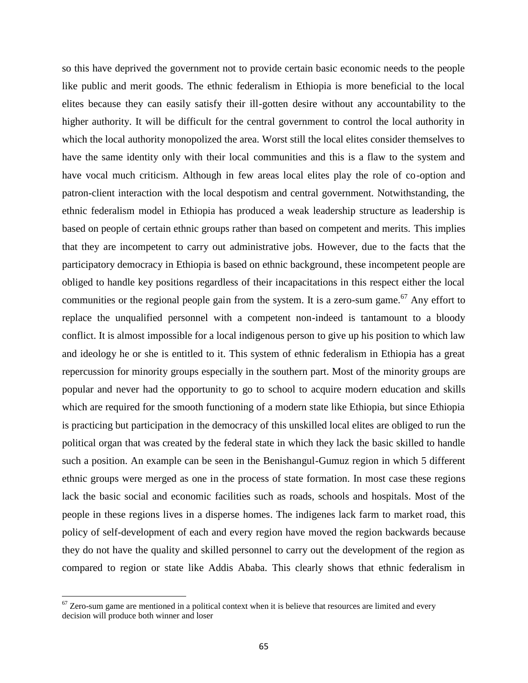so this have deprived the government not to provide certain basic economic needs to the people like public and merit goods. The ethnic federalism in Ethiopia is more beneficial to the local elites because they can easily satisfy their ill-gotten desire without any accountability to the higher authority. It will be difficult for the central government to control the local authority in which the local authority monopolized the area. Worst still the local elites consider themselves to have the same identity only with their local communities and this is a flaw to the system and have vocal much criticism. Although in few areas local elites play the role of co-option and patron-client interaction with the local despotism and central government. Notwithstanding, the ethnic federalism model in Ethiopia has produced a weak leadership structure as leadership is based on people of certain ethnic groups rather than based on competent and merits. This implies that they are incompetent to carry out administrative jobs. However, due to the facts that the participatory democracy in Ethiopia is based on ethnic background, these incompetent people are obliged to handle key positions regardless of their incapacitations in this respect either the local communities or the regional people gain from the system. It is a zero-sum game.<sup>67</sup> Any effort to replace the unqualified personnel with a competent non-indeed is tantamount to a bloody conflict. It is almost impossible for a local indigenous person to give up his position to which law and ideology he or she is entitled to it. This system of ethnic federalism in Ethiopia has a great repercussion for minority groups especially in the southern part. Most of the minority groups are popular and never had the opportunity to go to school to acquire modern education and skills which are required for the smooth functioning of a modern state like Ethiopia, but since Ethiopia is practicing but participation in the democracy of this unskilled local elites are obliged to run the political organ that was created by the federal state in which they lack the basic skilled to handle such a position. An example can be seen in the Benishangul-Gumuz region in which 5 different ethnic groups were merged as one in the process of state formation. In most case these regions lack the basic social and economic facilities such as roads, schools and hospitals. Most of the people in these regions lives in a disperse homes. The indigenes lack farm to market road, this policy of self-development of each and every region have moved the region backwards because they do not have the quality and skilled personnel to carry out the development of the region as compared to region or state like Addis Ababa. This clearly shows that ethnic federalism in

 $67$  Zero-sum game are mentioned in a political context when it is believe that resources are limited and every decision will produce both winner and loser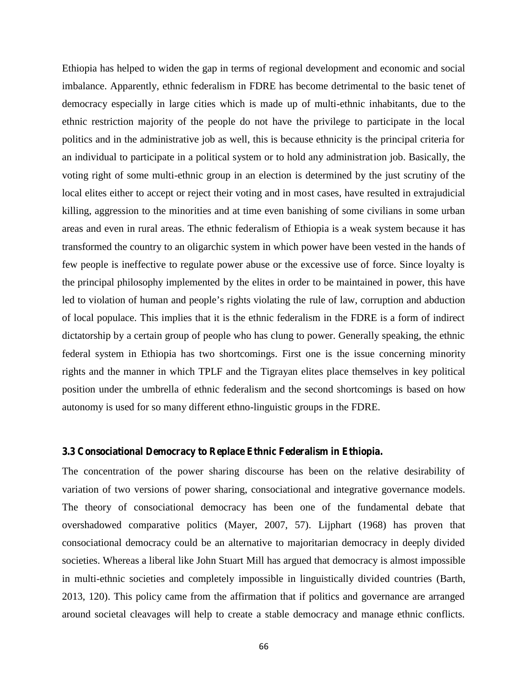Ethiopia has helped to widen the gap in terms of regional development and economic and social imbalance. Apparently, ethnic federalism in FDRE has become detrimental to the basic tenet of democracy especially in large cities which is made up of multi-ethnic inhabitants, due to the ethnic restriction majority of the people do not have the privilege to participate in the local politics and in the administrative job as well, this is because ethnicity is the principal criteria for an individual to participate in a political system or to hold any administration job. Basically, the voting right of some multi-ethnic group in an election is determined by the just scrutiny of the local elites either to accept or reject their voting and in most cases, have resulted in extrajudicial killing, aggression to the minorities and at time even banishing of some civilians in some urban areas and even in rural areas. The ethnic federalism of Ethiopia is a weak system because it has transformed the country to an oligarchic system in which power have been vested in the hands of few people is ineffective to regulate power abuse or the excessive use of force. Since loyalty is the principal philosophy implemented by the elites in order to be maintained in power, this have led to violation of human and people's rights violating the rule of law, corruption and abduction of local populace. This implies that it is the ethnic federalism in the FDRE is a form of indirect dictatorship by a certain group of people who has clung to power. Generally speaking, the ethnic federal system in Ethiopia has two shortcomings. First one is the issue concerning minority rights and the manner in which TPLF and the Tigrayan elites place themselves in key political position under the umbrella of ethnic federalism and the second shortcomings is based on how autonomy is used for so many different ethno-linguistic groups in the FDRE.

## **3.3 Consociational Democracy to Replace Ethnic Federalism in Ethiopia.**

The concentration of the power sharing discourse has been on the relative desirability of variation of two versions of power sharing, consociational and integrative governance models. The theory of consociational democracy has been one of the fundamental debate that overshadowed comparative politics (Mayer, 2007, 57). Lijphart (1968) has proven that consociational democracy could be an alternative to majoritarian democracy in deeply divided societies. Whereas a liberal like John Stuart Mill has argued that democracy is almost impossible in multi-ethnic societies and completely impossible in linguistically divided countries (Barth, 2013, 120). This policy came from the affirmation that if politics and governance are arranged around societal cleavages will help to create a stable democracy and manage ethnic conflicts.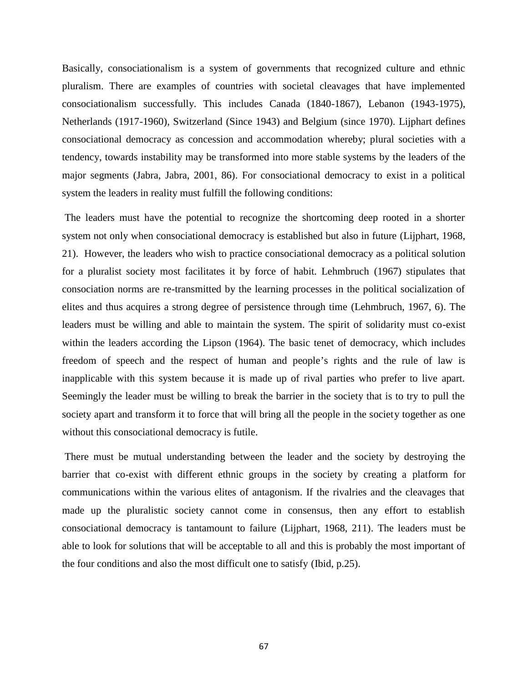Basically, consociationalism is a system of governments that recognized culture and ethnic pluralism. There are examples of countries with societal cleavages that have implemented consociationalism successfully. This includes Canada (1840-1867), Lebanon (1943-1975), Netherlands (1917-1960), Switzerland (Since 1943) and Belgium (since 1970). Lijphart defines consociational democracy as concession and accommodation whereby; plural societies with a tendency, towards instability may be transformed into more stable systems by the leaders of the major segments (Jabra, Jabra, 2001, 86). For consociational democracy to exist in a political system the leaders in reality must fulfill the following conditions:

The leaders must have the potential to recognize the shortcoming deep rooted in a shorter system not only when consociational democracy is established but also in future (Lijphart, 1968, 21). However, the leaders who wish to practice consociational democracy as a political solution for a pluralist society most facilitates it by force of habit. Lehmbruch (1967) stipulates that consociation norms are re-transmitted by the learning processes in the political socialization of elites and thus acquires a strong degree of persistence through time (Lehmbruch, 1967, 6). The leaders must be willing and able to maintain the system. The spirit of solidarity must co-exist within the leaders according the Lipson (1964). The basic tenet of democracy, which includes freedom of speech and the respect of human and people's rights and the rule of law is inapplicable with this system because it is made up of rival parties who prefer to live apart. Seemingly the leader must be willing to break the barrier in the society that is to try to pull the society apart and transform it to force that will bring all the people in the society together as one without this consociational democracy is futile.

There must be mutual understanding between the leader and the society by destroying the barrier that co-exist with different ethnic groups in the society by creating a platform for communications within the various elites of antagonism. If the rivalries and the cleavages that made up the pluralistic society cannot come in consensus, then any effort to establish consociational democracy is tantamount to failure (Lijphart, 1968, 211). The leaders must be able to look for solutions that will be acceptable to all and this is probably the most important of the four conditions and also the most difficult one to satisfy (Ibid, p.25).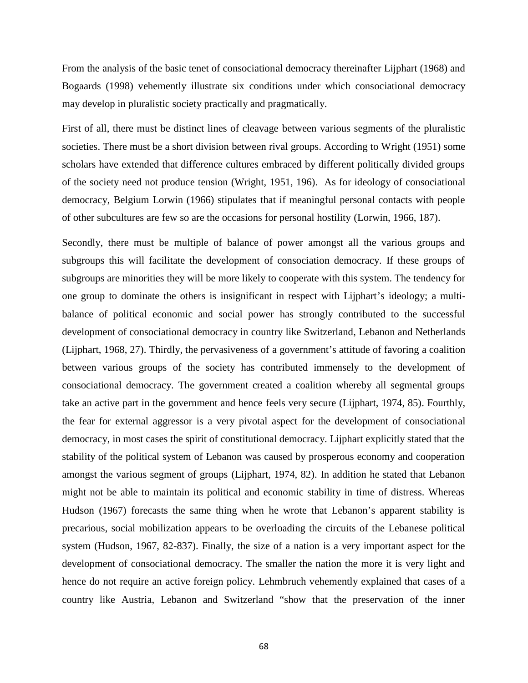From the analysis of the basic tenet of consociational democracy thereinafter Lijphart (1968) and Bogaards (1998) vehemently illustrate six conditions under which consociational democracy may develop in pluralistic society practically and pragmatically.

First of all, there must be distinct lines of cleavage between various segments of the pluralistic societies. There must be a short division between rival groups. According to Wright (1951) some scholars have extended that difference cultures embraced by different politically divided groups of the society need not produce tension (Wright, 1951, 196). As for ideology of consociational democracy, Belgium Lorwin (1966) stipulates that if meaningful personal contacts with people of other subcultures are few so are the occasions for personal hostility (Lorwin, 1966, 187).

Secondly, there must be multiple of balance of power amongst all the various groups and subgroups this will facilitate the development of consociation democracy. If these groups of subgroups are minorities they will be more likely to cooperate with this system. The tendency for one group to dominate the others is insignificant in respect with Lijphart's ideology; a multi balance of political economic and social power has strongly contributed to the successful development of consociational democracy in country like Switzerland, Lebanon and Netherlands (Lijphart, 1968, 27). Thirdly, the pervasiveness of a government's attitude of favoring a coalition between various groups of the society has contributed immensely to the development of consociational democracy. The government created a coalition whereby all segmental groups take an active part in the government and hence feels very secure (Lijphart, 1974, 85). Fourthly, the fear for external aggressor is a very pivotal aspect for the development of consociational democracy, in most cases the spirit of constitutional democracy. Lijphart explicitly stated that the stability of the political system of Lebanon was caused by prosperous economy and cooperation amongst the various segment of groups (Lijphart, 1974, 82). In addition he stated that Lebanon might not be able to maintain its political and economic stability in time of distress. Whereas Hudson (1967) forecasts the same thing when he wrote that Lebanon's apparent stability is precarious, social mobilization appears to be overloading the circuits of the Lebanese political system (Hudson, 1967, 82-837). Finally, the size of a nation is a very important aspect for the development of consociational democracy. The smaller the nation the more it is very light and hence do not require an active foreign policy. Lehmbruch vehemently explained that cases of a country like Austria, Lebanon and Switzerland "show that the preservation of the inner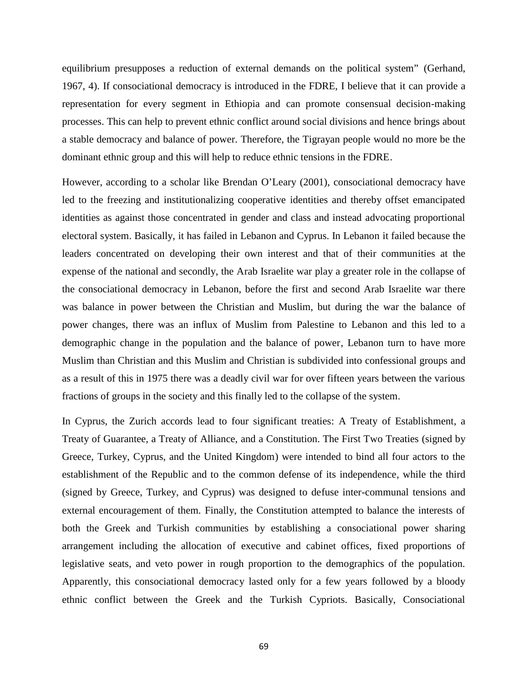equilibrium presupposes a reduction of external demands on the political system" (Gerhand, 1967, 4). If consociational democracy is introduced in the FDRE, I believe that it can provide a representation for every segment in Ethiopia and can promote consensual decision-making processes. This can help to prevent ethnic conflict around social divisions and hence brings about a stable democracy and balance of power. Therefore, the Tigrayan people would no more be the dominant ethnic group and this will help to reduce ethnic tensions in the FDRE.

However, according to a scholar like Brendan O'Leary (2001), consociational democracy have led to the freezing and institutionalizing cooperative identities and thereby offset emancipated identities as against those concentrated in gender and class and instead advocating proportional electoral system. Basically, it has failed in Lebanon and Cyprus. In Lebanon it failed because the leaders concentrated on developing their own interest and that of their communities at the expense of the national and secondly, the Arab Israelite war play a greater role in the collapse of the consociational democracy in Lebanon, before the first and second Arab Israelite war there was balance in power between the Christian and Muslim, but during the war the balance of power changes, there was an influx of Muslim from Palestine to Lebanon and this led to a demographic change in the population and the balance of power, Lebanon turn to have more Muslim than Christian and this Muslim and Christian is subdivided into confessional groups and as a result of this in 1975 there was a deadly civil war for over fifteen years between the various fractions of groups in the society and this finally led to the collapse of the system.

In Cyprus, the Zurich accords lead to four significant treaties: A Treaty of Establishment, a Treaty of Guarantee, a Treaty of Alliance, and a Constitution. The First Two Treaties (signed by Greece, Turkey, Cyprus, and the United Kingdom) were intended to bind all four actors to the establishment of the Republic and to the common defense of its independence, while the third (signed by Greece, Turkey, and Cyprus) was designed to defuse inter-communal tensions and external encouragement of them. Finally, the Constitution attempted to balance the interests of both the Greek and Turkish communities by establishing a consociational power sharing arrangement including the allocation of executive and cabinet offices, fixed proportions of legislative seats, and veto power in rough proportion to the demographics of the population. Apparently, this consociational democracy lasted only for a few years followed by a bloody ethnic conflict between the Greek and the Turkish Cypriots. Basically, Consociational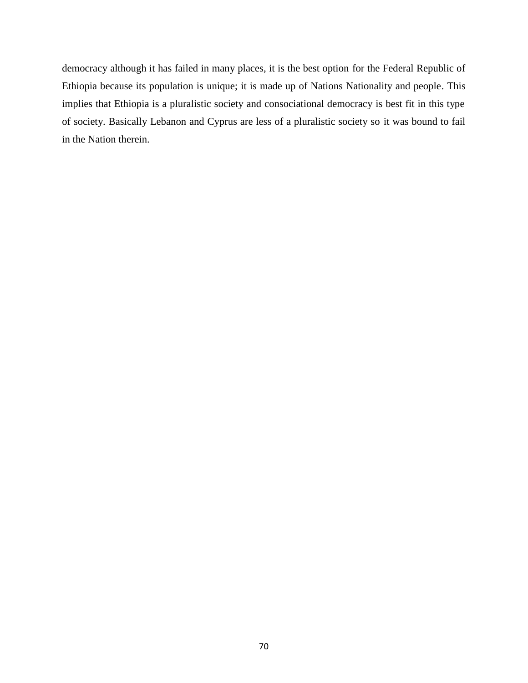democracy although it has failed in many places, it is the best option for the Federal Republic of Ethiopia because its population is unique; it is made up of Nations Nationality and people. This implies that Ethiopia is a pluralistic society and consociational democracy is best fit in this type of society. Basically Lebanon and Cyprus are less of a pluralistic society so it was bound to fail in the Nation therein.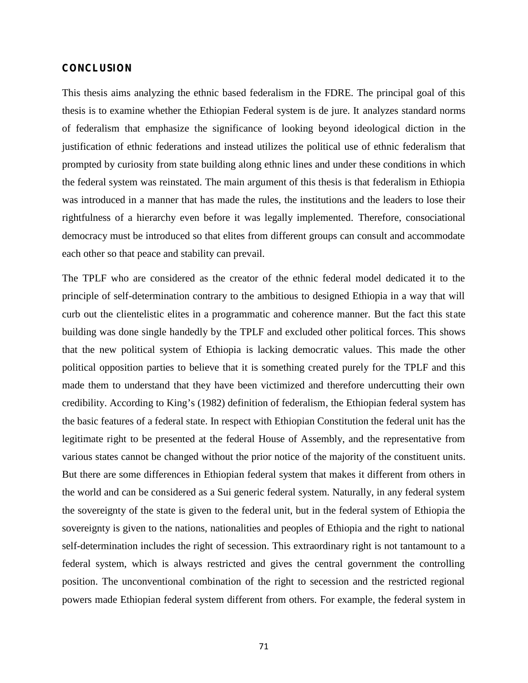## **CONCLUSION**

This thesis aims analyzing the ethnic based federalism in the FDRE. The principal goal of this thesis is to examine whether the Ethiopian Federal system is de jure. It analyzes standard norms of federalism that emphasize the significance of looking beyond ideological diction in the justification of ethnic federations and instead utilizes the political use of ethnic federalism that prompted by curiosity from state building along ethnic lines and under these conditions in which the federal system was reinstated. The main argument of this thesis is that federalism in Ethiopia was introduced in a manner that has made the rules, the institutions and the leaders to lose their rightfulness of a hierarchy even before it was legally implemented. Therefore, consociational democracy must be introduced so that elites from different groups can consult and accommodate each other so that peace and stability can prevail.

The TPLF who are considered as the creator of the ethnic federal model dedicated it to the principle of self-determination contrary to the ambitious to designed Ethiopia in a way that will curb out the clientelistic elites in a programmatic and coherence manner. But the fact this state building was done single handedly by the TPLF and excluded other political forces. This shows that the new political system of Ethiopia is lacking democratic values. This made the other political opposition parties to believe that it is something created purely for the TPLF and this made them to understand that they have been victimized and therefore undercutting their own credibility. According to King's (1982) definition of federalism, the Ethiopian federal system has the basic features of a federal state. In respect with Ethiopian Constitution the federal unit has the legitimate right to be presented at the federal House of Assembly, and the representative from various states cannot be changed without the prior notice of the majority of the constituent units. But there are some differences in Ethiopian federal system that makes it different from others in the world and can be considered as a Sui generic federal system. Naturally, in any federal system the sovereignty of the state is given to the federal unit, but in the federal system of Ethiopia the sovereignty is given to the nations, nationalities and peoples of Ethiopia and the right to national self-determination includes the right of secession. This extraordinary right is not tantamount to a federal system, which is always restricted and gives the central government the controlling position. The unconventional combination of the right to secession and the restricted regional powers made Ethiopian federal system different from others. For example, the federal system in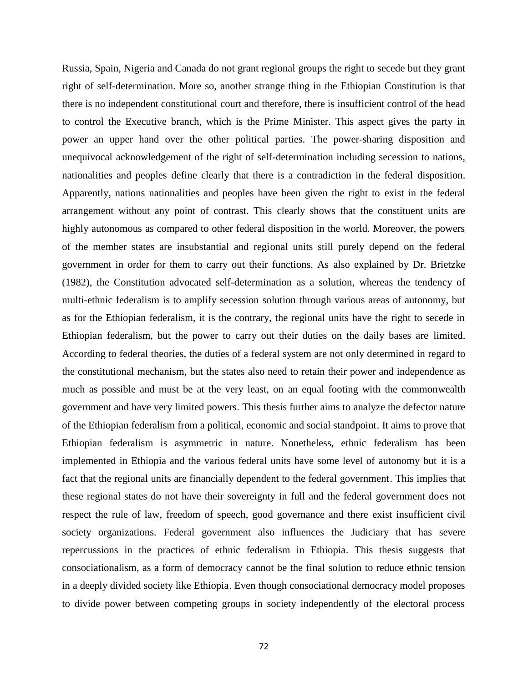Russia, Spain, Nigeria and Canada do not grant regional groups the right to secede but they grant right of self-determination. More so, another strange thing in the Ethiopian Constitution is that there is no independent constitutional court and therefore, there is insufficient control of the head to control the Executive branch, which is the Prime Minister. This aspect gives the party in power an upper hand over the other political parties. The power-sharing disposition and unequivocal acknowledgement of the right of self-determination including secession to nations, nationalities and peoples define clearly that there is a contradiction in the federal disposition. Apparently, nations nationalities and peoples have been given the right to exist in the federal arrangement without any point of contrast. This clearly shows that the constituent units are highly autonomous as compared to other federal disposition in the world. Moreover, the powers of the member states are insubstantial and regional units still purely depend on the federal government in order for them to carry out their functions. As also explained by Dr. Brietzke (1982), the Constitution advocated self-determination as a solution, whereas the tendency of multi-ethnic federalism is to amplify secession solution through various areas of autonomy, but as for the Ethiopian federalism, it is the contrary, the regional units have the right to secede in Ethiopian federalism, but the power to carry out their duties on the daily bases are limited. According to federal theories, the duties of a federal system are not only determined in regard to the constitutional mechanism, but the states also need to retain their power and independence as much as possible and must be at the very least, on an equal footing with the commonwealth government and have very limited powers. This thesis further aims to analyze the defector nature of the Ethiopian federalism from a political, economic and social standpoint. It aims to prove that Ethiopian federalism is asymmetric in nature. Nonetheless, ethnic federalism has been implemented in Ethiopia and the various federal units have some level of autonomy but it is a fact that the regional units are financially dependent to the federal government. This implies that these regional states do not have their sovereignty in full and the federal government does not respect the rule of law, freedom of speech, good governance and there exist insufficient civil society organizations. Federal government also influences the Judiciary that has severe repercussions in the practices of ethnic federalism in Ethiopia. This thesis suggests that consociationalism, as a form of democracy cannot be the final solution to reduce ethnic tension in a deeply divided society like Ethiopia. Even though consociational democracy model proposes to divide power between competing groups in society independently of the electoral process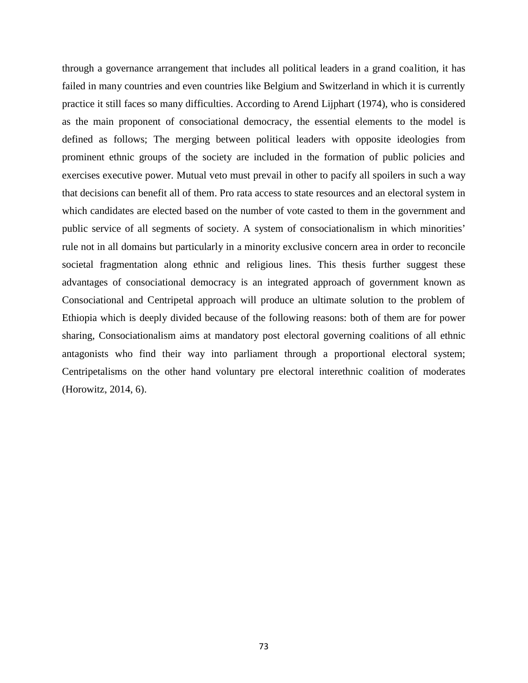through a governance arrangement that includes all political leaders in a grand coalition, it has failed in many countries and even countries like Belgium and Switzerland in which it is currently practice it still faces so many difficulties. According to Arend Lijphart (1974), who is considered as the main proponent of consociational democracy, the essential elements to the model is defined as follows; The merging between political leaders with opposite ideologies from prominent ethnic groups of the society are included in the formation of public policies and exercises executive power. Mutual veto must prevail in other to pacify all spoilers in such a way that decisions can benefit all of them. Pro rata access to state resources and an electoral system in which candidates are elected based on the number of vote casted to them in the government and public service of all segments of society. A system of consociationalism in which minorities' rule not in all domains but particularly in a minority exclusive concern area in order to reconcile societal fragmentation along ethnic and religious lines. This thesis further suggest these advantages of consociational democracy is an integrated approach of government known as Consociational and Centripetal approach will produce an ultimate solution to the problem of Ethiopia which is deeply divided because of the following reasons: both of them are for power sharing, Consociationalism aims at mandatory post electoral governing coalitions of all ethnic antagonists who find their way into parliament through a proportional electoral system; Centripetalisms on the other hand voluntary pre electoral interethnic coalition of moderates (Horowitz, 2014, 6).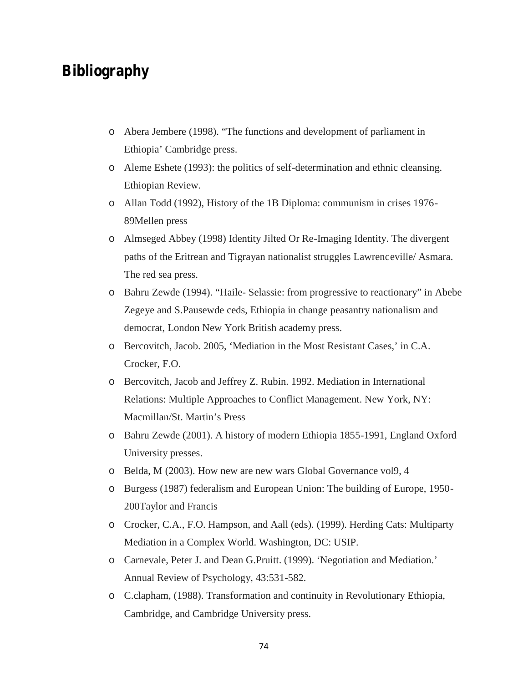## **Bibliography**

- o Abera Jembere (1998). "The functions and development of parliament in Ethiopia' Cambridge press.
- o Aleme Eshete (1993): the politics of self-determination and ethnic cleansing. Ethiopian Review.
- o Allan Todd (1992), History of the 1B Diploma: communism in crises 1976- 89Mellen press
- o Almseged Abbey (1998) Identity Jilted Or Re-Imaging Identity. The divergent paths of the Eritrean and Tigrayan nationalist struggles Lawrenceville/ Asmara. The red sea press.
- o Bahru Zewde (1994). "Haile- Selassie: from progressive to reactionary" in Abebe Zegeye and S.Pausewde ceds, Ethiopia in change peasantry nationalism and democrat, London New York British academy press.
- o Bercovitch, Jacob. 2005, 'Mediation in the Most Resistant Cases,' in C.A. Crocker, F.O.
- o Bercovitch, Jacob and Jeffrey Z. Rubin. 1992. Mediation in International Relations: Multiple Approaches to Conflict Management. New York, NY: Macmillan/St. Martin's Press
- o Bahru Zewde (2001). A history of modern Ethiopia 1855-1991, England Oxford University presses.
- o Belda, M (2003). How new are new wars Global Governance vol9, 4
- o Burgess (1987) federalism and European Union: The building of Europe, 1950- 200Taylor and Francis
- o Crocker, C.A., F.O. Hampson, and Aall (eds). (1999). Herding Cats: Multiparty Mediation in a Complex World. Washington, DC: USIP.
- o Carnevale, Peter J. and Dean G.Pruitt. (1999). 'Negotiation and Mediation.' Annual Review of Psychology, 43:531-582.
- o C.clapham, (1988). Transformation and continuity in Revolutionary Ethiopia, Cambridge, and Cambridge University press.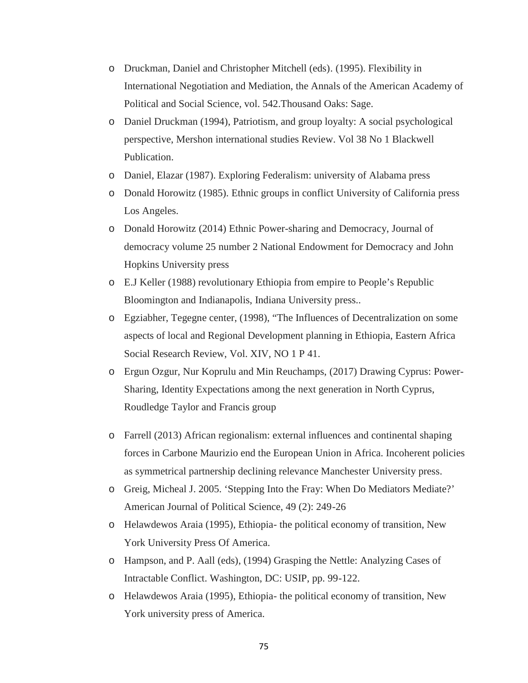- o Druckman, Daniel and Christopher Mitchell (eds). (1995). Flexibility in International Negotiation and Mediation, the Annals of the American Academy of Political and Social Science, vol. 542.Thousand Oaks: Sage.
- o Daniel Druckman (1994), Patriotism, and group loyalty: A social psychological perspective, Mershon international studies Review. Vol 38 No 1 Blackwell Publication.
- o Daniel, Elazar (1987). Exploring Federalism: university of Alabama press
- o Donald Horowitz (1985). Ethnic groups in conflict University of California press Los Angeles.
- o Donald Horowitz (2014) Ethnic Power-sharing and Democracy, Journal of democracy volume 25 number 2 National Endowment for Democracy and John Hopkins University press
- o E.J Keller (1988) revolutionary Ethiopia from empire to People's Republic Bloomington and Indianapolis, Indiana University press..
- o Egziabher, Tegegne center, (1998), "The Influences of Decentralization on some aspects of local and Regional Development planning in Ethiopia, Eastern Africa Social Research Review, Vol. XIV, NO 1 P 41.
- o Ergun Ozgur, Nur Koprulu and Min Reuchamps, (2017) Drawing Cyprus: Power- Sharing, Identity Expectations among the next generation in North Cyprus, Roudledge Taylor and Francis group
- o Farrell (2013) African regionalism: external influences and continental shaping forces in Carbone Maurizio end the European Union in Africa. Incoherent policies as symmetrical partnership declining relevance Manchester University press.
- o Greig, Micheal J. 2005. 'Stepping Into the Fray: When Do Mediators Mediate?' American Journal of Political Science, 49 (2): 249-26
- o Helawdewos Araia (1995), Ethiopia- the political economy of transition, New York University Press Of America.
- o Hampson, and P. Aall (eds), (1994) Grasping the Nettle: Analyzing Cases of Intractable Conflict. Washington, DC: USIP, pp. 99-122.
- o Helawdewos Araia (1995), Ethiopia- the political economy of transition, New York university press of America.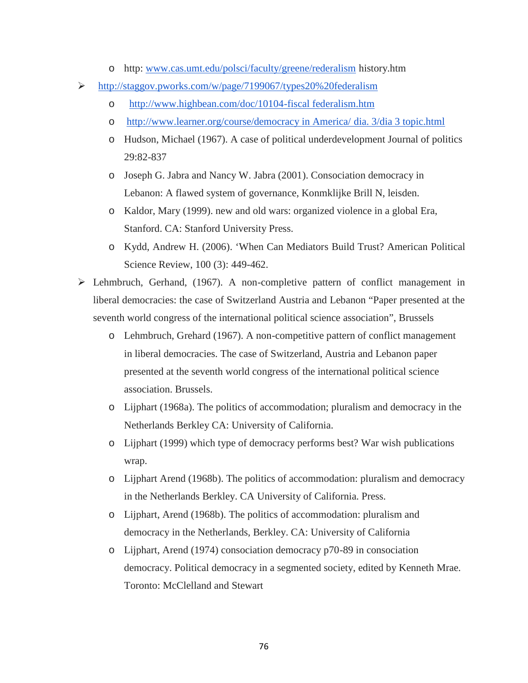- o http: www.cas.umt.edu/polsci/faculty/greene/rederalism history.htm
- http://staggov.pworks.com/w/page/7199067/types20%20federalism
	- o http://www.highbean.com/doc/10104-fiscal federalism.htm
	- o http://www.learner.org/course/democracy in America/ dia. 3/dia 3 topic.html
	- o Hudson, Michael (1967). A case of political underdevelopment Journal of politics 29:82-837
	- o Joseph G. Jabra and Nancy W. Jabra (2001). Consociation democracy in Lebanon: A flawed system of governance, Konmklijke Brill N, leisden.
	- o Kaldor, Mary (1999). new and old wars: organized violence in a global Era, Stanford. CA: Stanford University Press.
	- o Kydd, Andrew H. (2006). 'When Can Mediators Build Trust? American Political Science Review, 100 (3): 449-462.
- Lehmbruch, Gerhand, (1967). A non-completive pattern of conflict management in liberal democracies: the case of Switzerland Austria and Lebanon "Paper presented at the seventh world congress of the international political science association", Brussels
	- o Lehmbruch, Grehard (1967). A non-competitive pattern of conflict management in liberal democracies. The case of Switzerland, Austria and Lebanon paper presented at the seventh world congress of the international political science association. Brussels.
	- o Lijphart (1968a). The politics of accommodation; pluralism and democracy in the Netherlands Berkley CA: University of California.
	- o Lijphart (1999) which type of democracy performs best? War wish publications wrap.
	- o Lijphart Arend (1968b). The politics of accommodation: pluralism and democracy in the Netherlands Berkley. CA University of California. Press.
	- o Lijphart, Arend (1968b). The politics of accommodation: pluralism and democracy in the Netherlands, Berkley. CA: University of California
	- o Lijphart, Arend (1974) consociation democracy p70-89 in consociation democracy. Political democracy in a segmented society, edited by Kenneth Mrae. Toronto: McClelland and Stewart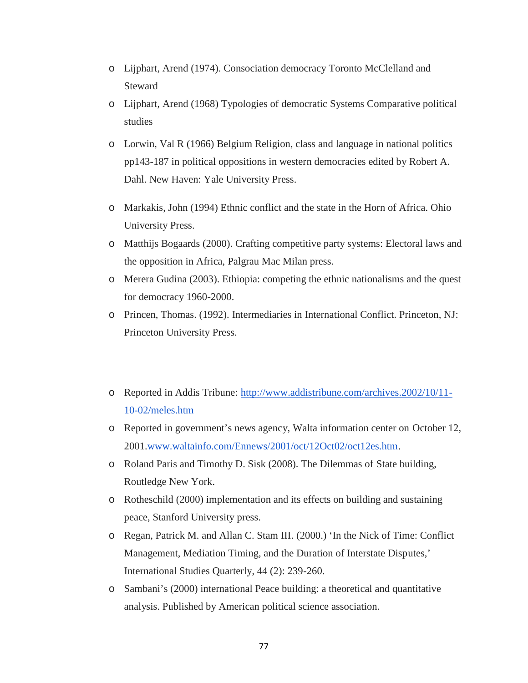- o Lijphart, Arend (1974). Consociation democracy Toronto McClelland and Steward
- o Lijphart, Arend (1968) Typologies of democratic Systems Comparative political studies
- o Lorwin, Val R (1966) Belgium Religion, class and language in national politics pp143-187 in political oppositions in western democracies edited by Robert A. Dahl. New Haven: Yale University Press.
- o Markakis, John (1994) Ethnic conflict and the state in the Horn of Africa. Ohio University Press.
- o Matthijs Bogaards (2000). Crafting competitive party systems: Electoral laws and the opposition in Africa, Palgrau Mac Milan press.
- o Merera Gudina (2003). Ethiopia: competing the ethnic nationalisms and the quest for democracy 1960-2000.
- o Princen, Thomas. (1992). Intermediaries in International Conflict. Princeton, NJ: Princeton University Press.
- o Reported in Addis Tribune: http://www.addistribune.com/archives.2002/10/11- 10-02/meles.htm
- o Reported in government's news agency, Walta information center on October 12, 2001.www.waltainfo.com/Ennews/2001/oct/12Oct02/oct12es.htm.
- o Roland Paris and Timothy D. Sisk (2008). The Dilemmas of State building, Routledge New York.
- o Rotheschild (2000) implementation and its effects on building and sustaining peace, Stanford University press.
- o Regan, Patrick M. and Allan C. Stam III. (2000.) 'In the Nick of Time: Conflict Management, Mediation Timing, and the Duration of Interstate Disputes,' International Studies Quarterly, 44 (2): 239-260.
- o Sambani's (2000) international Peace building: a theoretical and quantitative analysis. Published by American political science association.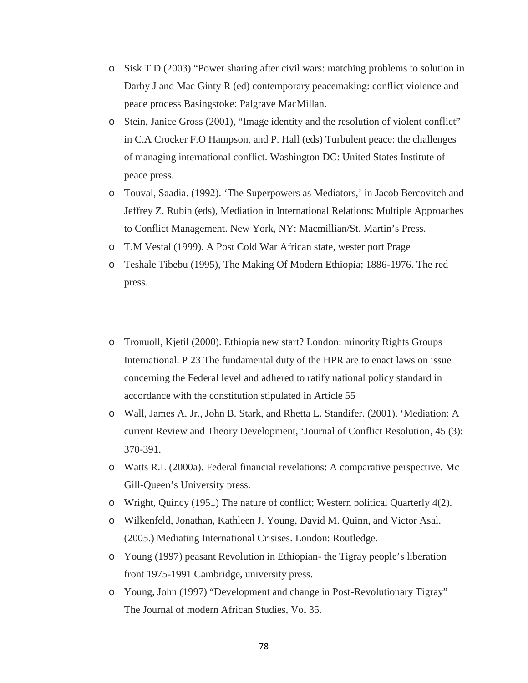- o Sisk T.D (2003) "Power sharing after civil wars: matching problems to solution in Darby J and Mac Ginty R (ed) contemporary peacemaking: conflict violence and peace process Basingstoke: Palgrave MacMillan.
- o Stein, Janice Gross (2001), "Image identity and the resolution of violent conflict" in C.A Crocker F.O Hampson, and P. Hall (eds) Turbulent peace: the challenges of managing international conflict. Washington DC: United States Institute of peace press.
- o Touval, Saadia. (1992). 'The Superpowers as Mediators,' in Jacob Bercovitch and Jeffrey Z. Rubin (eds), Mediation in International Relations: Multiple Approaches to Conflict Management. New York, NY: Macmillian/St. Martin's Press.
- o T.M Vestal (1999). A Post Cold War African state, wester port Prage
- o Teshale Tibebu (1995), The Making Of Modern Ethiopia; 1886-1976. The red press.
- o Tronuoll, Kjetil (2000). Ethiopia new start? London: minority Rights Groups International. P 23 The fundamental duty of the HPR are to enact laws on issue concerning the Federal level and adhered to ratify national policy standard in accordance with the constitution stipulated in Article 55
- o Wall, James A. Jr., John B. Stark, and Rhetta L. Standifer. (2001). 'Mediation: A current Review and Theory Development, 'Journal of Conflict Resolution, 45 (3): 370-391.
- o Watts R.L (2000a). Federal financial revelations: A comparative perspective. Mc Gill-Queen's University press.
- o Wright, Quincy (1951) The nature of conflict; Western political Quarterly 4(2).
- o Wilkenfeld, Jonathan, Kathleen J. Young, David M. Quinn, and Victor Asal. (2005.) Mediating International Crisises. London: Routledge.
- o Young (1997) peasant Revolution in Ethiopian- the Tigray people's liberation front 1975-1991 Cambridge, university press.
- o Young, John (1997) "Development and change in Post-Revolutionary Tigray" The Journal of modern African Studies, Vol 35.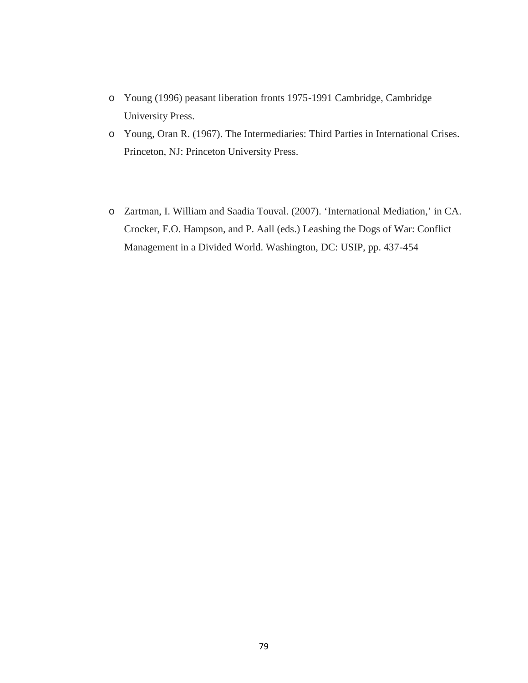- o Young (1996) peasant liberation fronts 1975-1991 Cambridge, Cambridge University Press.
- o Young, Oran R. (1967). The Intermediaries: Third Parties in International Crises. Princeton, NJ: Princeton University Press.
- o Zartman, I. William and Saadia Touval. (2007). 'International Mediation,' in CA. Crocker, F.O. Hampson, and P. Aall (eds.) Leashing the Dogs of War: Conflict Management in a Divided World. Washington, DC: USIP, pp. 437-454